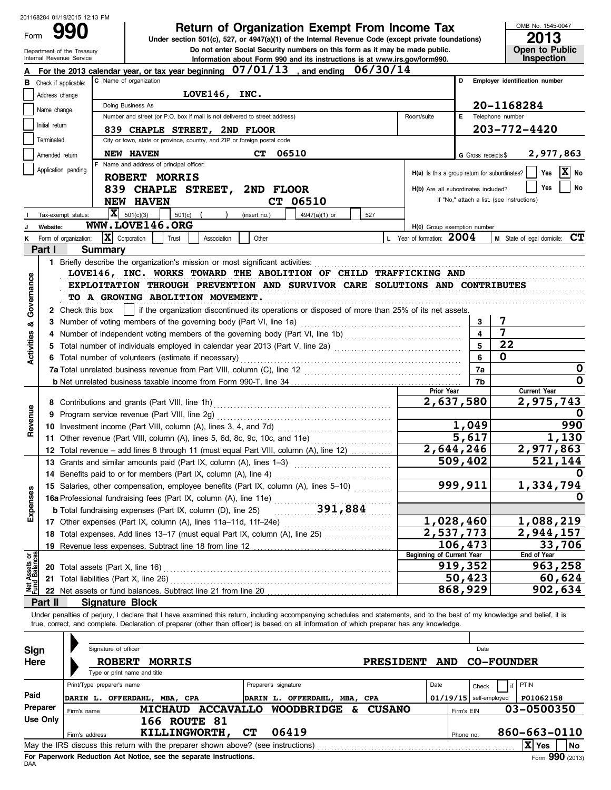| Form                                                                                                                                                                      |                 | 201168284 01/19/2015 12:13 PM |                            |                                                                                                                                                                         |               |                      | <b>Return of Organization Exempt From Income Tax</b>                                                                                                                              |         |                  |                                                         |                          | OMB No. 1545-0047                                                                                                                                                          |  |
|---------------------------------------------------------------------------------------------------------------------------------------------------------------------------|-----------------|-------------------------------|----------------------------|-------------------------------------------------------------------------------------------------------------------------------------------------------------------------|---------------|----------------------|-----------------------------------------------------------------------------------------------------------------------------------------------------------------------------------|---------|------------------|---------------------------------------------------------|--------------------------|----------------------------------------------------------------------------------------------------------------------------------------------------------------------------|--|
|                                                                                                                                                                           |                 | Department of the Treasury    |                            |                                                                                                                                                                         |               |                      | Under section 501(c), 527, or 4947(a)(1) of the Internal Revenue Code (except private foundations)<br>Do not enter Social Security numbers on this form as it may be made public. |         |                  |                                                         |                          | 2013<br>Open to Public                                                                                                                                                     |  |
|                                                                                                                                                                           |                 | Internal Revenue Service      |                            |                                                                                                                                                                         |               |                      | Information about Form 990 and its instructions is at www.irs.gov/form990.                                                                                                        |         |                  |                                                         |                          | Inspection                                                                                                                                                                 |  |
|                                                                                                                                                                           |                 |                               |                            | For the 2013 calendar year, or tax year beginning $07/01/13$ , and ending $06/30/14$<br>C Name of organization                                                          |               |                      |                                                                                                                                                                                   |         |                  |                                                         | D                        | Employer identification number                                                                                                                                             |  |
| в                                                                                                                                                                         |                 | Check if applicable:          |                            |                                                                                                                                                                         | LOVE146, INC. |                      |                                                                                                                                                                                   |         |                  |                                                         |                          |                                                                                                                                                                            |  |
|                                                                                                                                                                           |                 | Address change                |                            | Doing Business As                                                                                                                                                       |               |                      |                                                                                                                                                                                   |         |                  |                                                         |                          | 20-1168284                                                                                                                                                                 |  |
|                                                                                                                                                                           | Name change     |                               |                            | Number and street (or P.O. box if mail is not delivered to street address)                                                                                              |               |                      |                                                                                                                                                                                   |         |                  | Room/suite                                              | Е.                       | Telephone number                                                                                                                                                           |  |
|                                                                                                                                                                           | Initial return  |                               |                            | 839 CHAPLE STREET, 2ND FLOOR                                                                                                                                            |               |                      |                                                                                                                                                                                   |         |                  |                                                         |                          | 203-772-4420                                                                                                                                                               |  |
|                                                                                                                                                                           | Terminated      |                               |                            | City or town, state or province, country, and ZIP or foreign postal code                                                                                                |               |                      |                                                                                                                                                                                   |         |                  |                                                         |                          |                                                                                                                                                                            |  |
|                                                                                                                                                                           |                 | Amended return                |                            | <b>NEW HAVEN</b>                                                                                                                                                        |               | CT.                  | 06510                                                                                                                                                                             |         |                  |                                                         | G Gross receipts \$      | 2,977,863                                                                                                                                                                  |  |
|                                                                                                                                                                           |                 |                               |                            | Name and address of principal officer:                                                                                                                                  |               |                      |                                                                                                                                                                                   |         |                  |                                                         |                          |                                                                                                                                                                            |  |
|                                                                                                                                                                           |                 | Application pending           |                            | ROBERT MORRIS                                                                                                                                                           |               |                      |                                                                                                                                                                                   |         |                  | $H(a)$ is this a group return for subordinates? $\vert$ |                          | $\mathbf{x}$<br>Yes<br>No                                                                                                                                                  |  |
|                                                                                                                                                                           |                 |                               |                            | 839 CHAPLE STREET,                                                                                                                                                      |               | 2ND FLOOR            |                                                                                                                                                                                   |         |                  | H(b) Are all subordinates included?                     |                          | No<br>Yes                                                                                                                                                                  |  |
|                                                                                                                                                                           |                 |                               |                            | <b>NEW HAVEN</b>                                                                                                                                                        |               |                      | CT 06510                                                                                                                                                                          |         |                  |                                                         |                          | If "No," attach a list. (see instructions)                                                                                                                                 |  |
|                                                                                                                                                                           |                 | Tax-exempt status:            |                            | $ \mathbf{X} $ 501(c)(3)<br>501(c)                                                                                                                                      |               | (insert no.)         | 4947(a)(1) or                                                                                                                                                                     | 527     |                  |                                                         |                          |                                                                                                                                                                            |  |
|                                                                                                                                                                           | Website:        |                               |                            | WWW.LOVE146.ORG                                                                                                                                                         |               |                      |                                                                                                                                                                                   |         |                  | H(c) Group exemption number                             |                          |                                                                                                                                                                            |  |
| κ                                                                                                                                                                         |                 | Form of organization:         | X Corporation              | Trust                                                                                                                                                                   | Association   | Other                |                                                                                                                                                                                   |         |                  | L Year of formation: 2004                               |                          | <b>M</b> State of legal domicile: $CT$                                                                                                                                     |  |
|                                                                                                                                                                           | Part I          |                               | <b>Summary</b>             |                                                                                                                                                                         |               |                      |                                                                                                                                                                                   |         |                  |                                                         |                          |                                                                                                                                                                            |  |
|                                                                                                                                                                           |                 |                               |                            |                                                                                                                                                                         |               |                      |                                                                                                                                                                                   |         |                  |                                                         |                          |                                                                                                                                                                            |  |
|                                                                                                                                                                           |                 |                               |                            | LOVE146, INC. WORKS TOWARD THE ABOLITION OF CHILD TRAFFICKING AND                                                                                                       |               |                      |                                                                                                                                                                                   |         |                  |                                                         |                          |                                                                                                                                                                            |  |
|                                                                                                                                                                           |                 |                               |                            | EXPLOITATION THROUGH PREVENTION AND SURVIVOR CARE SOLUTIONS AND CONTRIBUTES                                                                                             |               |                      |                                                                                                                                                                                   |         |                  |                                                         |                          |                                                                                                                                                                            |  |
|                                                                                                                                                                           |                 |                               |                            |                                                                                                                                                                         |               |                      |                                                                                                                                                                                   |         |                  |                                                         |                          |                                                                                                                                                                            |  |
| Governance<br>TO A GROWING ABOLITION MOVEMENT.<br>2 Check this box    <br>if the organization discontinued its operations or disposed of more than 25% of its net assets. |                 |                               |                            |                                                                                                                                                                         |               |                      |                                                                                                                                                                                   |         |                  |                                                         |                          |                                                                                                                                                                            |  |
| త                                                                                                                                                                         |                 |                               |                            |                                                                                                                                                                         |               |                      |                                                                                                                                                                                   |         |                  |                                                         | 3                        | 7                                                                                                                                                                          |  |
|                                                                                                                                                                           |                 |                               |                            | 4 Number of independent voting members of the governing body (Part VI, line 1b) [11] [11] Number of independent voting members of the governing body (Part VI, line 1b) |               |                      |                                                                                                                                                                                   |         |                  |                                                         | 4                        | 7                                                                                                                                                                          |  |
|                                                                                                                                                                           |                 |                               |                            |                                                                                                                                                                         |               | 5                    | 22                                                                                                                                                                                |         |                  |                                                         |                          |                                                                                                                                                                            |  |
| Activities                                                                                                                                                                |                 |                               |                            |                                                                                                                                                                         |               |                      |                                                                                                                                                                                   |         |                  |                                                         |                          | $\mathbf 0$                                                                                                                                                                |  |
|                                                                                                                                                                           |                 |                               |                            |                                                                                                                                                                         |               |                      |                                                                                                                                                                                   |         |                  |                                                         | 7a                       | 0                                                                                                                                                                          |  |
|                                                                                                                                                                           |                 |                               |                            |                                                                                                                                                                         |               |                      |                                                                                                                                                                                   |         |                  |                                                         | 7b                       | $\Omega$                                                                                                                                                                   |  |
|                                                                                                                                                                           |                 |                               |                            |                                                                                                                                                                         |               |                      |                                                                                                                                                                                   |         |                  | Prior Year                                              |                          | <b>Current Year</b>                                                                                                                                                        |  |
|                                                                                                                                                                           |                 |                               |                            |                                                                                                                                                                         |               |                      |                                                                                                                                                                                   |         |                  |                                                         | 2,637,580                | 2,975,743                                                                                                                                                                  |  |
| Revenue                                                                                                                                                                   |                 |                               |                            | 9 Program service revenue (Part VIII, line 2g)                                                                                                                          |               |                      |                                                                                                                                                                                   |         |                  |                                                         |                          | O                                                                                                                                                                          |  |
|                                                                                                                                                                           |                 |                               |                            |                                                                                                                                                                         |               |                      |                                                                                                                                                                                   |         |                  |                                                         | 1,049                    | 990                                                                                                                                                                        |  |
|                                                                                                                                                                           |                 |                               |                            | 11 Other revenue (Part VIII, column (A), lines 5, 6d, 8c, 9c, 10c, and 11e)                                                                                             |               |                      |                                                                                                                                                                                   |         |                  | 5,617                                                   | 1,130                    |                                                                                                                                                                            |  |
|                                                                                                                                                                           |                 |                               |                            | 12 Total revenue - add lines 8 through 11 (must equal Part VIII, column (A), line 12)                                                                                   |               |                      |                                                                                                                                                                                   |         |                  |                                                         | 2,644,246                | 2,977,863                                                                                                                                                                  |  |
|                                                                                                                                                                           |                 |                               |                            | 13 Grants and similar amounts paid (Part IX, column (A), lines 1-3)                                                                                                     |               |                      |                                                                                                                                                                                   |         |                  |                                                         | 509,402                  | 521,144                                                                                                                                                                    |  |
|                                                                                                                                                                           |                 |                               |                            | 14 Benefits paid to or for members (Part IX, column (A), line 4)                                                                                                        |               |                      |                                                                                                                                                                                   |         |                  |                                                         |                          | O                                                                                                                                                                          |  |
|                                                                                                                                                                           |                 |                               |                            | 15 Salaries, other compensation, employee benefits (Part IX, column (A), lines 5-10)                                                                                    |               |                      |                                                                                                                                                                                   |         |                  |                                                         | 999,911                  | 1,334,794                                                                                                                                                                  |  |
| Expenses                                                                                                                                                                  |                 |                               |                            | 15 Salaries, other compensation, employee and Column (A), line 11e)<br>16a Professional fundraising fees (Part IX, column (A), line 11e)<br>191,884                     |               |                      |                                                                                                                                                                                   |         |                  |                                                         |                          | O                                                                                                                                                                          |  |
|                                                                                                                                                                           |                 |                               |                            |                                                                                                                                                                         |               |                      |                                                                                                                                                                                   |         |                  |                                                         |                          |                                                                                                                                                                            |  |
|                                                                                                                                                                           |                 |                               |                            |                                                                                                                                                                         |               |                      |                                                                                                                                                                                   |         |                  |                                                         | 1,028,460                | 1,088,219                                                                                                                                                                  |  |
|                                                                                                                                                                           |                 |                               |                            | 18 Total expenses. Add lines 13-17 (must equal Part IX, column (A), line 25)                                                                                            |               |                      |                                                                                                                                                                                   |         |                  |                                                         | $\overline{2,537,773}$   | 2,944,157                                                                                                                                                                  |  |
|                                                                                                                                                                           |                 |                               |                            |                                                                                                                                                                         |               |                      |                                                                                                                                                                                   |         |                  |                                                         | 106,473                  | 33,706                                                                                                                                                                     |  |
|                                                                                                                                                                           |                 |                               |                            |                                                                                                                                                                         |               |                      |                                                                                                                                                                                   |         |                  | <b>Beginning of Current Year</b>                        |                          | End of Year                                                                                                                                                                |  |
|                                                                                                                                                                           |                 |                               |                            |                                                                                                                                                                         |               |                      |                                                                                                                                                                                   |         |                  |                                                         | 919,352                  | 963,258                                                                                                                                                                    |  |
| Net Assets or                                                                                                                                                             |                 |                               |                            |                                                                                                                                                                         |               |                      |                                                                                                                                                                                   |         |                  |                                                         | 50,423                   | 60,624                                                                                                                                                                     |  |
|                                                                                                                                                                           |                 |                               |                            |                                                                                                                                                                         |               |                      | 868,929                                                                                                                                                                           | 902,634 |                  |                                                         |                          |                                                                                                                                                                            |  |
|                                                                                                                                                                           | Part II         |                               |                            | Signature Block                                                                                                                                                         |               |                      |                                                                                                                                                                                   |         |                  |                                                         |                          |                                                                                                                                                                            |  |
| Sign                                                                                                                                                                      |                 |                               | Signature of officer       | true, correct, and complete. Declaration of preparer (other than officer) is based on all information of which preparer has any knowledge.                              |               |                      |                                                                                                                                                                                   |         |                  |                                                         | Date                     | Under penalties of perjury, I declare that I have examined this return, including accompanying schedules and statements, and to the best of my knowledge and belief, it is |  |
| Here                                                                                                                                                                      |                 |                               | <b>ROBERT</b>              | <b>MORRIS</b>                                                                                                                                                           |               |                      |                                                                                                                                                                                   |         | <b>PRESIDENT</b> | <b>AND</b>                                              |                          | <b>CO-FOUNDER</b>                                                                                                                                                          |  |
|                                                                                                                                                                           |                 |                               |                            | Type or print name and title                                                                                                                                            |               |                      |                                                                                                                                                                                   |         |                  |                                                         |                          |                                                                                                                                                                            |  |
|                                                                                                                                                                           |                 |                               | Print/Type preparer's name |                                                                                                                                                                         |               | Preparer's signature |                                                                                                                                                                                   |         |                  | Date                                                    | Check                    | PTIN                                                                                                                                                                       |  |
| Paid                                                                                                                                                                      |                 |                               |                            | DARIN L. OFFERDAHL, MBA, CPA                                                                                                                                            |               |                      | DARIN L. OFFERDAHL, MBA, CPA                                                                                                                                                      |         |                  |                                                         | $01/19/15$ self-employed | P01062158                                                                                                                                                                  |  |
|                                                                                                                                                                           | Preparer        | Firm's name                   |                            |                                                                                                                                                                         |               |                      | MICHAUD ACCAVALLO WOODBRIDGE & CUSANO                                                                                                                                             |         |                  |                                                         | Firm's EIN               | 03-0500350                                                                                                                                                                 |  |
|                                                                                                                                                                           | <b>Use Only</b> |                               |                            | <b>166 ROUTE 81</b>                                                                                                                                                     |               |                      |                                                                                                                                                                                   |         |                  |                                                         |                          |                                                                                                                                                                            |  |
|                                                                                                                                                                           |                 | Firm's address                |                            | KILLINGWORTH,                                                                                                                                                           |               | CТ                   | 06419                                                                                                                                                                             |         |                  |                                                         | Phone no.                | 860-663-0110                                                                                                                                                               |  |
|                                                                                                                                                                           |                 |                               |                            |                                                                                                                                                                         |               |                      |                                                                                                                                                                                   |         |                  |                                                         |                          | $ \mathbf{\overline{X}} $ Yes<br> No                                                                                                                                       |  |

| Sign            |             | Signature of officer         |                     |                                                                                   |                      |                   |          |                                                     |      |            | Date                     |                    |     |
|-----------------|-------------|------------------------------|---------------------|-----------------------------------------------------------------------------------|----------------------|-------------------|----------|-----------------------------------------------------|------|------------|--------------------------|--------------------|-----|
| Here            |             | <b>ROBERT</b>                | <b>MORRIS</b>       |                                                                                   |                      |                   |          | <b>AND</b><br><b>CO-FOUNDER</b><br><b>PRESIDENT</b> |      |            |                          |                    |     |
|                 |             | Type or print name and title |                     |                                                                                   |                      |                   |          |                                                     |      |            |                          |                    |     |
|                 |             | Print/Type preparer's name   |                     |                                                                                   | Preparer's signature |                   |          |                                                     | Date |            | Check                    | <b>PTIN</b>        |     |
| Paid            | DARIN L.    |                              | OFFERDAHL, MBA, CPA |                                                                                   | DARIN L.             | <b>OFFERDAHL,</b> | MBA, CPA |                                                     |      |            | $01/19/15$ self-employed | P01062158          |     |
| Preparer        | Firm's name |                              | <b>MICHAUD</b>      | <b>ACCAVALLO</b>                                                                  |                      | <b>WOODBRIDGE</b> | £.       | <b>CUSANO</b>                                       |      | Firm's EIN |                          | 03-0500350         |     |
| <b>Use Only</b> |             |                              | 166                 | <b>ROUTE 81</b>                                                                   |                      |                   |          |                                                     |      |            |                          |                    |     |
|                 |             | Firm's address               |                     | KILLINGWORTH,                                                                     | <b>CT</b>            | 06419             |          |                                                     |      | Phone no.  |                          | 860-663-0110       |     |
|                 |             |                              |                     | May the IRS discuss this return with the preparer shown above? (see instructions) |                      |                   |          |                                                     |      |            |                          | $ {\bf X} $<br>Yes | No  |
|                 |             |                              |                     |                                                                                   |                      |                   |          |                                                     |      |            |                          |                    | --- |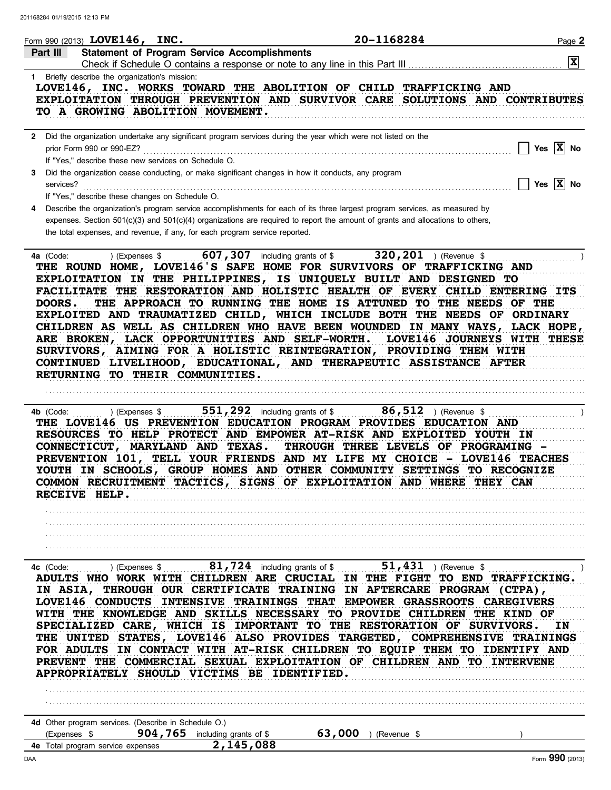|                                                   | Form 990 (2013) LOVE146, INC.                                                           |                                                                                                                | 20-1168284                                                                                                                                                                                                                                                                                                                                                                                                                                                                                                                                                                                                                                                      | Page 2                             |
|---------------------------------------------------|-----------------------------------------------------------------------------------------|----------------------------------------------------------------------------------------------------------------|-----------------------------------------------------------------------------------------------------------------------------------------------------------------------------------------------------------------------------------------------------------------------------------------------------------------------------------------------------------------------------------------------------------------------------------------------------------------------------------------------------------------------------------------------------------------------------------------------------------------------------------------------------------------|------------------------------------|
| Part III                                          |                                                                                         | <b>Statement of Program Service Accomplishments</b>                                                            |                                                                                                                                                                                                                                                                                                                                                                                                                                                                                                                                                                                                                                                                 |                                    |
|                                                   |                                                                                         |                                                                                                                | Check if Schedule O contains a response or note to any line in this Part III                                                                                                                                                                                                                                                                                                                                                                                                                                                                                                                                                                                    | $\overline{\mathbf{x}}$            |
|                                                   | 1 Briefly describe the organization's mission:<br>TO A GROWING ABOLITION MOVEMENT.      |                                                                                                                | LOVE146, INC. WORKS TOWARD THE ABOLITION OF CHILD TRAFFICKING AND<br>EXPLOITATION THROUGH PREVENTION AND SURVIVOR CARE SOLUTIONS AND CONTRIBUTES                                                                                                                                                                                                                                                                                                                                                                                                                                                                                                                |                                    |
|                                                   |                                                                                         |                                                                                                                |                                                                                                                                                                                                                                                                                                                                                                                                                                                                                                                                                                                                                                                                 |                                    |
| prior Form 990 or 990-EZ?                         | If "Yes," describe these new services on Schedule O.                                    | 2 Did the organization undertake any significant program services during the year which were not listed on the |                                                                                                                                                                                                                                                                                                                                                                                                                                                                                                                                                                                                                                                                 | Yes $X$ No                         |
| 3<br>services?                                    | If "Yes," describe these changes on Schedule O.                                         | Did the organization cease conducting, or make significant changes in how it conducts, any program             |                                                                                                                                                                                                                                                                                                                                                                                                                                                                                                                                                                                                                                                                 | $\Box$ Yes $\overline{X}$ No       |
|                                                   |                                                                                         | the total expenses, and revenue, if any, for each program service reported.                                    | Describe the organization's program service accomplishments for each of its three largest program services, as measured by<br>expenses. Section 501(c)(3) and 501(c)(4) organizations are required to report the amount of grants and allocations to others,                                                                                                                                                                                                                                                                                                                                                                                                    |                                    |
| 4a (Code:<br>DOORS.                               | ) (Expenses \$<br>RETURNING TO THEIR COMMUNITIES.                                       | ARE BROKEN, LACK OPPORTUNITIES AND SELF-WORTH.                                                                 | 607, 307 including grants of \$ 320, 201 ) (Revenue \$<br>THE ROUND HOME, LOVE146'S SAFE HOME FOR SURVIVORS OF TRAFFICKING AND<br>EXPLOITATION IN THE PHILIPPINES, IS UNIQUELY BUILT AND DESIGNED TO<br>FACILITATE THE RESTORATION AND HOLISTIC HEALTH OF EVERY CHILD ENTERING ITS<br>THE APPROACH TO RUNNING THE HOME IS ATTUNED TO THE NEEDS OF THE<br>EXPLOITED AND TRAUMATIZED CHILD, WHICH INCLUDE BOTH THE NEEDS OF ORDINARY<br>CHILDREN AS WELL AS CHILDREN WHO HAVE BEEN WOUNDED IN MANY WAYS, LACK HOPE,<br>SURVIVORS, AIMING FOR A HOLISTIC REINTEGRATION, PROVIDING THEM WITH<br>CONTINUED LIVELIHOOD, EDUCATIONAL, AND THERAPEUTIC ASSISTANCE AFTER | <b>LOVE146 JOURNEYS WITH THESE</b> |
| 4b (Code:<br>RECEIVE HELP.                        | ) (Expenses \$<br>CONNECTICUT, MARYLAND AND TEXAS.                                      | 551, 292 including grants of \$                                                                                | <b>86,512</b> ) (Revenue \$<br>THE LOVE146 US PREVENTION EDUCATION PROGRAM PROVIDES EDUCATION AND<br>RESOURCES TO HELP PROTECT AND EMPOWER AT-RISK AND EXPLOITED YOUTH IN<br>THROUGH THREE LEVELS OF PROGRAMING -<br>PREVENTION 101, TELL YOUR FRIENDS AND MY LIFE MY CHOICE - LOVE146 TEACHES<br>YOUTH IN SCHOOLS, GROUP HOMES AND OTHER COMMUNITY SETTINGS TO RECOGNIZE<br>COMMON RECRUITMENT TACTICS, SIGNS OF EXPLOITATION AND WHERE THEY CAN                                                                                                                                                                                                               |                                    |
|                                                   |                                                                                         |                                                                                                                |                                                                                                                                                                                                                                                                                                                                                                                                                                                                                                                                                                                                                                                                 |                                    |
|                                                   |                                                                                         |                                                                                                                | 4c (Code: ) (Expenses $\frac{81,724}{1}$ including grants of $\frac{51,431}{1}$ ) (Revenue $\frac{5}{1}$<br>ADULTS WHO WORK WITH CHILDREN ARE CRUCIAL IN THE FIGHT TO END TRAFFICKING.<br>IN ASIA, THROUGH OUR CERTIFICATE TRAINING IN AFTERCARE PROGRAM (CTPA),<br>LOVE146 CONDUCTS INTENSIVE TRAININGS THAT EMPOWER GRASSROOTS CAREGIVERS<br>WITH THE KNOWLEDGE AND SKILLS NECESSARY TO PROVIDE CHILDREN THE KIND OF<br>SPECIALIZED CARE, WHICH IS IMPORTANT TO THE RESTORATION OF SURVIVORS.<br>THE UNITED STATES, LOVE146 ALSO PROVIDES TARGETED, COMPREHENSIVE TRAININGS                                                                                   | IN                                 |
|                                                   |                                                                                         | APPROPRIATELY SHOULD VICTIMS BE IDENTIFIED.                                                                    | FOR ADULTS IN CONTACT WITH AT-RISK CHILDREN TO EQUIP THEM TO IDENTIFY AND<br>PREVENT THE COMMERCIAL SEXUAL EXPLOITATION OF CHILDREN AND TO INTERVENE                                                                                                                                                                                                                                                                                                                                                                                                                                                                                                            |                                    |
|                                                   |                                                                                         |                                                                                                                |                                                                                                                                                                                                                                                                                                                                                                                                                                                                                                                                                                                                                                                                 |                                    |
|                                                   |                                                                                         |                                                                                                                |                                                                                                                                                                                                                                                                                                                                                                                                                                                                                                                                                                                                                                                                 |                                    |
| (Expenses \$<br>4e Total program service expenses | 4d Other program services. (Describe in Schedule O.)<br>904, 765 including grants of \$ | 2,145,088                                                                                                      | 63,000<br>) (Revenue \$                                                                                                                                                                                                                                                                                                                                                                                                                                                                                                                                                                                                                                         |                                    |
|                                                   |                                                                                         |                                                                                                                |                                                                                                                                                                                                                                                                                                                                                                                                                                                                                                                                                                                                                                                                 |                                    |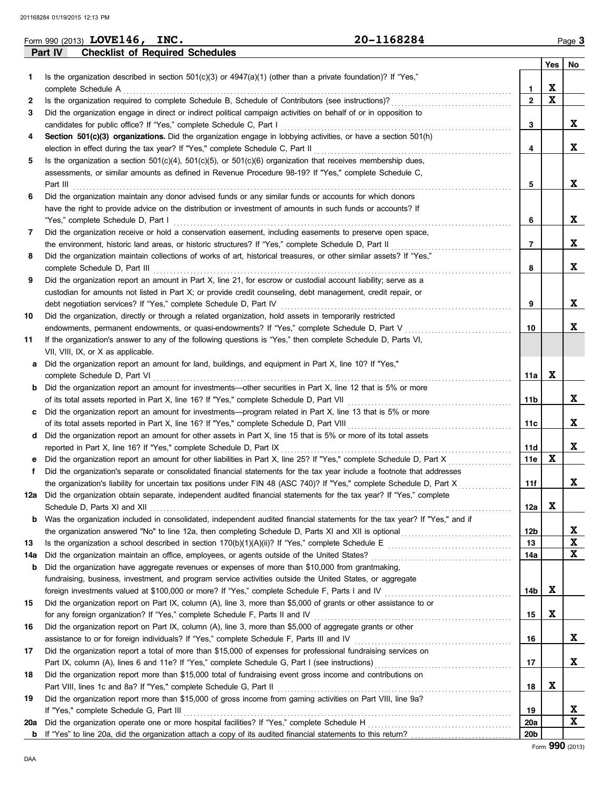|     | 20-1168284<br>Form 990 (2013) LOVE146, INC.                                                                                                                                                           |                 |             | Page 3                    |
|-----|-------------------------------------------------------------------------------------------------------------------------------------------------------------------------------------------------------|-----------------|-------------|---------------------------|
|     | Part IV<br><b>Checklist of Required Schedules</b>                                                                                                                                                     |                 |             |                           |
|     |                                                                                                                                                                                                       |                 | Yes         | No                        |
| 1   | Is the organization described in section $501(c)(3)$ or $4947(a)(1)$ (other than a private foundation)? If "Yes,"                                                                                     |                 |             |                           |
|     | complete Schedule A                                                                                                                                                                                   | 1               | X           |                           |
| 2   | Is the organization required to complete Schedule B, Schedule of Contributors (see instructions)?                                                                                                     | $\overline{2}$  | $\mathbf x$ |                           |
| 3   | Did the organization engage in direct or indirect political campaign activities on behalf of or in opposition to                                                                                      |                 |             |                           |
|     | candidates for public office? If "Yes," complete Schedule C, Part I                                                                                                                                   | 3               |             | X                         |
| 4   | Section 501(c)(3) organizations. Did the organization engage in lobbying activities, or have a section 501(h)                                                                                         |                 |             |                           |
|     | election in effect during the tax year? If "Yes," complete Schedule C, Part II                                                                                                                        | 4               |             | X                         |
| 5   | Is the organization a section $501(c)(4)$ , $501(c)(5)$ , or $501(c)(6)$ organization that receives membership dues,                                                                                  |                 |             |                           |
|     | assessments, or similar amounts as defined in Revenue Procedure 98-19? If "Yes," complete Schedule C,                                                                                                 |                 |             |                           |
|     | Part III                                                                                                                                                                                              | 5               |             | X                         |
| 6   | Did the organization maintain any donor advised funds or any similar funds or accounts for which donors                                                                                               |                 |             |                           |
|     | have the right to provide advice on the distribution or investment of amounts in such funds or accounts? If                                                                                           |                 |             |                           |
|     | "Yes," complete Schedule D, Part I                                                                                                                                                                    | 6               |             | X                         |
| 7   | Did the organization receive or hold a conservation easement, including easements to preserve open space,                                                                                             |                 |             |                           |
|     | the environment, historic land areas, or historic structures? If "Yes," complete Schedule D, Part II                                                                                                  | $\overline{7}$  |             | X                         |
| 8   | Did the organization maintain collections of works of art, historical treasures, or other similar assets? If "Yes,"                                                                                   |                 |             |                           |
|     | complete Schedule D, Part III                                                                                                                                                                         | 8               |             | X                         |
| 9   | Did the organization report an amount in Part X, line 21, for escrow or custodial account liability; serve as a                                                                                       |                 |             |                           |
|     | custodian for amounts not listed in Part X; or provide credit counseling, debt management, credit repair, or                                                                                          |                 |             |                           |
|     | debt negotiation services? If "Yes," complete Schedule D, Part IV                                                                                                                                     | 9               |             | X                         |
| 10  | Did the organization, directly or through a related organization, hold assets in temporarily restricted                                                                                               |                 |             |                           |
|     | endowments, permanent endowments, or quasi-endowments? If "Yes," complete Schedule D, Part V                                                                                                          | 10              |             | X                         |
| 11  | If the organization's answer to any of the following questions is "Yes," then complete Schedule D, Parts VI,                                                                                          |                 |             |                           |
|     | VII, VIII, IX, or X as applicable.                                                                                                                                                                    |                 |             |                           |
| а   | Did the organization report an amount for land, buildings, and equipment in Part X, line 10? If "Yes,"                                                                                                |                 |             |                           |
|     | complete Schedule D, Part VI                                                                                                                                                                          | 11a             | X           |                           |
| b   | Did the organization report an amount for investments—other securities in Part X, line 12 that is 5% or more                                                                                          |                 |             |                           |
|     | of its total assets reported in Part X, line 16? If "Yes," complete Schedule D, Part VII                                                                                                              | 11b             |             | X                         |
| c   | Did the organization report an amount for investments—program related in Part X, line 13 that is 5% or more                                                                                           |                 |             |                           |
|     | of its total assets reported in Part X, line 16? If "Yes," complete Schedule D, Part VIII                                                                                                             | 11c             |             | X                         |
|     | d Did the organization report an amount for other assets in Part X, line 15 that is 5% or more of its total assets                                                                                    |                 |             |                           |
|     | reported in Part X, line 16? If "Yes," complete Schedule D, Part IX                                                                                                                                   | 11d             |             | X                         |
| e   | Did the organization report an amount for other liabilities in Part X, line 25? If "Yes," complete Schedule D, Part X                                                                                 | 11e             | $\mathbf x$ |                           |
| f   | Did the organization's separate or consolidated financial statements for the tax year include a footnote that addresses                                                                               |                 |             |                           |
|     | the organization's liability for uncertain tax positions under FIN 48 (ASC 740)? If "Yes," complete Schedule D, Part X                                                                                | 11f             |             | ▵                         |
| 12а | Did the organization obtain separate, independent audited financial statements for the tax year? If "Yes," complete                                                                                   |                 |             |                           |
|     |                                                                                                                                                                                                       | 12a             | X           |                           |
| b   | Was the organization included in consolidated, independent audited financial statements for the tax year? If "Yes," and if                                                                            |                 |             |                           |
|     | the organization answered "No" to line 12a, then completing Schedule D, Parts XI and XII is optional conservation answered "No" to line 12a, then completing Schedule D, Parts XI and XII is optional | 12 <sub>b</sub> |             | X                         |
| 13  |                                                                                                                                                                                                       | 13              |             | $\boldsymbol{\mathrm{X}}$ |
| 14a |                                                                                                                                                                                                       | 14a             |             | $\mathbf x$               |
| b   | Did the organization have aggregate revenues or expenses of more than \$10,000 from grantmaking,                                                                                                      |                 |             |                           |
|     | fundraising, business, investment, and program service activities outside the United States, or aggregate                                                                                             |                 |             |                           |
|     | foreign investments valued at \$100,000 or more? If "Yes," complete Schedule F, Parts I and IV [[[[[[[[[[[[[[[                                                                                        | 14b             | X           |                           |
| 15  | Did the organization report on Part IX, column (A), line 3, more than \$5,000 of grants or other assistance to or                                                                                     |                 |             |                           |
|     | for any foreign organization? If "Yes," complete Schedule F, Parts II and IV                                                                                                                          | 15              | X           |                           |
| 16  | Did the organization report on Part IX, column (A), line 3, more than \$5,000 of aggregate grants or other                                                                                            |                 |             |                           |
|     | assistance to or for foreign individuals? If "Yes," complete Schedule F, Parts III and IV                                                                                                             | 16              |             | X                         |
| 17  | Did the organization report a total of more than \$15,000 of expenses for professional fundraising services on                                                                                        |                 |             |                           |
|     | Part IX, column (A), lines 6 and 11e? If "Yes," complete Schedule G, Part I (see instructions) [[[[[[[[[[[[[[                                                                                         | 17              |             | X                         |
| 18  | Did the organization report more than \$15,000 total of fundraising event gross income and contributions on                                                                                           |                 |             |                           |
|     | Part VIII, lines 1c and 8a? If "Yes," complete Schedule G, Part II                                                                                                                                    | 18              | X           |                           |
| 19  | Did the organization report more than \$15,000 of gross income from gaming activities on Part VIII, line 9a?                                                                                          |                 |             |                           |
|     | If "Yes," complete Schedule G, Part III                                                                                                                                                               | 19              |             | X                         |
| 20a | Did the organization operate one or more hospital facilities? If "Yes," complete Schedule H                                                                                                           | 20a             |             | X                         |
| b   | If "Yes" to line 20a, did the organization attach a copy of its audited financial statements to this return?                                                                                          | 20 <sub>b</sub> |             |                           |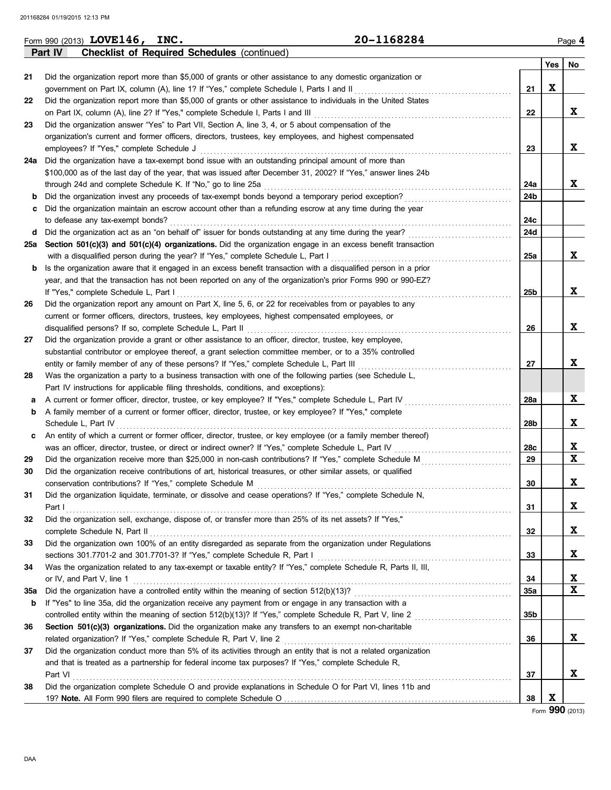|     | 20-1168284<br>Form 990 (2013) LOVE146, INC.                                                                      |                 |     | Page 4      |
|-----|------------------------------------------------------------------------------------------------------------------|-----------------|-----|-------------|
|     | Part IV<br><b>Checklist of Required Schedules (continued)</b>                                                    |                 |     |             |
|     |                                                                                                                  |                 | Yes | No          |
| 21  | Did the organization report more than \$5,000 of grants or other assistance to any domestic organization or      |                 |     |             |
|     | government on Part IX, column (A), line 1? If "Yes," complete Schedule I, Parts I and II                         | 21              | X   |             |
| 22  | Did the organization report more than \$5,000 of grants or other assistance to individuals in the United States  |                 |     |             |
|     | on Part IX, column (A), line 2? If "Yes," complete Schedule I, Parts I and III                                   | 22              |     | X           |
| 23  | Did the organization answer "Yes" to Part VII, Section A, line 3, 4, or 5 about compensation of the              |                 |     |             |
|     | organization's current and former officers, directors, trustees, key employees, and highest compensated          |                 |     |             |
|     | employees? If "Yes," complete Schedule J                                                                         | 23              |     | X           |
|     | 24a Did the organization have a tax-exempt bond issue with an outstanding principal amount of more than          |                 |     |             |
|     | \$100,000 as of the last day of the year, that was issued after December 31, 2002? If "Yes," answer lines 24b    |                 |     |             |
|     | through 24d and complete Schedule K. If "No," go to line 25a                                                     | 24a             |     | X           |
| b   | Did the organization invest any proceeds of tax-exempt bonds beyond a temporary period exception?                | 24b             |     |             |
| c   | Did the organization maintain an escrow account other than a refunding escrow at any time during the year        |                 |     |             |
|     | to defease any tax-exempt bonds?                                                                                 | 24c             |     |             |
|     | d Did the organization act as an "on behalf of" issuer for bonds outstanding at any time during the year?        | 24d             |     |             |
| 25а | Section 501(c)(3) and 501(c)(4) organizations. Did the organization engage in an excess benefit transaction      |                 |     |             |
|     | with a disqualified person during the year? If "Yes," complete Schedule L, Part I                                | 25a             |     | X           |
| b   | Is the organization aware that it engaged in an excess benefit transaction with a disqualified person in a prior |                 |     |             |
|     | year, and that the transaction has not been reported on any of the organization's prior Forms 990 or 990-EZ?     |                 |     |             |
|     | If "Yes," complete Schedule L, Part I                                                                            | 25b             |     | X           |
| 26  | Did the organization report any amount on Part X, line 5, 6, or 22 for receivables from or payables to any       |                 |     |             |
|     | current or former officers, directors, trustees, key employees, highest compensated employees, or                |                 |     |             |
|     | disqualified persons? If so, complete Schedule L, Part II                                                        | 26              |     | X           |
| 27  | Did the organization provide a grant or other assistance to an officer, director, trustee, key employee,         |                 |     |             |
|     | substantial contributor or employee thereof, a grant selection committee member, or to a 35% controlled          |                 |     |             |
|     | entity or family member of any of these persons? If "Yes," complete Schedule L, Part III                         | 27              |     | X           |
| 28  | Was the organization a party to a business transaction with one of the following parties (see Schedule L,        |                 |     |             |
|     | Part IV instructions for applicable filing thresholds, conditions, and exceptions):                              |                 |     |             |
| а   | A current or former officer, director, trustee, or key employee? If "Yes," complete Schedule L, Part IV          | 28a             |     | X           |
| b   | A family member of a current or former officer, director, trustee, or key employee? If "Yes," complete           |                 |     |             |
|     | Schedule L, Part IV                                                                                              | 28b             |     | X           |
| c   | An entity of which a current or former officer, director, trustee, or key employee (or a family member thereof)  |                 |     |             |
|     | was an officer, director, trustee, or direct or indirect owner? If "Yes," complete Schedule L, Part IV           | 28c             |     | X           |
| 29  | Did the organization receive more than \$25,000 in non-cash contributions? If "Yes," complete Schedule M         | 29              |     | $\mathbf x$ |
| 30  | Did the organization receive contributions of art, historical treasures, or other similar assets, or qualified   |                 |     |             |
|     | conservation contributions? If "Yes," complete Schedule M                                                        | $30\,$          |     |             |
| 31  | Did the organization liquidate, terminate, or dissolve and cease operations? If "Yes," complete Schedule N,      |                 |     | A           |
|     | Part I                                                                                                           | 31              |     | X           |
| 32  | Did the organization sell, exchange, dispose of, or transfer more than 25% of its net assets? If "Yes,"          |                 |     |             |
|     | complete Schedule N, Part II                                                                                     | 32              |     | X           |
| 33  | Did the organization own 100% of an entity disregarded as separate from the organization under Regulations       |                 |     |             |
|     |                                                                                                                  | 33              |     | X           |
| 34  | Was the organization related to any tax-exempt or taxable entity? If "Yes," complete Schedule R, Parts II, III,  |                 |     |             |
|     | or IV, and Part V, line 1                                                                                        | 34              |     | X           |
|     |                                                                                                                  |                 |     | X           |
| 35a | If "Yes" to line 35a, did the organization receive any payment from or engage in any transaction with a          | 35a             |     |             |
| b   |                                                                                                                  |                 |     |             |
|     |                                                                                                                  | 35 <sub>b</sub> |     |             |
| 36  | Section 501(c)(3) organizations. Did the organization make any transfers to an exempt non-charitable             |                 |     | X           |
|     | related organization? If "Yes," complete Schedule R, Part V, line 2                                              | 36              |     |             |
| 37  | Did the organization conduct more than 5% of its activities through an entity that is not a related organization |                 |     |             |
|     | and that is treated as a partnership for federal income tax purposes? If "Yes," complete Schedule R,             |                 |     |             |
|     | Part VI                                                                                                          | 37              |     | X           |
| 38  | Did the organization complete Schedule O and provide explanations in Schedule O for Part VI, lines 11b and       |                 |     |             |
|     |                                                                                                                  | 38              | X   |             |

Form **990** (2013)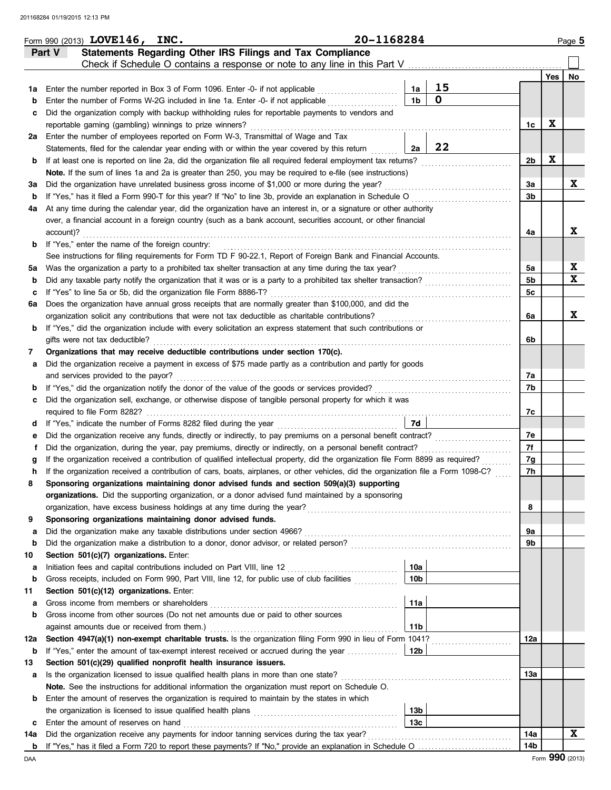|     | Statements Regarding Other IRS Filings and Tax Compliance<br>Part V<br>Check if Schedule O contains a response or note to any line in this Part V                                               |                 |                    |     |     |             |
|-----|-------------------------------------------------------------------------------------------------------------------------------------------------------------------------------------------------|-----------------|--------------------|-----|-----|-------------|
|     |                                                                                                                                                                                                 |                 |                    |     | Yes | No          |
| 1a  | Enter the number reported in Box 3 of Form 1096. Enter -0- if not applicable                                                                                                                    | 1a              | 15<br>$\mathbf{o}$ |     |     |             |
| b   | Enter the number of Forms W-2G included in line 1a. Enter -0- if not applicable                                                                                                                 | 1 <sub>b</sub>  |                    |     |     |             |
| c   | Did the organization comply with backup withholding rules for reportable payments to vendors and                                                                                                |                 |                    | 1c  | X   |             |
| 2a  | reportable gaming (gambling) winnings to prize winners?<br>Enter the number of employees reported on Form W-3, Transmittal of Wage and Tax                                                      |                 |                    |     |     |             |
|     | Statements, filed for the calendar year ending with or within the year covered by this return                                                                                                   | 2a              | 22                 |     |     |             |
| b   | If at least one is reported on line 2a, did the organization file all required federal employment tax returns?                                                                                  |                 |                    | 2b  | X   |             |
|     | Note. If the sum of lines 1a and 2a is greater than 250, you may be required to e-file (see instructions)                                                                                       |                 |                    |     |     |             |
| За  | Did the organization have unrelated business gross income of \$1,000 or more during the year?                                                                                                   |                 |                    | 3a  |     | X           |
| b   | If "Yes," has it filed a Form 990-T for this year? If "No" to line 3b, provide an explanation in Schedule O                                                                                     |                 |                    | 3b  |     |             |
| 4a  | At any time during the calendar year, did the organization have an interest in, or a signature or other authority                                                                               |                 |                    |     |     |             |
|     | over, a financial account in a foreign country (such as a bank account, securities account, or other financial                                                                                  |                 |                    |     |     |             |
|     | account)?                                                                                                                                                                                       |                 |                    | 4a  |     | X           |
| b   | If "Yes," enter the name of the foreign country:                                                                                                                                                |                 |                    |     |     |             |
|     | See instructions for filing requirements for Form TD F 90-22.1, Report of Foreign Bank and Financial Accounts.                                                                                  |                 |                    |     |     |             |
| 5а  | Was the organization a party to a prohibited tax shelter transaction at any time during the tax year?                                                                                           |                 |                    | 5a  |     | $\mathbf x$ |
| b   | Did any taxable party notify the organization that it was or is a party to a prohibited tax shelter transaction?                                                                                |                 |                    | 5b  |     | $\mathbf x$ |
| c   | If "Yes" to line 5a or 5b, did the organization file Form 8886-T?                                                                                                                               |                 |                    | 5с  |     |             |
| 6а  | Does the organization have annual gross receipts that are normally greater than \$100,000, and did the                                                                                          |                 |                    |     |     |             |
|     | organization solicit any contributions that were not tax deductible as charitable contributions?                                                                                                |                 |                    | 6a  |     | X           |
| b   | If "Yes," did the organization include with every solicitation an express statement that such contributions or                                                                                  |                 |                    |     |     |             |
|     | gifts were not tax deductible?                                                                                                                                                                  |                 |                    | 6b  |     |             |
| 7   | Organizations that may receive deductible contributions under section 170(c).                                                                                                                   |                 |                    |     |     |             |
| а   | Did the organization receive a payment in excess of \$75 made partly as a contribution and partly for goods                                                                                     |                 |                    |     |     |             |
|     | and services provided to the payor?                                                                                                                                                             |                 |                    | 7a  |     |             |
| b   | If "Yes," did the organization notify the donor of the value of the goods or services provided?                                                                                                 |                 |                    | 7b  |     |             |
| c   | Did the organization sell, exchange, or otherwise dispose of tangible personal property for which it was                                                                                        |                 |                    |     |     |             |
|     | required to file Form 8282?                                                                                                                                                                     |                 |                    | 7с  |     |             |
| d   |                                                                                                                                                                                                 | 7d              |                    |     |     |             |
| е   | Did the organization receive any funds, directly or indirectly, to pay premiums on a personal benefit contract?                                                                                 |                 |                    | 7e  |     |             |
| f   | Did the organization, during the year, pay premiums, directly or indirectly, on a personal benefit contract?                                                                                    |                 |                    | 7f  |     |             |
| g   | If the organization received a contribution of qualified intellectual property, did the organization file Form 8899 as required?                                                                |                 |                    | 7g  |     |             |
| h   | If the organization received a contribution of cars, boats, airplanes, or other vehicles, did the organization file a Form 1098-C?                                                              |                 |                    | 7h  |     |             |
| 8   | Sponsoring organizations maintaining donor advised funds and section 509(a)(3) supporting<br>organizations. Did the supporting organization, or a donor advised fund maintained by a sponsoring |                 |                    |     |     |             |
|     | organization, have excess business holdings at any time during the year?                                                                                                                        |                 |                    | 8   |     |             |
| 9   | Sponsoring organizations maintaining donor advised funds.                                                                                                                                       |                 |                    |     |     |             |
| a   | Did the organization make any taxable distributions under section 4966?                                                                                                                         |                 |                    | 9a  |     |             |
| b   |                                                                                                                                                                                                 |                 |                    | 9b  |     |             |
| 10  | Section 501(c)(7) organizations. Enter:                                                                                                                                                         |                 |                    |     |     |             |
| а   | Initiation fees and capital contributions included on Part VIII, line 12 [11] [11] [12] [11] [12] [11] [12] [1                                                                                  | 10a             |                    |     |     |             |
| b   | Gross receipts, included on Form 990, Part VIII, line 12, for public use of club facilities                                                                                                     | 10b             |                    |     |     |             |
| 11  | Section 501(c)(12) organizations. Enter:                                                                                                                                                        |                 |                    |     |     |             |
| а   | Gross income from members or shareholders                                                                                                                                                       | 11a             |                    |     |     |             |
| b   | Gross income from other sources (Do not net amounts due or paid to other sources                                                                                                                |                 |                    |     |     |             |
|     | against amounts due or received from them.)                                                                                                                                                     | 11 <sub>b</sub> |                    |     |     |             |
| 12a | Section 4947(a)(1) non-exempt charitable trusts. Is the organization filing Form 990 in lieu of Form 1041?                                                                                      |                 |                    | 12a |     |             |
| b   | If "Yes," enter the amount of tax-exempt interest received or accrued during the year                                                                                                           | 12b             |                    |     |     |             |
| 13  | Section 501(c)(29) qualified nonprofit health insurance issuers.                                                                                                                                |                 |                    |     |     |             |
| а   | Is the organization licensed to issue qualified health plans in more than one state?                                                                                                            |                 |                    | 13а |     |             |
|     | Note. See the instructions for additional information the organization must report on Schedule O.                                                                                               |                 |                    |     |     |             |
| b   | Enter the amount of reserves the organization is required to maintain by the states in which                                                                                                    |                 |                    |     |     |             |
|     |                                                                                                                                                                                                 | 13 <sub>b</sub> |                    |     |     |             |
| c   | Enter the amount of reserves on hand                                                                                                                                                            | 13с             |                    |     |     |             |
| 14a | Did the organization receive any payments for indoor tanning services during the tax year?                                                                                                      |                 |                    | 14a |     | X           |
| b   |                                                                                                                                                                                                 |                 |                    | 14b |     |             |

Form 990 (2013) Page **5 LOVE146, INC. 20-1168284**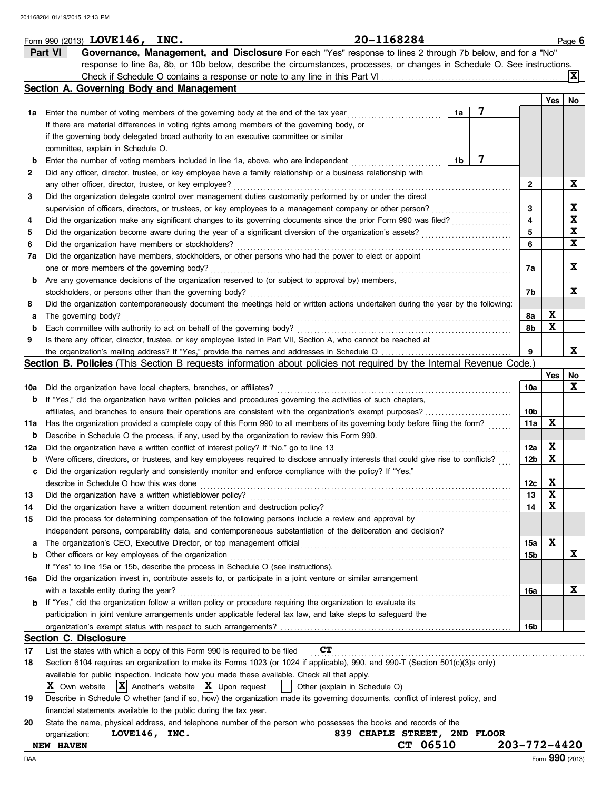|     | 20-1168284<br>Form 990 (2013) $LOVE146$ ,<br>INC.                                                                                   |                |   |                 |                           | Page 6      |
|-----|-------------------------------------------------------------------------------------------------------------------------------------|----------------|---|-----------------|---------------------------|-------------|
|     | Governance, Management, and Disclosure For each "Yes" response to lines 2 through 7b below, and for a "No"<br>Part VI               |                |   |                 |                           |             |
|     | response to line 8a, 8b, or 10b below, describe the circumstances, processes, or changes in Schedule O. See instructions.           |                |   |                 |                           |             |
|     |                                                                                                                                     |                |   |                 |                           | ΙXΙ         |
|     | Section A. Governing Body and Management                                                                                            |                |   |                 |                           |             |
|     |                                                                                                                                     |                |   |                 | Yes                       | No          |
| 1a  | Enter the number of voting members of the governing body at the end of the tax year                                                 | 1a             | 7 |                 |                           |             |
|     | If there are material differences in voting rights among members of the governing body, or                                          |                |   |                 |                           |             |
|     | if the governing body delegated broad authority to an executive committee or similar                                                |                |   |                 |                           |             |
|     | committee, explain in Schedule O.                                                                                                   |                |   |                 |                           |             |
| b   | Enter the number of voting members included in line 1a, above, who are independent                                                  | 1 <sub>b</sub> | 7 |                 |                           |             |
| 2   | Did any officer, director, trustee, or key employee have a family relationship or a business relationship with                      |                |   |                 |                           |             |
|     | any other officer, director, trustee, or key employee?                                                                              |                |   | 2               |                           | X           |
| 3   | Did the organization delegate control over management duties customarily performed by or under the direct                           |                |   |                 |                           |             |
|     | supervision of officers, directors, or trustees, or key employees to a management company or other person?                          |                |   | 3               |                           | X           |
| 4   | Did the organization make any significant changes to its governing documents since the prior Form 990 was filed?                    |                |   | 4               |                           | $\mathbf x$ |
|     |                                                                                                                                     |                |   | 5               |                           | X           |
| 5   | Did the organization become aware during the year of a significant diversion of the organization's assets?                          |                |   | 6               |                           | X           |
| 6   | Did the organization have members or stockholders?                                                                                  |                |   |                 |                           |             |
| 7a  | Did the organization have members, stockholders, or other persons who had the power to elect or appoint                             |                |   |                 |                           |             |
|     | one or more members of the governing body?                                                                                          |                |   | 7a              |                           | X           |
| b   | Are any governance decisions of the organization reserved to (or subject to approval by) members,                                   |                |   |                 |                           |             |
|     | stockholders, or persons other than the governing body?                                                                             |                |   | 7b              |                           | X           |
| 8   | Did the organization contemporaneously document the meetings held or written actions undertaken during the year by the following:   |                |   |                 |                           |             |
| а   | The governing body?                                                                                                                 |                |   | 8a              | X                         |             |
| b   | Each committee with authority to act on behalf of the governing body?                                                               |                |   | 8b              | X                         |             |
| 9   | Is there any officer, director, trustee, or key employee listed in Part VII, Section A, who cannot be reached at                    |                |   |                 |                           |             |
|     |                                                                                                                                     |                |   | 9               |                           | x           |
|     | Section B. Policies (This Section B requests information about policies not required by the Internal Revenue Code.)                 |                |   |                 |                           |             |
|     |                                                                                                                                     |                |   |                 | Yes l                     | No          |
| 10a | Did the organization have local chapters, branches, or affiliates?                                                                  |                |   | 10a             |                           | X           |
| b   | If "Yes," did the organization have written policies and procedures governing the activities of such chapters,                      |                |   |                 |                           |             |
|     | affiliates, and branches to ensure their operations are consistent with the organization's exempt purposes?                         |                |   | 10b             |                           |             |
| 11a | Has the organization provided a complete copy of this Form 990 to all members of its governing body before filing the form?         |                |   | 11a             | X                         |             |
| b   | Describe in Schedule O the process, if any, used by the organization to review this Form 990.                                       |                |   |                 |                           |             |
| 12a | Did the organization have a written conflict of interest policy? If "No," go to line 13                                             |                |   | 12a             | X                         |             |
| b   | Were officers, directors, or trustees, and key employees required to disclose annually interests that could give rise to conflicts? |                |   | 12b             | X                         |             |
|     | Did the organization regularly and consistently monitor and enforce compliance with the policy? If "Yes,"                           |                |   |                 |                           |             |
|     | describe in Schedule O how this was done                                                                                            |                |   | 12 <sub>c</sub> | $\boldsymbol{\mathrm{X}}$ |             |
| 13  | Did the organization have a written whistleblower policy?                                                                           |                |   | 13              | X                         |             |
| 14  | Did the organization have a written document retention and destruction policy?                                                      |                |   | 14              | X                         |             |
| 15  | Did the process for determining compensation of the following persons include a review and approval by                              |                |   |                 |                           |             |
|     | independent persons, comparability data, and contemporaneous substantiation of the deliberation and decision?                       |                |   |                 |                           |             |
| a   | The organization's CEO, Executive Director, or top management official                                                              |                |   | 15a             | X                         |             |
| b   | Other officers or key employees of the organization                                                                                 |                |   | 15b             |                           | X           |
|     | If "Yes" to line 15a or 15b, describe the process in Schedule O (see instructions).                                                 |                |   |                 |                           |             |
| 16a | Did the organization invest in, contribute assets to, or participate in a joint venture or similar arrangement                      |                |   |                 |                           |             |
|     | with a taxable entity during the year?                                                                                              |                |   | 16a             |                           | X           |
| b   | If "Yes," did the organization follow a written policy or procedure requiring the organization to evaluate its                      |                |   |                 |                           |             |
|     | participation in joint venture arrangements under applicable federal tax law, and take steps to safeguard the                       |                |   |                 |                           |             |
|     |                                                                                                                                     |                |   | 16b             |                           |             |
|     | <b>Section C. Disclosure</b>                                                                                                        |                |   |                 |                           |             |
| 17  | <b>CT</b><br>List the states with which a copy of this Form 990 is required to be filed                                             |                |   |                 |                           |             |
| 18  | Section 6104 requires an organization to make its Forms 1023 (or 1024 if applicable), 990, and 990-T (Section 501(c)(3)s only)      |                |   |                 |                           |             |
|     | available for public inspection. Indicate how you made these available. Check all that apply.                                       |                |   |                 |                           |             |
|     | IXI<br>Own website $ \mathbf{X} $ Another's website $ \mathbf{X} $ Upon request<br>Other (explain in Schedule O)                    |                |   |                 |                           |             |
| 19  | Describe in Schedule O whether (and if so, how) the organization made its governing documents, conflict of interest policy, and     |                |   |                 |                           |             |
|     |                                                                                                                                     |                |   |                 |                           |             |
|     | financial statements available to the public during the tax year.                                                                   |                |   |                 |                           |             |
| 20  | State the name, physical address, and telephone number of the person who possesses the books and records of the                     |                |   |                 |                           |             |
|     | LOVE146, INC.<br>839 CHAPLE STREET, 2ND FLOOR<br>organization:                                                                      |                |   |                 |                           |             |
|     | CT 06510<br><b>NEW HAVEN</b>                                                                                                        |                |   | 203-772-4420    |                           |             |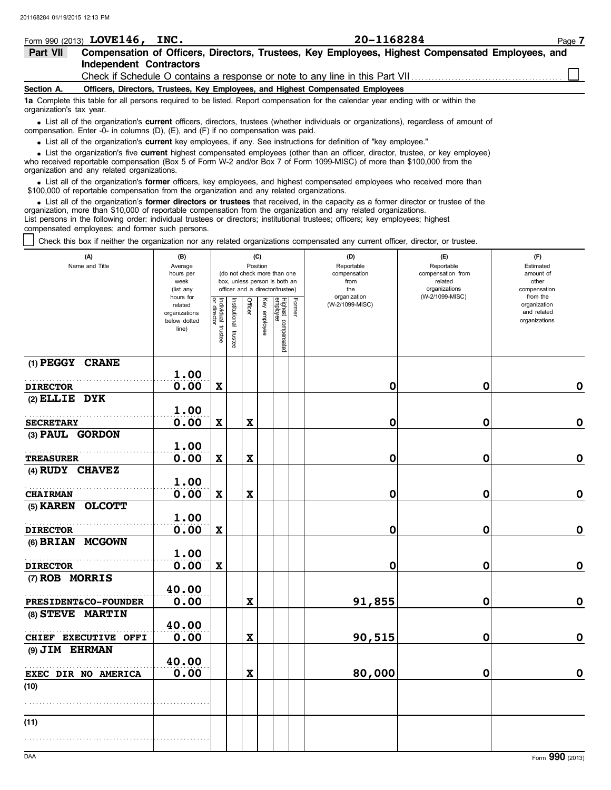|                                                                                                              | Form 990 (2013) LOVE146,       | INC.                                                                                                               | 20-1168284                                                                                                                                                                                                                                                  |  |  |  |  |  |  |
|--------------------------------------------------------------------------------------------------------------|--------------------------------|--------------------------------------------------------------------------------------------------------------------|-------------------------------------------------------------------------------------------------------------------------------------------------------------------------------------------------------------------------------------------------------------|--|--|--|--|--|--|
| Compensation of Officers, Directors, Trustees, Key Employees, Highest Compensated Employees, and<br>Part VII |                                |                                                                                                                    |                                                                                                                                                                                                                                                             |  |  |  |  |  |  |
|                                                                                                              | <b>Independent Contractors</b> |                                                                                                                    |                                                                                                                                                                                                                                                             |  |  |  |  |  |  |
|                                                                                                              |                                |                                                                                                                    |                                                                                                                                                                                                                                                             |  |  |  |  |  |  |
| Section A.                                                                                                   |                                | Officers, Directors, Trustees, Key Employees, and Highest Compensated Employees                                    |                                                                                                                                                                                                                                                             |  |  |  |  |  |  |
| organization's tax year.                                                                                     |                                |                                                                                                                    | 1a Complete this table for all persons required to be listed. Report compensation for the calendar year ending with or within the                                                                                                                           |  |  |  |  |  |  |
|                                                                                                              |                                | compensation. Enter -0- in columns (D), $(E)$ , and $(F)$ if no compensation was paid.                             | • List all of the organization's current officers, directors, trustees (whether individuals or organizations), regardless of amount of                                                                                                                      |  |  |  |  |  |  |
|                                                                                                              |                                | • List all of the organization's current key employees, if any. See instructions for definition of "key employee." |                                                                                                                                                                                                                                                             |  |  |  |  |  |  |
|                                                                                                              |                                |                                                                                                                    | • List the organization's five current highest compensated employees (other than an officer, director, trustee, or key employee)<br>who received reportable compensation (Rev 5 of Ferm W 2 and/or Rev 7 of Ferm 1000 MISC) of mere than \$100,000 from the |  |  |  |  |  |  |

who received reportable compensation (Box 5 of Form W-2 and/or Box 7 of Form 1099-MISC) of more than \$100,000 from the organization and any related organizations.

• List all of the organization's **former** officers, key employees, and highest compensated employees who received more than<br>00,000 of reportable compensation from the organization and any related organizations \$100,000 of reportable compensation from the organization and any related organizations.

• List all of the organization's **former directors or trustees** that received, in the capacity as a former director or trustee of the principle compensation from the organization and any related organizations organization, more than \$10,000 of reportable compensation from the organization and any related organizations. List persons in the following order: individual trustees or directors; institutional trustees; officers; key employees; highest compensated employees; and former such persons.

Check this box if neither the organization nor any related organizations compensated any current officer, director, or trustee.

| (A)<br>Name and Title               | (B)<br>Average<br>hours per<br>week<br>(list any               |                                   |                       |                           | (C)<br>Position | (do not check more than one<br>box, unless person is both an<br>officer and a director/trustee) |        | (D)<br>Reportable<br>compensation<br>from<br>the<br>organization | (E)<br>Reportable<br>compensation from<br>related<br>organizations<br>(W-2/1099-MISC) | (F)<br>Estimated<br>amount of<br>other<br>compensation<br>from the |
|-------------------------------------|----------------------------------------------------------------|-----------------------------------|-----------------------|---------------------------|-----------------|-------------------------------------------------------------------------------------------------|--------|------------------------------------------------------------------|---------------------------------------------------------------------------------------|--------------------------------------------------------------------|
|                                     | hours for<br>related<br>organizations<br>below dotted<br>line) | Individual trustee<br>or director | Institutional trustee | Officer                   | Key employee    | Highest compensated<br>employee                                                                 | Former | (W-2/1099-MISC)                                                  |                                                                                       | organization<br>and related<br>organizations                       |
| (1) PEGGY CRANE                     | 1.00                                                           |                                   |                       |                           |                 |                                                                                                 |        |                                                                  |                                                                                       |                                                                    |
| <b>DIRECTOR</b>                     | 0.00                                                           | $\boldsymbol{\mathrm{X}}$         |                       |                           |                 |                                                                                                 |        | 0                                                                | $\mathbf 0$                                                                           | $\mathbf 0$                                                        |
| $(2)$ ELLIE DYK                     | 1.00                                                           |                                   |                       |                           |                 |                                                                                                 |        |                                                                  |                                                                                       |                                                                    |
| <b>SECRETARY</b>                    | 0.00                                                           | $\mathbf x$                       |                       | $\mathbf x$               |                 |                                                                                                 |        | 0                                                                | 0                                                                                     | $\mathbf 0$                                                        |
| (3) PAUL GORDON                     |                                                                |                                   |                       |                           |                 |                                                                                                 |        |                                                                  |                                                                                       |                                                                    |
|                                     | 1.00                                                           |                                   |                       |                           |                 |                                                                                                 |        |                                                                  |                                                                                       |                                                                    |
| <b>TREASURER</b>                    | 0.00                                                           | $\boldsymbol{\mathrm{X}}$         |                       | $\mathbf x$               |                 |                                                                                                 |        | 0                                                                | $\mathbf 0$                                                                           | $\mathbf 0$                                                        |
| (4) RUDY CHAVEZ                     |                                                                |                                   |                       |                           |                 |                                                                                                 |        |                                                                  |                                                                                       |                                                                    |
|                                     | 1.00                                                           |                                   |                       |                           |                 |                                                                                                 |        |                                                                  |                                                                                       |                                                                    |
| <b>CHAIRMAN</b>                     | 0.00                                                           | $\mathbf x$                       |                       | $\mathbf x$               |                 |                                                                                                 |        | 0                                                                | $\mathbf 0$                                                                           | $\mathbf 0$                                                        |
| (5) KAREN OLCOTT                    |                                                                |                                   |                       |                           |                 |                                                                                                 |        |                                                                  |                                                                                       |                                                                    |
|                                     | 1.00                                                           |                                   |                       |                           |                 |                                                                                                 |        |                                                                  | $\mathbf 0$                                                                           | $\mathbf 0$                                                        |
| <b>DIRECTOR</b><br>(6) BRIAN MCGOWN | 0.00                                                           | $\mathbf x$                       |                       |                           |                 |                                                                                                 |        | 0                                                                |                                                                                       |                                                                    |
|                                     | 1.00                                                           |                                   |                       |                           |                 |                                                                                                 |        |                                                                  |                                                                                       |                                                                    |
| <b>DIRECTOR</b>                     | 0.00                                                           | $\mathbf x$                       |                       |                           |                 |                                                                                                 |        | 0                                                                | $\mathbf 0$                                                                           | $\mathbf 0$                                                        |
| (7) ROB MORRIS                      |                                                                |                                   |                       |                           |                 |                                                                                                 |        |                                                                  |                                                                                       |                                                                    |
|                                     | 40.00                                                          |                                   |                       |                           |                 |                                                                                                 |        |                                                                  |                                                                                       |                                                                    |
| <b>PRESIDENT&amp;CO-FOUNDER</b>     | 0.00                                                           |                                   |                       | $\mathbf x$               |                 |                                                                                                 |        | 91,855                                                           | $\mathbf 0$                                                                           | $\mathbf 0$                                                        |
| (8) STEVE MARTIN                    |                                                                |                                   |                       |                           |                 |                                                                                                 |        |                                                                  |                                                                                       |                                                                    |
|                                     | 40.00                                                          |                                   |                       |                           |                 |                                                                                                 |        |                                                                  |                                                                                       |                                                                    |
| CHIEF EXECUTIVE OFFI                | 0.00                                                           |                                   |                       | $\boldsymbol{\mathrm{X}}$ |                 |                                                                                                 |        | 90,515                                                           | $\mathbf 0$                                                                           | $\mathbf 0$                                                        |
| (9) JIM EHRMAN                      | 40.00                                                          |                                   |                       |                           |                 |                                                                                                 |        |                                                                  |                                                                                       |                                                                    |
| EXEC DIR NO AMERICA                 | 0.00                                                           |                                   |                       | $\mathbf x$               |                 |                                                                                                 |        | 80,000                                                           | $\mathbf 0$                                                                           | $\mathbf{o}$                                                       |
| (10)                                |                                                                |                                   |                       |                           |                 |                                                                                                 |        |                                                                  |                                                                                       |                                                                    |
|                                     |                                                                |                                   |                       |                           |                 |                                                                                                 |        |                                                                  |                                                                                       |                                                                    |
| (11)                                |                                                                |                                   |                       |                           |                 |                                                                                                 |        |                                                                  |                                                                                       |                                                                    |
|                                     |                                                                |                                   |                       |                           |                 |                                                                                                 |        |                                                                  |                                                                                       |                                                                    |
|                                     |                                                                |                                   |                       |                           |                 |                                                                                                 |        |                                                                  |                                                                                       |                                                                    |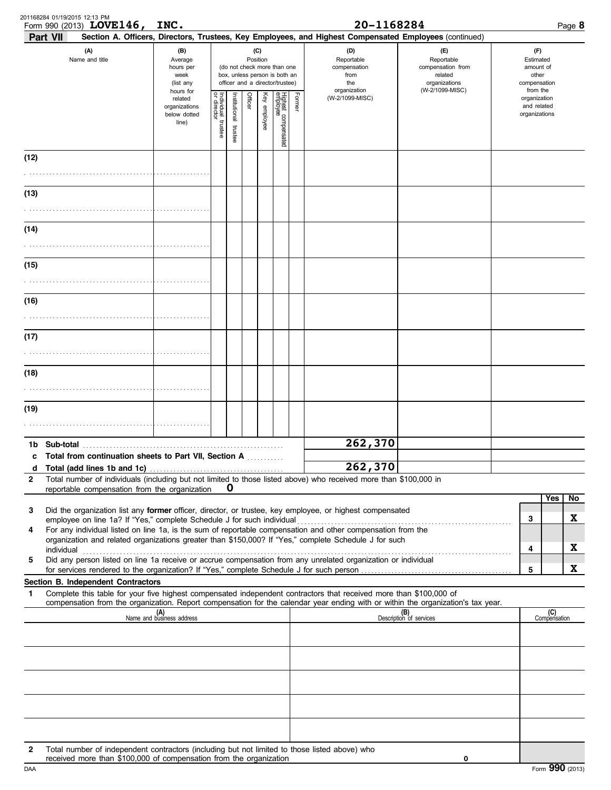|              | 201168284 01/19/2015 12:13 PM<br>Form 990 (2013) LOVE146,                                                                                                                                                            | INC.                                                          |                         |                       |         |                 |                                                                                                 |        | 20-1168284                                                                                             |                                                                                       |                                                                    |                     | Page 8 |
|--------------|----------------------------------------------------------------------------------------------------------------------------------------------------------------------------------------------------------------------|---------------------------------------------------------------|-------------------------|-----------------------|---------|-----------------|-------------------------------------------------------------------------------------------------|--------|--------------------------------------------------------------------------------------------------------|---------------------------------------------------------------------------------------|--------------------------------------------------------------------|---------------------|--------|
|              | Part VII                                                                                                                                                                                                             |                                                               |                         |                       |         |                 |                                                                                                 |        | Section A. Officers, Directors, Trustees, Key Employees, and Highest Compensated Employees (continued) |                                                                                       |                                                                    |                     |        |
|              | (A)<br>Name and title                                                                                                                                                                                                | (B)<br>Average<br>hours per<br>week<br>(list any<br>hours for |                         |                       |         | (C)<br>Position | (do not check more than one<br>box, unless person is both an<br>officer and a director/trustee) |        | (D)<br>Reportable<br>compensation<br>from<br>the<br>organization                                       | (F)<br>Reportable<br>compensation from<br>related<br>organizations<br>(W-2/1099-MISC) | (F)<br>Estimated<br>amount of<br>other<br>compensation<br>from the |                     |        |
|              |                                                                                                                                                                                                                      | related<br>organizations<br>below dotted<br>line)             | Individual 1<br>trustee | Institutional trustee | Officer | Key employee    | Highest compensated<br>employee                                                                 | Former | (W-2/1099-MISC)                                                                                        |                                                                                       | organization<br>and related<br>organizations                       |                     |        |
| (12)         |                                                                                                                                                                                                                      |                                                               |                         |                       |         |                 |                                                                                                 |        |                                                                                                        |                                                                                       |                                                                    |                     |        |
| (13)         |                                                                                                                                                                                                                      |                                                               |                         |                       |         |                 |                                                                                                 |        |                                                                                                        |                                                                                       |                                                                    |                     |        |
|              |                                                                                                                                                                                                                      |                                                               |                         |                       |         |                 |                                                                                                 |        |                                                                                                        |                                                                                       |                                                                    |                     |        |
| (14)         |                                                                                                                                                                                                                      |                                                               |                         |                       |         |                 |                                                                                                 |        |                                                                                                        |                                                                                       |                                                                    |                     |        |
| (15)         |                                                                                                                                                                                                                      |                                                               |                         |                       |         |                 |                                                                                                 |        |                                                                                                        |                                                                                       |                                                                    |                     |        |
|              |                                                                                                                                                                                                                      |                                                               |                         |                       |         |                 |                                                                                                 |        |                                                                                                        |                                                                                       |                                                                    |                     |        |
| (16)         |                                                                                                                                                                                                                      |                                                               |                         |                       |         |                 |                                                                                                 |        |                                                                                                        |                                                                                       |                                                                    |                     |        |
| (17)         |                                                                                                                                                                                                                      |                                                               |                         |                       |         |                 |                                                                                                 |        |                                                                                                        |                                                                                       |                                                                    |                     |        |
| (18)         |                                                                                                                                                                                                                      |                                                               |                         |                       |         |                 |                                                                                                 |        |                                                                                                        |                                                                                       |                                                                    |                     |        |
|              |                                                                                                                                                                                                                      |                                                               |                         |                       |         |                 |                                                                                                 |        |                                                                                                        |                                                                                       |                                                                    |                     |        |
| (19)         |                                                                                                                                                                                                                      |                                                               |                         |                       |         |                 |                                                                                                 |        |                                                                                                        |                                                                                       |                                                                    |                     |        |
|              |                                                                                                                                                                                                                      |                                                               |                         |                       |         |                 |                                                                                                 |        |                                                                                                        |                                                                                       |                                                                    |                     |        |
| 1b.          | Sub-total                                                                                                                                                                                                            |                                                               |                         |                       |         |                 |                                                                                                 |        | 262,370                                                                                                |                                                                                       |                                                                    |                     |        |
|              | c Total from continuation sheets to Part VII, Section A                                                                                                                                                              |                                                               |                         |                       |         |                 |                                                                                                 |        | 262,370                                                                                                |                                                                                       |                                                                    |                     |        |
| $\mathbf{2}$ | Total number of individuals (including but not limited to those listed above) who received more than \$100,000 in                                                                                                    |                                                               |                         |                       |         |                 |                                                                                                 |        |                                                                                                        |                                                                                       |                                                                    |                     |        |
|              | reportable compensation from the organization                                                                                                                                                                        |                                                               |                         | O                     |         |                 |                                                                                                 |        |                                                                                                        |                                                                                       |                                                                    | Yes                 | No     |
| 3            | Did the organization list any former officer, director, or trustee, key employee, or highest compensated                                                                                                             |                                                               |                         |                       |         |                 |                                                                                                 |        |                                                                                                        |                                                                                       | 3                                                                  |                     | X      |
| 4            | For any individual listed on line 1a, is the sum of reportable compensation and other compensation from the<br>organization and related organizations greater than \$150,000? If "Yes," complete Schedule J for such |                                                               |                         |                       |         |                 |                                                                                                 |        |                                                                                                        |                                                                                       |                                                                    |                     |        |
|              | individual<br>Did any person listed on line 1a receive or accrue compensation from any unrelated organization or individual                                                                                          |                                                               |                         |                       |         |                 |                                                                                                 |        |                                                                                                        |                                                                                       | 4                                                                  |                     | X      |
| 5            |                                                                                                                                                                                                                      |                                                               |                         |                       |         |                 |                                                                                                 |        |                                                                                                        |                                                                                       | 5                                                                  |                     | X      |
| 1            | Section B. Independent Contractors<br>Complete this table for your five highest compensated independent contractors that received more than \$100,000 of                                                             |                                                               |                         |                       |         |                 |                                                                                                 |        |                                                                                                        |                                                                                       |                                                                    |                     |        |
|              | compensation from the organization. Report compensation for the calendar year ending with or within the organization's tax year.                                                                                     |                                                               |                         |                       |         |                 |                                                                                                 |        |                                                                                                        |                                                                                       |                                                                    |                     |        |
|              |                                                                                                                                                                                                                      | (A)<br>Name and business address                              |                         |                       |         |                 |                                                                                                 |        |                                                                                                        | (B)<br>Description of services                                                        |                                                                    | (C)<br>Compensation |        |
|              |                                                                                                                                                                                                                      |                                                               |                         |                       |         |                 |                                                                                                 |        |                                                                                                        |                                                                                       |                                                                    |                     |        |
|              |                                                                                                                                                                                                                      |                                                               |                         |                       |         |                 |                                                                                                 |        |                                                                                                        |                                                                                       |                                                                    |                     |        |
|              |                                                                                                                                                                                                                      |                                                               |                         |                       |         |                 |                                                                                                 |        |                                                                                                        |                                                                                       |                                                                    |                     |        |
|              |                                                                                                                                                                                                                      |                                                               |                         |                       |         |                 |                                                                                                 |        |                                                                                                        |                                                                                       |                                                                    |                     |        |
| $\mathbf{2}$ | Total number of independent contractors (including but not limited to those listed above) who<br>received more than \$100,000 of compensation from the organization                                                  |                                                               |                         |                       |         |                 |                                                                                                 |        |                                                                                                        | 0                                                                                     |                                                                    |                     |        |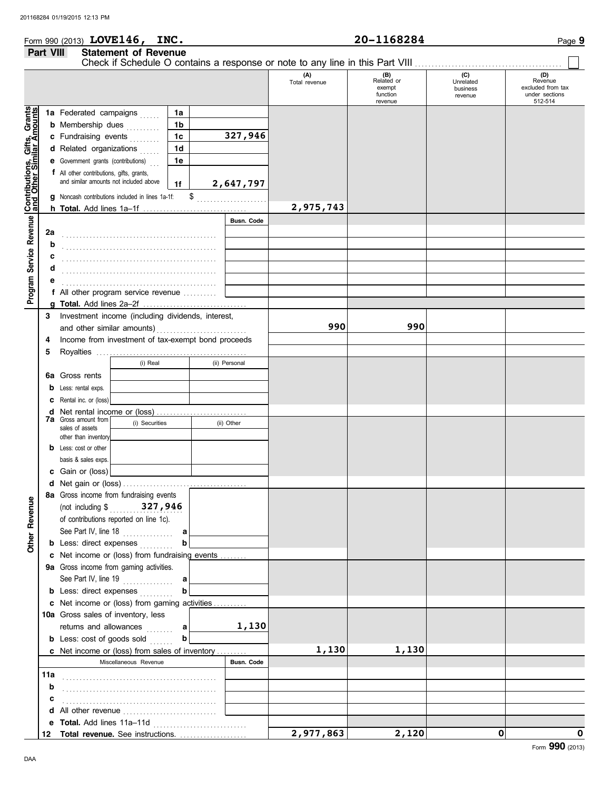# Form 990 (2013) Page **9 LOVE146, INC. 20-1168284 Part VIII Statement of Revenue**

|                                                           |     |                                                    |                           |             |  |                   |                      |                                                      | Check if Schedule O contains a response or note to any line in this Part VIII |                                                                  |
|-----------------------------------------------------------|-----|----------------------------------------------------|---------------------------|-------------|--|-------------------|----------------------|------------------------------------------------------|-------------------------------------------------------------------------------|------------------------------------------------------------------|
|                                                           |     |                                                    |                           |             |  |                   | (A)<br>Total revenue | $(B)$<br>Related or<br>exempt<br>function<br>revenue | (C)<br>Unrelated<br>business<br>revenue                                       | (D)<br>Revenue<br>excluded from tax<br>under sections<br>512-514 |
|                                                           |     | 1a Federated campaigns                             |                           | 1a          |  |                   |                      |                                                      |                                                                               |                                                                  |
| Contributions, Gifts, Grants<br>and Other Similar Amounts |     | <b>b</b> Membership dues                           |                           | 1b          |  |                   |                      |                                                      |                                                                               |                                                                  |
|                                                           |     | c Fundraising events                               |                           | 1c          |  | 327,946           |                      |                                                      |                                                                               |                                                                  |
|                                                           |     | d Related organizations                            |                           | 1d          |  |                   |                      |                                                      |                                                                               |                                                                  |
|                                                           |     | <b>e</b> Government grants (contributions)         |                           | 1e          |  |                   |                      |                                                      |                                                                               |                                                                  |
|                                                           |     | f All other contributions, gifts, grants,          |                           |             |  |                   |                      |                                                      |                                                                               |                                                                  |
|                                                           |     | and similar amounts not included above             |                           |             |  | 2,647,797         |                      |                                                      |                                                                               |                                                                  |
|                                                           |     |                                                    |                           | 1f          |  |                   |                      |                                                      |                                                                               |                                                                  |
|                                                           | g   | Noncash contributions included in lines 1a-1f:     |                           |             |  | $\frac{1}{2}$     |                      |                                                      |                                                                               |                                                                  |
|                                                           |     |                                                    |                           |             |  |                   | 2,975,743            |                                                      |                                                                               |                                                                  |
| Service Revenue                                           |     |                                                    |                           |             |  | <b>Busn. Code</b> |                      |                                                      |                                                                               |                                                                  |
|                                                           | 2a  |                                                    |                           |             |  |                   |                      |                                                      |                                                                               |                                                                  |
|                                                           | b   |                                                    |                           |             |  |                   |                      |                                                      |                                                                               |                                                                  |
|                                                           | с   |                                                    |                           |             |  |                   |                      |                                                      |                                                                               |                                                                  |
|                                                           | d   |                                                    |                           |             |  |                   |                      |                                                      |                                                                               |                                                                  |
|                                                           |     |                                                    |                           |             |  |                   |                      |                                                      |                                                                               |                                                                  |
| Program                                                   |     | f All other program service revenue                |                           |             |  |                   |                      |                                                      |                                                                               |                                                                  |
|                                                           | a   |                                                    |                           |             |  |                   |                      |                                                      |                                                                               |                                                                  |
|                                                           | 3   | Investment income (including dividends, interest,  |                           |             |  |                   |                      |                                                      |                                                                               |                                                                  |
|                                                           |     |                                                    |                           |             |  |                   | 990                  | 990                                                  |                                                                               |                                                                  |
|                                                           | 4   | Income from investment of tax-exempt bond proceeds |                           |             |  |                   |                      |                                                      |                                                                               |                                                                  |
|                                                           | 5   |                                                    |                           |             |  |                   |                      |                                                      |                                                                               |                                                                  |
|                                                           |     |                                                    | (i) Real                  |             |  | (ii) Personal     |                      |                                                      |                                                                               |                                                                  |
|                                                           | 6а  | Gross rents                                        |                           |             |  |                   |                      |                                                      |                                                                               |                                                                  |
|                                                           | b   | Less: rental exps.                                 |                           |             |  |                   |                      |                                                      |                                                                               |                                                                  |
|                                                           | c   | Rental inc. or (loss)                              |                           |             |  |                   |                      |                                                      |                                                                               |                                                                  |
|                                                           | d   |                                                    |                           |             |  |                   |                      |                                                      |                                                                               |                                                                  |
|                                                           |     | <b>7a</b> Gross amount from                        | (i) Securities            |             |  | (ii) Other        |                      |                                                      |                                                                               |                                                                  |
|                                                           |     | sales of assets                                    |                           |             |  |                   |                      |                                                      |                                                                               |                                                                  |
|                                                           |     | other than inventory                               |                           |             |  |                   |                      |                                                      |                                                                               |                                                                  |
|                                                           | b   | Less: cost or other                                |                           |             |  |                   |                      |                                                      |                                                                               |                                                                  |
|                                                           |     | basis & sales exps.                                |                           |             |  |                   |                      |                                                      |                                                                               |                                                                  |
|                                                           | c   | Gain or (loss)                                     |                           |             |  |                   |                      |                                                      |                                                                               |                                                                  |
|                                                           |     |                                                    |                           |             |  |                   |                      |                                                      |                                                                               |                                                                  |
| ୁ                                                         |     | 8a Gross income from fundraising events            |                           |             |  |                   |                      |                                                      |                                                                               |                                                                  |
|                                                           |     |                                                    | (not including \$327,946) |             |  |                   |                      |                                                      |                                                                               |                                                                  |
|                                                           |     | of contributions reported on line 1c).             |                           |             |  |                   |                      |                                                      |                                                                               |                                                                  |
| Other Revenu                                              |     |                                                    | See Part IV, line 18      | a           |  |                   |                      |                                                      |                                                                               |                                                                  |
|                                                           |     | <b>b</b> Less: direct expenses                     |                           | b           |  |                   |                      |                                                      |                                                                               |                                                                  |
|                                                           |     | c Net income or (loss) from fundraising events     |                           |             |  |                   |                      |                                                      |                                                                               |                                                                  |
|                                                           |     | 9a Gross income from gaming activities.            |                           |             |  |                   |                      |                                                      |                                                                               |                                                                  |
|                                                           |     |                                                    | See Part IV, line 19      | a           |  |                   |                      |                                                      |                                                                               |                                                                  |
|                                                           |     | <b>b</b> Less: direct expenses                     |                           | b           |  |                   |                      |                                                      |                                                                               |                                                                  |
|                                                           |     | c Net income or (loss) from gaming activities      |                           |             |  |                   |                      |                                                      |                                                                               |                                                                  |
|                                                           |     | 10a Gross sales of inventory, less                 |                           |             |  |                   |                      |                                                      |                                                                               |                                                                  |
|                                                           |     |                                                    | returns and allowances    | $\mathbf a$ |  | 1,130             |                      |                                                      |                                                                               |                                                                  |
|                                                           |     | <b>b</b> Less: cost of goods sold                  |                           | b           |  |                   |                      |                                                      |                                                                               |                                                                  |
|                                                           |     | c Net income or (loss) from sales of inventory     |                           |             |  |                   | 1,130                | 1,130                                                |                                                                               |                                                                  |
|                                                           |     |                                                    | Miscellaneous Revenue     |             |  | Busn. Code        |                      |                                                      |                                                                               |                                                                  |
|                                                           | 11a |                                                    |                           |             |  |                   |                      |                                                      |                                                                               |                                                                  |
|                                                           | b   |                                                    |                           |             |  |                   |                      |                                                      |                                                                               |                                                                  |
|                                                           |     |                                                    |                           |             |  |                   |                      |                                                      |                                                                               |                                                                  |
|                                                           | c   |                                                    |                           |             |  |                   |                      |                                                      |                                                                               |                                                                  |
|                                                           | d   | All other revenue                                  |                           |             |  |                   |                      |                                                      |                                                                               |                                                                  |
|                                                           | е   |                                                    |                           |             |  |                   |                      |                                                      | 0                                                                             | 0                                                                |
|                                                           | 12  | Total revenue. See instructions.                   |                           |             |  |                   | 2,977,863            | 2,120                                                |                                                                               |                                                                  |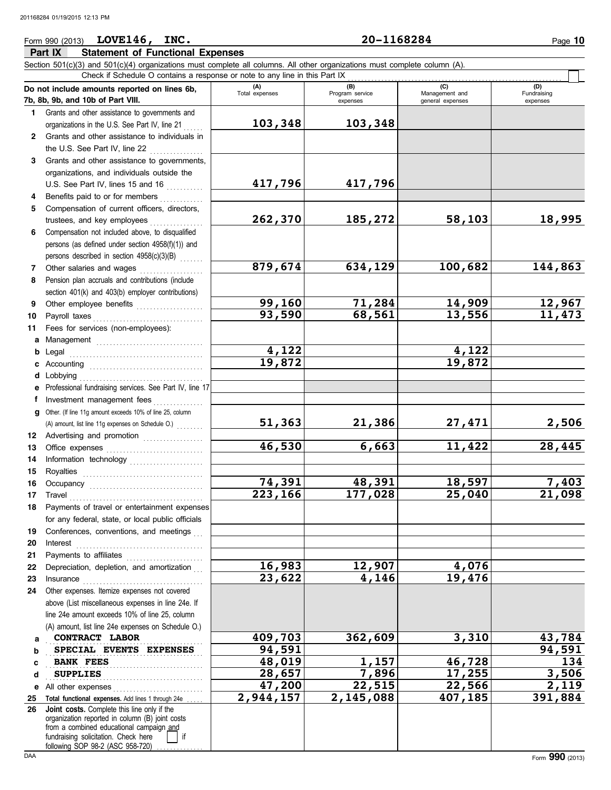## Form 990 (2013) Page **10 LOVE146, INC. 20-1168284**

**Part IX Statement of Functional Expenses**

#### Section 501(c)(3) and 501(c)(4) organizations must complete all columns. All other organizations must complete column (A). **Do not include amounts reported on lines 6b, 7b, 8b, 9b, and 10b of Part VIII. 1 2 3** Grants and other assistance to governments, **4 5 6** Compensation not included above, to disqualified **7 8 9 10 11 a** Management . . . . . . . . . . . . . . . . . . . . . . . . . . . . . . . . **b** Legal **c** Accounting . . . . . . . . . . . . . . . . . . . . . . . . . . . . . . . . . . **d** Lobbying . . . . . . . . . . . . . . . . . . . . . . . . . . . . . . . . . . . . . **e** Professional fundraising services. See Part IV, line 17 **f g** Other. (If line 11g amount exceeds 10% of line 25, column **12** Advertising and promotion . . . . . . . . . . . . . . . . . . **13 14 15 16 17 18 19 20 21 22 23 24** Other expenses. Itemize expenses not covered **a** . . . . . . . . . . . . . . . . . . . . . . . . . . . . . . . . . . . . . . . . . . . . . . . **CONTRACT LABOR 409,703 362,609 3,310 43,784 b c d e** All other expenses . . . . . . . . . . . . . . . . . . . . . . . . . . . 25 Total functional expenses. Add lines 1 through 24e ..... **26** Grants and other assistance to governments and organizations in the U.S. See Part IV, line 21 Grants and other assistance to individuals in the U.S. See Part IV, line 22 . . . . . . . . . . . . . . . . organizations, and individuals outside the U.S. See Part IV, lines 15 and 16 Benefits paid to or for members . . . . . . . . . . . . . Compensation of current officers, directors, trustees, and key employees persons (as defined under section 4958(f)(1)) and persons described in section  $4958(c)(3)(B)$ Other salaries and wages Pension plan accruals and contributions (include section 401(k) and 403(b) employer contributions) Other employee benefits ....................<br>Pavroll taxes Fees for services (non-employees): Legal . . . . . . . . . . . . . . . . . . . . . . . . . . . . . . . . . . . . . . . . Investment management fees ................. Office expenses . . . . . . . . . . . . . . . . . . . . . . . . . . . . . Information technology . . . . . . . . . . . . . . . . . . . . . . Royalties . . . . . . . . . . . . . . . . . . . . . . . . . . . . . . . . . . . . Occupancy . . . . . . . . . . . . . . . . . . . . . . . . . . . . . . . . . . Travel . . . . . . . . . . . . . . . . . . . . . . . . . . . . . . . . . . . . . . . . Payments of travel or entertainment expenses for any federal, state, or local public officials Conferences, conventions, and meetings Interest . . . . . . . . . . . . . . . . . . . . . . . . . . . . . . . . . . . . . . Payments to affiliates . . . . . . . . . . . . . . . . . . . . . . . Depreciation, depletion, and amortization Insurance . . . . . . . . . . . . . . . . . . . . . . . . . . . . . . . . . . . . above (List miscellaneous expenses in line 24e. If line 24e amount exceeds 10% of line 25, column (A) amount, list line 24e expenses on Schedule O.) fundraising solicitation. Check here | | if organization reported in column (B) joint costs from a combined educational campaign and following SOP 98-2 (ASC 958-720) **(A) (B) (C) (D)** Total expenses | Program service | Management and expenses and in the qeneral expenses Fundraising expenses **SPECIAL EVENTS EXPENSES** 94,591 94,990 94,591 BANK FEES SUPPLIES Check if Schedule O contains a response or note to any line in this Part IX . . . . . . . . . . . . . . . . . . . . . . . . . . . . . . . . . . . . . . . . . . . . . . . . . . . . . . . . . . . . . . . . **Joint costs.** Complete this line only if the (A) amount, list line 11g expenses on Schedule O.) **103,348 103,348 417,796 417,796 262,370 185,272 58,103 18,995 879,674 634,129 100,682 144,863 99,160 71,284 14,909 12,967 93,590 68,561 13,556 11,473 4,122 4,122 19,872 19,872 51,363 21,386 27,471 2,506 46,530 6,663 11,422 28,445 74,391 48,391 18,597 7,403 223,166 177,028 25,040 21,098 16,983 12,907 4,076 23,622 4,146 19,476 BANK FEES 48,019 1,157 46,728 134 SUPPLIES 28,657 7,896 17,255 3,506 47,200 22,515 22,566 2,119 2,944,157 2,145,088 407,185 391,884**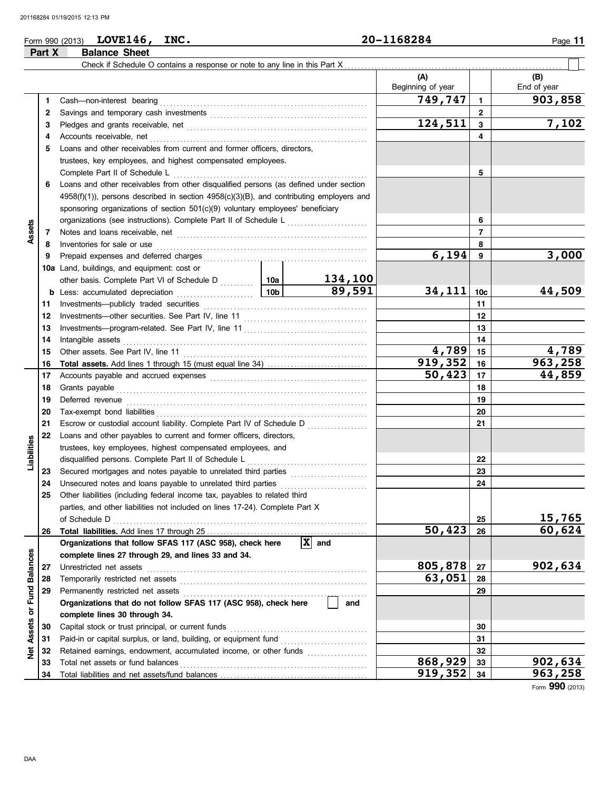# Form 990 (2013) **LOVE146, INC.**  $20-1168284$  Page 11

**Part X Balance Sheet**

|                     |     | Check if Schedule O contains a response or note to any line in this Part X                                                                                                                                                           |        |                               |                          |              |                    |
|---------------------|-----|--------------------------------------------------------------------------------------------------------------------------------------------------------------------------------------------------------------------------------------|--------|-------------------------------|--------------------------|--------------|--------------------|
|                     |     |                                                                                                                                                                                                                                      |        |                               | (A)<br>Beginning of year |              | (B)<br>End of year |
|                     | 1   | Cash-non-interest bearing                                                                                                                                                                                                            |        |                               | 749,747                  | $\mathbf{1}$ | 903,858            |
|                     | 2   |                                                                                                                                                                                                                                      |        |                               |                          | $\mathbf{2}$ |                    |
|                     | 3   | Pledges and grants receivable, net manufactured and grants receivable, net                                                                                                                                                           |        |                               | 124,511                  | 3            | 7,102              |
|                     | 4   | Accounts receivable, net                                                                                                                                                                                                             |        |                               |                          | 4            |                    |
|                     | 5   | Loans and other receivables from current and former officers, directors,                                                                                                                                                             |        |                               |                          |              |                    |
|                     |     | trustees, key employees, and highest compensated employees.                                                                                                                                                                          |        |                               |                          |              |                    |
|                     |     | Complete Part II of Schedule L                                                                                                                                                                                                       |        |                               |                          | 5            |                    |
|                     | 6   | Loans and other receivables from other disqualified persons (as defined under section                                                                                                                                                |        |                               |                          |              |                    |
|                     |     | $4958(f)(1)$ ), persons described in section $4958(c)(3)(B)$ , and contributing employers and                                                                                                                                        |        |                               |                          |              |                    |
|                     |     | sponsoring organizations of section 501(c)(9) voluntary employees' beneficiary                                                                                                                                                       |        |                               |                          |              |                    |
|                     |     |                                                                                                                                                                                                                                      |        |                               |                          | 6            |                    |
| Assets              | 7   | Notes and loans receivable, net manufactured and contact and loans receivable, net                                                                                                                                                   |        |                               | 7                        |              |                    |
|                     | 8   | Inventories for sale or use <i>communically contained as a measure of the sale</i> or use <i>communication</i>                                                                                                                       |        |                               | 8                        |              |                    |
|                     | 9   |                                                                                                                                                                                                                                      | 6,194  | 9                             | 3,000                    |              |                    |
|                     | 10a | Land, buildings, and equipment: cost or                                                                                                                                                                                              |        |                               |                          |              |                    |
|                     |     |                                                                                                                                                                                                                                      |        | 134,100                       |                          |              |                    |
|                     |     |                                                                                                                                                                                                                                      | 89,591 | 34,111                        | 10c                      | 44,509       |                    |
|                     | 11  |                                                                                                                                                                                                                                      |        |                               | 11                       |              |                    |
|                     | 12  |                                                                                                                                                                                                                                      |        |                               | 12                       |              |                    |
|                     | 13  |                                                                                                                                                                                                                                      |        |                               | 13                       |              |                    |
|                     | 14  | Intangible assets                                                                                                                                                                                                                    |        |                               | 14                       |              |                    |
|                     | 15  | Other assets. See Part IV, line 11 <b>Constanting the Constantine Constantine Constantine Constantine Constantine Constantine Constantine Constantine Constantine Constantine Constantine Constantine Constantine Constantine Co</b> |        | 4,789                         | 15                       | 4,789        |                    |
|                     | 16  |                                                                                                                                                                                                                                      |        |                               | 919,352                  | 16           | 963,258            |
|                     | 17  |                                                                                                                                                                                                                                      |        | 50,423                        | 17                       | 44,859       |                    |
|                     | 18  | Grants payable                                                                                                                                                                                                                       |        |                               | 18                       |              |                    |
|                     | 19  | Deferred revenue                                                                                                                                                                                                                     |        |                               | 19                       |              |                    |
|                     | 20  |                                                                                                                                                                                                                                      |        |                               | 20                       |              |                    |
|                     | 21  | Escrow or custodial account liability. Complete Part IV of Schedule D                                                                                                                                                                |        |                               | 21                       |              |                    |
|                     | 22  | Loans and other payables to current and former officers, directors,                                                                                                                                                                  |        |                               |                          |              |                    |
| Liabilities         |     | trustees, key employees, highest compensated employees, and                                                                                                                                                                          |        |                               |                          |              |                    |
|                     |     | disqualified persons. Complete Part II of Schedule L                                                                                                                                                                                 |        |                               |                          | 22           |                    |
|                     | 23  |                                                                                                                                                                                                                                      |        |                               |                          | 23           |                    |
|                     | 24  | Unsecured notes and loans payable to unrelated third parties                                                                                                                                                                         |        |                               |                          | 24           |                    |
|                     | 25  | Other liabilities (including federal income tax, payables to related third                                                                                                                                                           |        |                               |                          |              |                    |
|                     |     | parties, and other liabilities not included on lines 17-24). Complete Part X                                                                                                                                                         |        |                               |                          |              |                    |
|                     |     |                                                                                                                                                                                                                                      |        |                               |                          | 25           | 15,765             |
|                     | 26  |                                                                                                                                                                                                                                      |        |                               | 50,423                   | 26           | 60,624             |
|                     |     | Organizations that follow SFAS 117 (ASC 958), check here                                                                                                                                                                             |        | $ \mathbf{\overline{X}} $ and |                          |              |                    |
|                     |     | complete lines 27 through 29, and lines 33 and 34.                                                                                                                                                                                   |        |                               |                          |              |                    |
| <b>Balances</b>     | 27  | Unrestricted net assets                                                                                                                                                                                                              |        |                               | 805,878                  | 27           | <u>902,634</u>     |
|                     | 28  | Temporarily restricted net assets [[11][11][12] Temporarily restricted net assets [[11][11] Temporarily restricted net assets [[11][11] Temporarily restricted net assets [[11][11] Temporarily restricted in the stricted net       |        |                               | 63,051                   | 28           |                    |
| Fund                | 29  |                                                                                                                                                                                                                                      |        |                               |                          | 29           |                    |
| $\overline{\sigma}$ |     | Organizations that do not follow SFAS 117 (ASC 958), check here                                                                                                                                                                      |        | and                           |                          |              |                    |
|                     |     | complete lines 30 through 34.                                                                                                                                                                                                        |        |                               |                          |              |                    |
| Assets              | 30  | Capital stock or trust principal, or current funds                                                                                                                                                                                   |        |                               |                          | 30           |                    |
|                     | 31  |                                                                                                                                                                                                                                      |        |                               |                          | 31           |                    |
| ğ                   | 32  | Retained earnings, endowment, accumulated income, or other funds                                                                                                                                                                     |        |                               | 868,929                  | 32           | 902,634            |
|                     | 33  | Total net assets or fund balances                                                                                                                                                                                                    |        |                               | 33                       |              |                    |
|                     | 34  |                                                                                                                                                                                                                                      |        |                               | 919,352                  | 34           | 963,258            |

Form **990** (2013)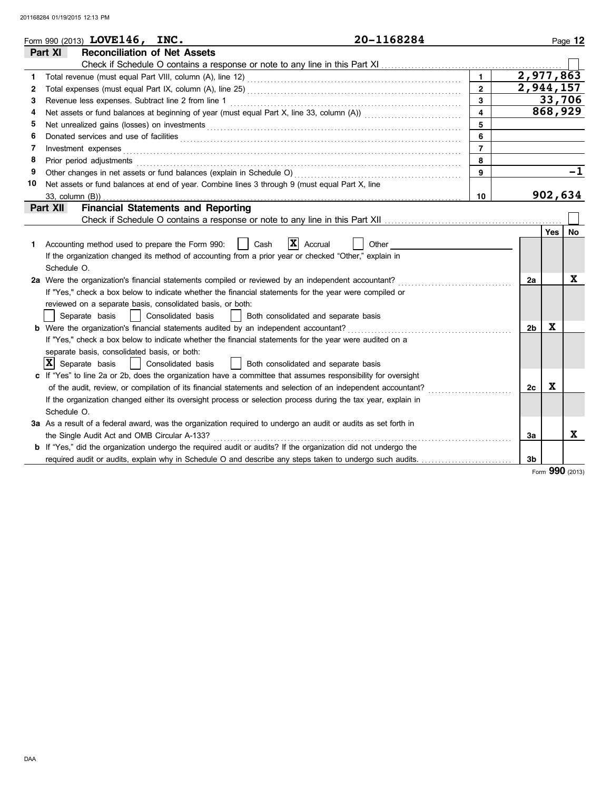|              | 20-1168284<br>Form 990 (2013) LOVE146, INC.                                                                                                                                                                                       |                |                        |     | Page 12           |  |  |  |
|--------------|-----------------------------------------------------------------------------------------------------------------------------------------------------------------------------------------------------------------------------------|----------------|------------------------|-----|-------------------|--|--|--|
| Part XI      | <b>Reconciliation of Net Assets</b>                                                                                                                                                                                               |                |                        |     |                   |  |  |  |
|              |                                                                                                                                                                                                                                   |                |                        |     |                   |  |  |  |
| 1            |                                                                                                                                                                                                                                   | $\mathbf{1}$   | $\overline{2,977,863}$ |     |                   |  |  |  |
| 2            |                                                                                                                                                                                                                                   | $\overline{2}$ | 2,944,157              |     |                   |  |  |  |
| 3            | Revenue less expenses. Subtract line 2 from line 1                                                                                                                                                                                | 3              |                        |     | 33,706<br>868,929 |  |  |  |
| 4            | $\overline{\mathbf{4}}$                                                                                                                                                                                                           |                |                        |     |                   |  |  |  |
| 5            | Net unrealized gains (losses) on investments [11] results and the university of the unrealized gains (losses) on investments [11] $\sim$ 0.000 m/m and the unrealized gains (losses) on investments [11] $\sim$ 0.000 m/m and the | 5              |                        |     |                   |  |  |  |
| 6            |                                                                                                                                                                                                                                   | 6              |                        |     |                   |  |  |  |
| 7            | Investment expenses                                                                                                                                                                                                               | $\overline{7}$ |                        |     |                   |  |  |  |
| 8            | Prior period adjustments                                                                                                                                                                                                          | 8              |                        |     |                   |  |  |  |
| 9            |                                                                                                                                                                                                                                   | 9              |                        |     | -1                |  |  |  |
| 10           | Net assets or fund balances at end of year. Combine lines 3 through 9 (must equal Part X, line                                                                                                                                    |                |                        |     |                   |  |  |  |
|              | 33, column (B))                                                                                                                                                                                                                   | 10             |                        |     | 902,634           |  |  |  |
| Part XII     | <b>Financial Statements and Reporting</b>                                                                                                                                                                                         |                |                        |     |                   |  |  |  |
|              |                                                                                                                                                                                                                                   |                |                        |     |                   |  |  |  |
|              |                                                                                                                                                                                                                                   |                |                        | Yes | <b>No</b>         |  |  |  |
| 1.           | $ \mathbf{X} $ Accrual<br>Cash<br>Other<br>Accounting method used to prepare the Form 990:                                                                                                                                        |                |                        |     |                   |  |  |  |
|              | If the organization changed its method of accounting from a prior year or checked "Other," explain in                                                                                                                             |                |                        |     |                   |  |  |  |
|              | Schedule O.                                                                                                                                                                                                                       |                |                        |     |                   |  |  |  |
|              | 2a Were the organization's financial statements compiled or reviewed by an independent accountant?                                                                                                                                |                | 2a                     |     | X                 |  |  |  |
|              | If "Yes," check a box below to indicate whether the financial statements for the year were compiled or                                                                                                                            |                |                        |     |                   |  |  |  |
|              | reviewed on a separate basis, consolidated basis, or both:                                                                                                                                                                        |                |                        |     |                   |  |  |  |
|              | Separate basis<br>Consolidated basis<br>Both consolidated and separate basis                                                                                                                                                      |                |                        |     |                   |  |  |  |
|              | <b>b</b> Were the organization's financial statements audited by an independent accountant?                                                                                                                                       |                | 2 <sub>b</sub>         | X   |                   |  |  |  |
|              | If "Yes," check a box below to indicate whether the financial statements for the year were audited on a                                                                                                                           |                |                        |     |                   |  |  |  |
|              | separate basis, consolidated basis, or both:                                                                                                                                                                                      |                |                        |     |                   |  |  |  |
| $\mathbf{x}$ | Separate basis<br>Both consolidated and separate basis<br>Consolidated basis                                                                                                                                                      |                |                        |     |                   |  |  |  |
|              | c If "Yes" to line 2a or 2b, does the organization have a committee that assumes responsibility for oversight                                                                                                                     |                |                        |     |                   |  |  |  |
|              | of the audit, review, or compilation of its financial statements and selection of an independent accountant?                                                                                                                      |                | 2c                     | X   |                   |  |  |  |
|              | If the organization changed either its oversight process or selection process during the tax year, explain in                                                                                                                     |                |                        |     |                   |  |  |  |
|              | Schedule O.                                                                                                                                                                                                                       |                |                        |     |                   |  |  |  |
|              | 3a As a result of a federal award, was the organization required to undergo an audit or audits as set forth in                                                                                                                    |                |                        |     |                   |  |  |  |
|              | the Single Audit Act and OMB Circular A-133?                                                                                                                                                                                      |                | За                     |     | X                 |  |  |  |
|              | <b>b</b> If "Yes," did the organization undergo the required audit or audits? If the organization did not undergo the                                                                                                             |                |                        |     |                   |  |  |  |
|              |                                                                                                                                                                                                                                   |                | 3b                     |     |                   |  |  |  |

Form **990** (2013)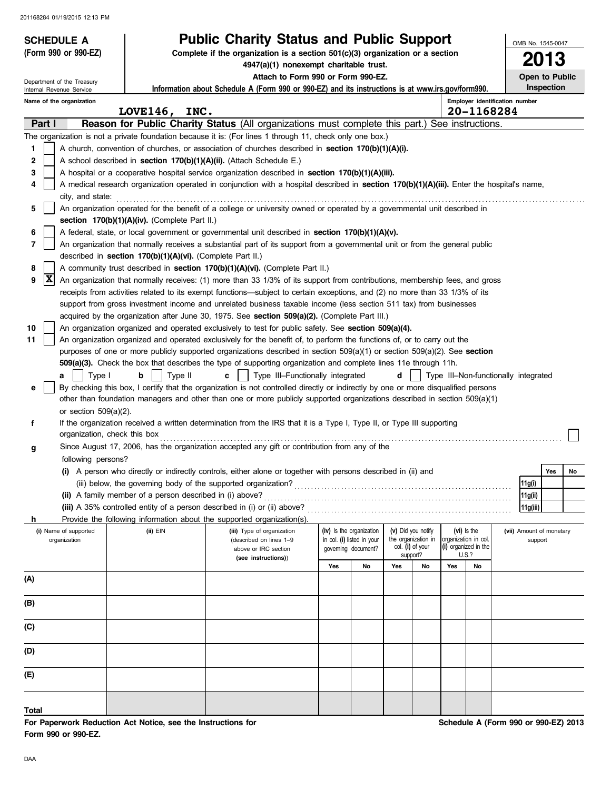| <b>SCHEDULE A</b>            |                                                                                                                                            | <b>Public Charity Status and Public Support</b>                                                                                                                                                                                 |     |                            |     |                              |                      |                               |                                      | OMB No. 1545-0047        |
|------------------------------|--------------------------------------------------------------------------------------------------------------------------------------------|---------------------------------------------------------------------------------------------------------------------------------------------------------------------------------------------------------------------------------|-----|----------------------------|-----|------------------------------|----------------------|-------------------------------|--------------------------------------|--------------------------|
| (Form 990 or 990-EZ)         |                                                                                                                                            | Complete if the organization is a section $501(c)(3)$ organization or a section<br>4947(a)(1) nonexempt charitable trust.                                                                                                       |     |                            |     |                              |                      |                               |                                      | <b>2013</b>              |
| Department of the Treasury   |                                                                                                                                            | Attach to Form 990 or Form 990-EZ.                                                                                                                                                                                              |     |                            |     |                              |                      |                               |                                      | Open to Public           |
| Internal Revenue Service     |                                                                                                                                            | Information about Schedule A (Form 990 or 990-EZ) and its instructions is at www.irs.gov/form990.                                                                                                                               |     |                            |     |                              |                      |                               |                                      | Inspection               |
| Name of the organization     |                                                                                                                                            |                                                                                                                                                                                                                                 |     |                            |     |                              |                      |                               | Employer identification number       |                          |
|                              | LOVE146, INC.                                                                                                                              |                                                                                                                                                                                                                                 |     |                            |     |                              |                      |                               | 20-1168284                           |                          |
| Part I                       |                                                                                                                                            | Reason for Public Charity Status (All organizations must complete this part.) See instructions.                                                                                                                                 |     |                            |     |                              |                      |                               |                                      |                          |
| 1                            |                                                                                                                                            | The organization is not a private foundation because it is: (For lines 1 through 11, check only one box.)<br>A church, convention of churches, or association of churches described in section 170(b)(1)(A)(i).                 |     |                            |     |                              |                      |                               |                                      |                          |
| 2                            |                                                                                                                                            | A school described in section 170(b)(1)(A)(ii). (Attach Schedule E.)                                                                                                                                                            |     |                            |     |                              |                      |                               |                                      |                          |
| 3                            |                                                                                                                                            | A hospital or a cooperative hospital service organization described in section 170(b)(1)(A)(iii).                                                                                                                               |     |                            |     |                              |                      |                               |                                      |                          |
| 4                            |                                                                                                                                            |                                                                                                                                                                                                                                 |     |                            |     |                              |                      |                               |                                      |                          |
| city, and state:             | A medical research organization operated in conjunction with a hospital described in section 170(b)(1)(A)(iii). Enter the hospital's name, |                                                                                                                                                                                                                                 |     |                            |     |                              |                      |                               |                                      |                          |
| 5                            | An organization operated for the benefit of a college or university owned or operated by a governmental unit described in                  |                                                                                                                                                                                                                                 |     |                            |     |                              |                      |                               |                                      |                          |
|                              | section 170(b)(1)(A)(iv). (Complete Part II.)                                                                                              |                                                                                                                                                                                                                                 |     |                            |     |                              |                      |                               |                                      |                          |
| 6                            |                                                                                                                                            | A federal, state, or local government or governmental unit described in section 170(b)(1)(A)(v).                                                                                                                                |     |                            |     |                              |                      |                               |                                      |                          |
| 7                            |                                                                                                                                            | An organization that normally receives a substantial part of its support from a governmental unit or from the general public                                                                                                    |     |                            |     |                              |                      |                               |                                      |                          |
|                              | described in section 170(b)(1)(A)(vi). (Complete Part II.)                                                                                 |                                                                                                                                                                                                                                 |     |                            |     |                              |                      |                               |                                      |                          |
| 8                            |                                                                                                                                            | A community trust described in section 170(b)(1)(A)(vi). (Complete Part II.)                                                                                                                                                    |     |                            |     |                              |                      |                               |                                      |                          |
| X<br>9                       |                                                                                                                                            | An organization that normally receives: (1) more than 33 1/3% of its support from contributions, membership fees, and gross                                                                                                     |     |                            |     |                              |                      |                               |                                      |                          |
|                              |                                                                                                                                            | receipts from activities related to its exempt functions—subject to certain exceptions, and (2) no more than 33 1/3% of its                                                                                                     |     |                            |     |                              |                      |                               |                                      |                          |
|                              |                                                                                                                                            | support from gross investment income and unrelated business taxable income (less section 511 tax) from businesses                                                                                                               |     |                            |     |                              |                      |                               |                                      |                          |
|                              |                                                                                                                                            | acquired by the organization after June 30, 1975. See section 509(a)(2). (Complete Part III.)                                                                                                                                   |     |                            |     |                              |                      |                               |                                      |                          |
| 10<br>11                     |                                                                                                                                            | An organization organized and operated exclusively to test for public safety. See section 509(a)(4).<br>An organization organized and operated exclusively for the benefit of, to perform the functions of, or to carry out the |     |                            |     |                              |                      |                               |                                      |                          |
|                              |                                                                                                                                            | purposes of one or more publicly supported organizations described in section $509(a)(1)$ or section $509(a)(2)$ . See section                                                                                                  |     |                            |     |                              |                      |                               |                                      |                          |
|                              |                                                                                                                                            | 509(a)(3). Check the box that describes the type of supporting organization and complete lines 11e through 11h.                                                                                                                 |     |                            |     |                              |                      |                               |                                      |                          |
| Type I<br>a                  | Type II<br>b                                                                                                                               | Type III-Functionally integrated<br>c                                                                                                                                                                                           |     |                            | d   |                              |                      |                               | Type III-Non-functionally integrated |                          |
| е                            |                                                                                                                                            | By checking this box, I certify that the organization is not controlled directly or indirectly by one or more disqualified persons                                                                                              |     |                            |     |                              |                      |                               |                                      |                          |
|                              |                                                                                                                                            | other than foundation managers and other than one or more publicly supported organizations described in section 509(a)(1)                                                                                                       |     |                            |     |                              |                      |                               |                                      |                          |
| or section $509(a)(2)$ .     |                                                                                                                                            |                                                                                                                                                                                                                                 |     |                            |     |                              |                      |                               |                                      |                          |
| f                            |                                                                                                                                            | If the organization received a written determination from the IRS that it is a Type I, Type II, or Type III supporting                                                                                                          |     |                            |     |                              |                      |                               |                                      |                          |
| organization, check this box |                                                                                                                                            |                                                                                                                                                                                                                                 |     |                            |     |                              |                      |                               |                                      |                          |
| g                            |                                                                                                                                            | Since August 17, 2006, has the organization accepted any gift or contribution from any of the                                                                                                                                   |     |                            |     |                              |                      |                               |                                      |                          |
| following persons?           |                                                                                                                                            |                                                                                                                                                                                                                                 |     |                            |     |                              |                      |                               |                                      |                          |
|                              |                                                                                                                                            | (i) A person who directly or indirectly controls, either alone or together with persons described in (ii) and                                                                                                                   |     |                            |     |                              |                      |                               |                                      | Yes<br>No                |
|                              |                                                                                                                                            |                                                                                                                                                                                                                                 |     |                            |     |                              |                      |                               | 11g(i)                               |                          |
|                              | (ii) A family member of a person described in (i) above?                                                                                   |                                                                                                                                                                                                                                 |     |                            |     |                              |                      |                               | 11g(ii)                              |                          |
|                              |                                                                                                                                            | (iii) A 35% controlled entity of a person described in (i) or (ii) above?                                                                                                                                                       |     |                            |     |                              |                      |                               | 11g(iii)                             |                          |
| h<br>(i) Name of supported   | $(ii)$ $EIN$                                                                                                                               | Provide the following information about the supported organization(s).<br>(iii) Type of organization                                                                                                                            |     | (iv) Is the organization   |     | (v) Did you notify           |                      | (vi) is the                   |                                      | (vii) Amount of monetary |
| organization                 |                                                                                                                                            | (described on lines 1-9                                                                                                                                                                                                         |     | in col. (i) listed in your |     | the organization in          | organization in col. |                               |                                      | support                  |
|                              |                                                                                                                                            | above or IRC section                                                                                                                                                                                                            |     | qoverning document?        |     | col. (i) of your<br>support? |                      | (i) organized in the<br>U.S.? |                                      |                          |
|                              |                                                                                                                                            | (see instructions))                                                                                                                                                                                                             | Yes | No                         | Yes | No                           | Yes                  | No                            |                                      |                          |
| (A)                          |                                                                                                                                            |                                                                                                                                                                                                                                 |     |                            |     |                              |                      |                               |                                      |                          |
|                              |                                                                                                                                            |                                                                                                                                                                                                                                 |     |                            |     |                              |                      |                               |                                      |                          |
| (B)                          |                                                                                                                                            |                                                                                                                                                                                                                                 |     |                            |     |                              |                      |                               |                                      |                          |
|                              |                                                                                                                                            |                                                                                                                                                                                                                                 |     |                            |     |                              |                      |                               |                                      |                          |
| (C)                          |                                                                                                                                            |                                                                                                                                                                                                                                 |     |                            |     |                              |                      |                               |                                      |                          |
| (D)                          |                                                                                                                                            |                                                                                                                                                                                                                                 |     |                            |     |                              |                      |                               |                                      |                          |
| (E)                          |                                                                                                                                            |                                                                                                                                                                                                                                 |     |                            |     |                              |                      |                               |                                      |                          |
|                              |                                                                                                                                            |                                                                                                                                                                                                                                 |     |                            |     |                              |                      |                               |                                      |                          |
| Total                        |                                                                                                                                            |                                                                                                                                                                                                                                 |     |                            |     |                              |                      |                               |                                      |                          |

**For Paperwork Reduction Act Notice, see the Instructions for Form 990 or 990-EZ.**

**Schedule A (Form 990 or 990-EZ) 2013**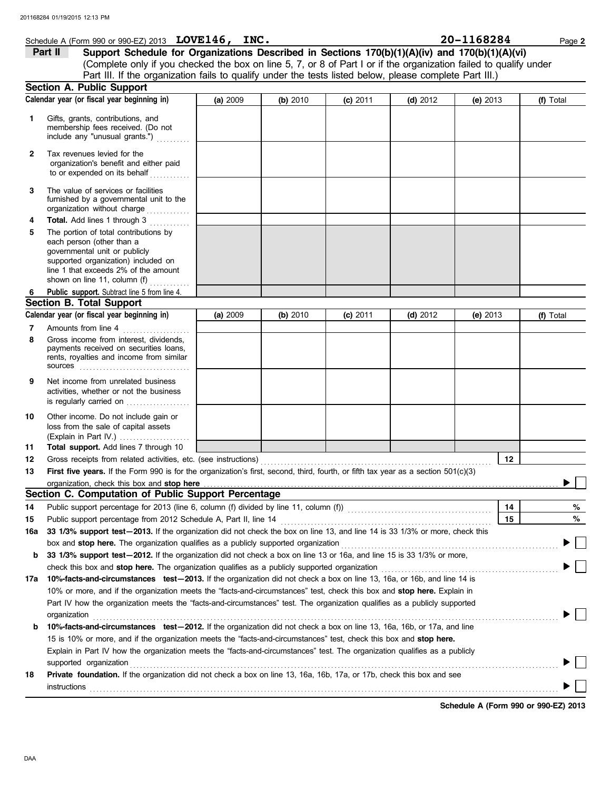## **Schedule A (Form 990 or 990-EZ) 2013 LOVE146, INC.** 20 **20 - 1168284** Page 2

(Complete only if you checked the box on line 5, 7, or 8 of Part I or if the organization failed to qualify under **Part II** Support Schedule for Organizations Described in Sections 170(b)(1)(A)(iv) and 170(b)(1)(A)(vi) Part III. If the organization fails to qualify under the tests listed below, please complete Part III.)

|           | <b>Section A. Public Support</b>                                                                                                                                                                                                                                                                                                                                                                                                                                                                                              |          |          |            |            |            |    |           |
|-----------|-------------------------------------------------------------------------------------------------------------------------------------------------------------------------------------------------------------------------------------------------------------------------------------------------------------------------------------------------------------------------------------------------------------------------------------------------------------------------------------------------------------------------------|----------|----------|------------|------------|------------|----|-----------|
|           | Calendar year (or fiscal year beginning in)                                                                                                                                                                                                                                                                                                                                                                                                                                                                                   | (a) 2009 | (b) 2010 | $(c)$ 2011 | $(d)$ 2012 | (e) $2013$ |    | (f) Total |
| 1         | Gifts, grants, contributions, and<br>membership fees received. (Do not<br>include any "unusual grants.")                                                                                                                                                                                                                                                                                                                                                                                                                      |          |          |            |            |            |    |           |
| 2         | Tax revenues levied for the<br>organization's benefit and either paid<br>to or expended on its behalf                                                                                                                                                                                                                                                                                                                                                                                                                         |          |          |            |            |            |    |           |
| 3         | The value of services or facilities<br>furnished by a governmental unit to the<br>organization without charge                                                                                                                                                                                                                                                                                                                                                                                                                 |          |          |            |            |            |    |           |
| 4<br>5    | Total. Add lines 1 through 3<br>The portion of total contributions by<br>each person (other than a<br>governmental unit or publicly<br>supported organization) included on<br>line 1 that exceeds 2% of the amount<br>shown on line 11, column (f)                                                                                                                                                                                                                                                                            |          |          |            |            |            |    |           |
| 6         | Public_support. Subtract line 5 from line 4.                                                                                                                                                                                                                                                                                                                                                                                                                                                                                  |          |          |            |            |            |    |           |
|           | <b>Section B. Total Support</b>                                                                                                                                                                                                                                                                                                                                                                                                                                                                                               |          |          |            |            |            |    |           |
|           | Calendar year (or fiscal year beginning in)                                                                                                                                                                                                                                                                                                                                                                                                                                                                                   | (a) 2009 | (b) 2010 | $(c)$ 2011 | $(d)$ 2012 | (e) $2013$ |    | (f) Total |
| 7         | Amounts from line 4                                                                                                                                                                                                                                                                                                                                                                                                                                                                                                           |          |          |            |            |            |    |           |
| 8         | Gross income from interest, dividends,<br>payments received on securities loans,<br>rents, royalties and income from similar                                                                                                                                                                                                                                                                                                                                                                                                  |          |          |            |            |            |    |           |
| 9         | Net income from unrelated business<br>activities, whether or not the business<br>is regularly carried on                                                                                                                                                                                                                                                                                                                                                                                                                      |          |          |            |            |            |    |           |
| 10        | Other income. Do not include gain or<br>loss from the sale of capital assets<br>(Explain in Part IV.)                                                                                                                                                                                                                                                                                                                                                                                                                         |          |          |            |            |            |    |           |
| 11        | Total support. Add lines 7 through 10                                                                                                                                                                                                                                                                                                                                                                                                                                                                                         |          |          |            |            |            |    |           |
| 12        | Gross receipts from related activities, etc. (see instructions)                                                                                                                                                                                                                                                                                                                                                                                                                                                               |          |          |            |            |            | 12 |           |
| 13        | First five years. If the Form 990 is for the organization's first, second, third, fourth, or fifth tax year as a section 501(c)(3)                                                                                                                                                                                                                                                                                                                                                                                            |          |          |            |            |            |    |           |
|           | organization, check this box and stop here<br>Section C. Computation of Public Support Percentage                                                                                                                                                                                                                                                                                                                                                                                                                             |          |          |            |            |            |    |           |
|           |                                                                                                                                                                                                                                                                                                                                                                                                                                                                                                                               |          |          |            |            |            |    |           |
| 14        |                                                                                                                                                                                                                                                                                                                                                                                                                                                                                                                               |          |          |            |            |            | 14 | %         |
| 15<br>16a | Public support percentage from 2012 Schedule A, Part II, line 14<br>33 1/3% support test-2013. If the organization did not check the box on line 13, and line 14 is 33 1/3% or more, check this                                                                                                                                                                                                                                                                                                                               |          |          |            |            |            | 15 | %         |
|           | box and stop here. The organization qualifies as a publicly supported organization                                                                                                                                                                                                                                                                                                                                                                                                                                            |          |          |            |            |            |    |           |
|           | b 33 1/3% support test-2012. If the organization did not check a box on line 13 or 16a, and line 15 is 33 1/3% or more,                                                                                                                                                                                                                                                                                                                                                                                                       |          |          |            |            |            |    |           |
|           | check this box and stop here. The organization qualifies as a publicly supported organization [11] condition [11] change and stop here. The organization change as a publicly supported organization                                                                                                                                                                                                                                                                                                                          |          |          |            |            |            |    |           |
|           | 17a 10%-facts-and-circumstances test-2013. If the organization did not check a box on line 13, 16a, or 16b, and line 14 is                                                                                                                                                                                                                                                                                                                                                                                                    |          |          |            |            |            |    |           |
|           | 10% or more, and if the organization meets the "facts-and-circumstances" test, check this box and stop here. Explain in                                                                                                                                                                                                                                                                                                                                                                                                       |          |          |            |            |            |    |           |
| b         | Part IV how the organization meets the "facts-and-circumstances" test. The organization qualifies as a publicly supported<br>organization<br>10%-facts-and-circumstances test-2012. If the organization did not check a box on line 13, 16a, 16b, or 17a, and line<br>15 is 10% or more, and if the organization meets the "facts-and-circumstances" test, check this box and <b>stop here.</b><br>Explain in Part IV how the organization meets the "facts-and-circumstances" test. The organization qualifies as a publicly |          |          |            |            |            |    |           |
|           | supported organization                                                                                                                                                                                                                                                                                                                                                                                                                                                                                                        |          |          |            |            |            |    |           |
| 18        | Private foundation. If the organization did not check a box on line 13, 16a, 16b, 17a, or 17b, check this box and see                                                                                                                                                                                                                                                                                                                                                                                                         |          |          |            |            |            |    |           |
|           | instructions                                                                                                                                                                                                                                                                                                                                                                                                                                                                                                                  |          |          |            |            |            |    |           |

**Schedule A (Form 990 or 990-EZ) 2013**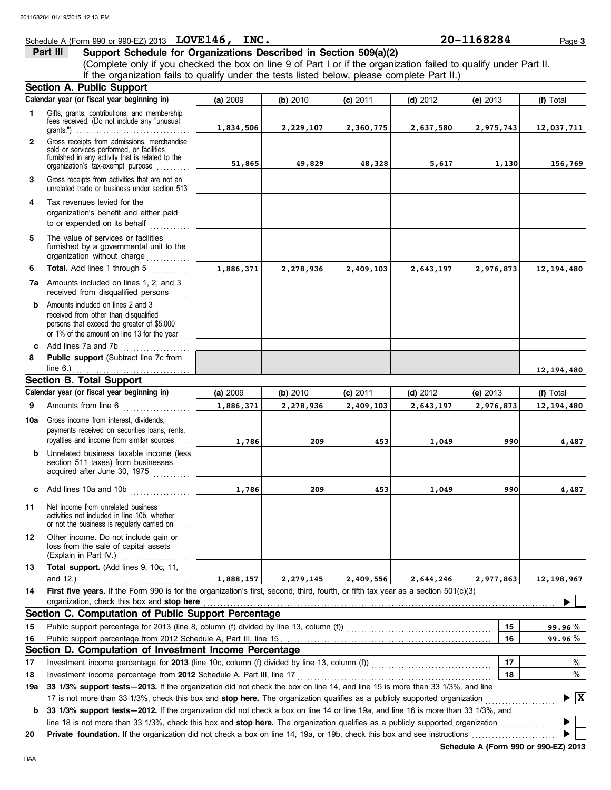## **Schedule A (Form 990 or 990-EZ) 2013 LOVE146, INC.** 20 **20 - 1168284** Page 3

# **Part III** Support Schedule for Organizations Described in Section 509(a)(2)

(Complete only if you checked the box on line 9 of Part I or if the organization failed to qualify under Part II. If the organization fails to qualify under the tests listed below, please complete Part II.)

|              | Section A. Public Support                                                                                                                                                                                                                                       |           |             |            |            |            |                                        |
|--------------|-----------------------------------------------------------------------------------------------------------------------------------------------------------------------------------------------------------------------------------------------------------------|-----------|-------------|------------|------------|------------|----------------------------------------|
|              | Calendar year (or fiscal year beginning in)                                                                                                                                                                                                                     | (a) 2009  | (b) 2010    | $(c)$ 2011 | $(d)$ 2012 | (e) $2013$ | (f) Total                              |
| 1            | Gifts, grants, contributions, and membership<br>fees received. (Do not include any "unusual<br>grants.") $\ldots \ldots \ldots \ldots \ldots \ldots \ldots \ldots \ldots \ldots \ldots \ldots$                                                                  | 1,834,506 | 2,229,107   | 2,360,775  | 2,637,580  | 2,975,743  | 12,037,711                             |
| $\mathbf{2}$ | Gross receipts from admissions, merchandise<br>sold or services performed, or facilities<br>furnished in any activity that is related to the<br>organization's tax-exempt purpose                                                                               | 51,865    | 49,829      | 48,328     | 5,617      | 1,130      | 156,769                                |
| 3            | Gross receipts from activities that are not an<br>unrelated trade or business under section 513                                                                                                                                                                 |           |             |            |            |            |                                        |
| 4            | Tax revenues levied for the<br>organization's benefit and either paid<br>to or expended on its behalf<br>.                                                                                                                                                      |           |             |            |            |            |                                        |
| 5            | The value of services or facilities<br>furnished by a governmental unit to the<br>organization without charge                                                                                                                                                   |           |             |            |            |            |                                        |
| 6            | Total. Add lines 1 through 5                                                                                                                                                                                                                                    | 1,886,371 | 2,278,936   | 2,409,103  | 2,643,197  | 2,976,873  | 12, 194, 480                           |
|              | <b>7a</b> Amounts included on lines 1, 2, and 3<br>received from disqualified persons                                                                                                                                                                           |           |             |            |            |            |                                        |
| b            | Amounts included on lines 2 and 3<br>received from other than disqualified<br>persons that exceed the greater of \$5,000<br>or 1% of the amount on line 13 for the year                                                                                         |           |             |            |            |            |                                        |
| c.<br>8      | Add lines 7a and 7b<br>.<br>Public support (Subtract line 7c from                                                                                                                                                                                               |           |             |            |            |            |                                        |
|              | line 6.) $\ldots$ $\ldots$ $\ldots$ $\ldots$ $\ldots$ $\ldots$ $\ldots$                                                                                                                                                                                         |           |             |            |            |            | 12,194,480                             |
|              | <b>Section B. Total Support</b>                                                                                                                                                                                                                                 |           |             |            |            |            |                                        |
|              | Calendar year (or fiscal year beginning in)                                                                                                                                                                                                                     | (a) 2009  | (b) 2010    | $(c)$ 2011 | $(d)$ 2012 | (e) $2013$ | (f) Total                              |
| 9            | Amounts from line 6<br><u> 1966 - Johann Stoff, Amerikaansk kanton (</u>                                                                                                                                                                                        | 1,886,371 | 2,278,936   | 2,409,103  | 2,643,197  | 2,976,873  | 12,194,480                             |
| 10a          | Gross income from interest, dividends,<br>payments received on securities loans, rents,<br>royalties and income from similar sources                                                                                                                            | 1,786     | 209         | 453        | 1,049      | 990        | 4,487                                  |
| b            | Unrelated business taxable income (less<br>section 511 taxes) from businesses<br>acquired after June 30, 1975                                                                                                                                                   |           |             |            |            |            |                                        |
| C            | Add lines 10a and 10b                                                                                                                                                                                                                                           | 1,786     | 209         | 453        | 1,049      | 990        | 4,487                                  |
| 11           | Net income from unrelated business<br>activities not included in line 10b, whether<br>or not the business is regularly carried on                                                                                                                               |           |             |            |            |            |                                        |
| 12           | Other income. Do not include gain or<br>loss from the sale of capital assets<br>(Explain in Part IV.)<br>.                                                                                                                                                      |           |             |            |            |            |                                        |
| 13           | Total support. (Add lines 9, 10c, 11,                                                                                                                                                                                                                           |           |             |            |            |            |                                        |
| 14           | and 12.) $\ldots$<br>First five years. If the Form 990 is for the organization's first, second, third, fourth, or fifth tax year as a section 501(c)(3)                                                                                                         | 1,888,157 | 2, 279, 145 | 2,409,556  | 2,644,246  | 2,977,863  | 12,198,967                             |
|              | organization, check this box and stop here <b>constant and the constant of the state of the state of state and stop here constant and stop here constant and stop here constant and stop here constant and state and sta</b>                                    |           |             |            |            |            |                                        |
|              | Section C. Computation of Public Support Percentage                                                                                                                                                                                                             |           |             |            |            |            |                                        |
| 15           |                                                                                                                                                                                                                                                                 |           |             |            |            | 15         | 99.96%                                 |
| 16           |                                                                                                                                                                                                                                                                 |           |             |            |            | 16         | 99.96 %                                |
|              | Section D. Computation of Investment Income Percentage                                                                                                                                                                                                          |           |             |            |            |            |                                        |
| 17           |                                                                                                                                                                                                                                                                 |           |             |            |            | 17         | %                                      |
| 18           | Investment income percentage from 2012 Schedule A, Part III, line 17                                                                                                                                                                                            |           |             |            |            | 18         | %                                      |
| 19a          | 33 1/3% support tests - 2013. If the organization did not check the box on line 14, and line 15 is more than 33 1/3%, and line                                                                                                                                  |           |             |            |            |            |                                        |
| b            | 17 is not more than 33 1/3%, check this box and stop here. The organization qualifies as a publicly supported organization<br>33 1/3% support tests-2012. If the organization did not check a box on line 14 or line 19a, and line 16 is more than 33 1/3%, and |           |             |            |            |            | $\blacktriangleright \boxed{\text{X}}$ |
|              | line 18 is not more than 33 1/3%, check this box and stop here. The organization qualifies as a publicly supported organization                                                                                                                                 |           |             |            |            |            |                                        |
| 20           | Private foundation. If the organization did not check a box on line 14, 19a, or 19b, check this box and see instructions                                                                                                                                        |           |             |            |            |            |                                        |

**Schedule A (Form 990 or 990-EZ) 2013**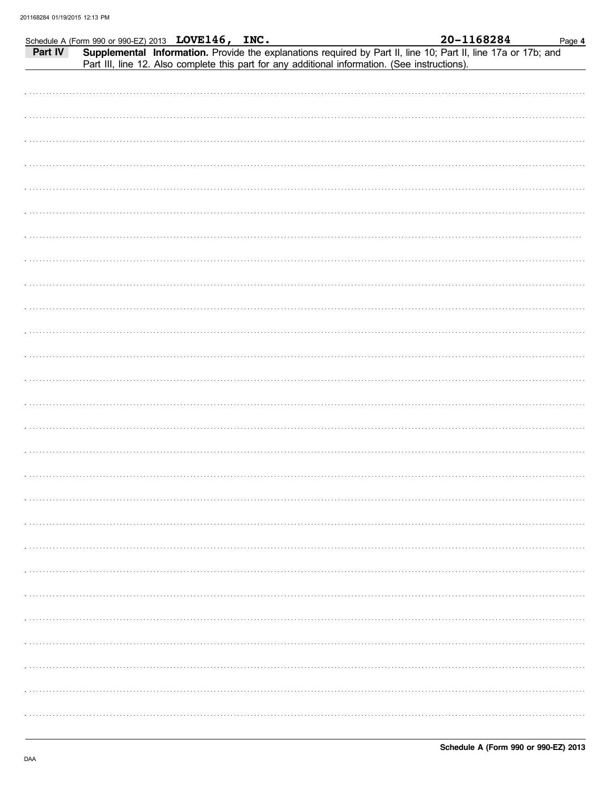|         | Schedule A (Form 990 or 990-EZ) 2013 LOVE146, INC. |                                                                                                | 20-1168284                                                                                                     | Page 4 |
|---------|----------------------------------------------------|------------------------------------------------------------------------------------------------|----------------------------------------------------------------------------------------------------------------|--------|
| Part IV |                                                    |                                                                                                | Supplemental Information. Provide the explanations required by Part II, line 10; Part II, line 17a or 17b; and |        |
|         |                                                    | Part III, line 12. Also complete this part for any additional information. (See instructions). |                                                                                                                |        |
|         |                                                    |                                                                                                |                                                                                                                |        |
|         |                                                    |                                                                                                |                                                                                                                |        |
|         |                                                    |                                                                                                |                                                                                                                |        |
|         |                                                    |                                                                                                |                                                                                                                |        |
|         |                                                    |                                                                                                |                                                                                                                |        |
|         |                                                    |                                                                                                |                                                                                                                |        |
|         |                                                    |                                                                                                |                                                                                                                |        |
|         |                                                    |                                                                                                |                                                                                                                |        |
|         |                                                    |                                                                                                |                                                                                                                |        |
|         |                                                    |                                                                                                |                                                                                                                |        |
|         |                                                    |                                                                                                |                                                                                                                |        |
|         |                                                    |                                                                                                |                                                                                                                |        |
|         |                                                    |                                                                                                |                                                                                                                |        |
|         |                                                    |                                                                                                |                                                                                                                |        |
|         |                                                    |                                                                                                |                                                                                                                |        |
|         |                                                    |                                                                                                |                                                                                                                |        |
|         |                                                    |                                                                                                |                                                                                                                |        |
|         |                                                    |                                                                                                |                                                                                                                |        |
|         |                                                    |                                                                                                |                                                                                                                |        |
|         |                                                    |                                                                                                |                                                                                                                |        |
|         |                                                    |                                                                                                |                                                                                                                |        |
|         |                                                    |                                                                                                |                                                                                                                |        |
|         |                                                    |                                                                                                |                                                                                                                |        |
|         |                                                    |                                                                                                |                                                                                                                |        |
|         |                                                    |                                                                                                |                                                                                                                |        |
|         |                                                    |                                                                                                |                                                                                                                |        |
|         |                                                    |                                                                                                |                                                                                                                |        |
|         |                                                    |                                                                                                |                                                                                                                |        |
|         |                                                    |                                                                                                |                                                                                                                |        |
|         |                                                    |                                                                                                |                                                                                                                |        |
|         |                                                    |                                                                                                |                                                                                                                |        |
|         |                                                    |                                                                                                |                                                                                                                |        |
|         |                                                    |                                                                                                |                                                                                                                |        |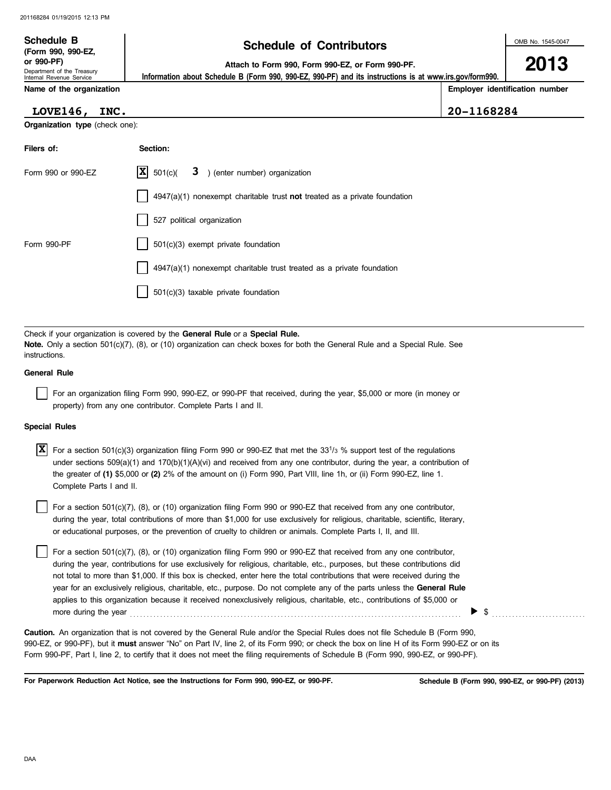# **Schedule of Contributors Schedule B**

**2013**

**or 990-PF) Attach to Form 990, Form 990-EZ, or Form 990-PF.**

 **Information about Schedule B (Form 990, 990-EZ, 990-PF) and its instructions is at www.irs.gov/form990.**

Internal Revenue Service **Name of the organization**

**Organization type** (check one):

Department of the Treasury

**(Form 990, 990-EZ,**

**Employer identification number**

| LOVE146, INC. |  | $ 20 - 1168284$ |
|---------------|--|-----------------|

| Filers of:         | Section:                                                                          |
|--------------------|-----------------------------------------------------------------------------------|
| Form 990 or 990-EZ | $ \mathbf{X} $ 501(c)( <b>3</b> ) (enter number) organization                     |
|                    | $\vert$ 4947(a)(1) nonexempt charitable trust not treated as a private foundation |
|                    | 527 political organization                                                        |
| Form 990-PF        | 501(c)(3) exempt private foundation                                               |
|                    | 4947(a)(1) nonexempt charitable trust treated as a private foundation             |
|                    | 501(c)(3) taxable private foundation                                              |

Check if your organization is covered by the **General Rule** or a **Special Rule. Note.** Only a section 501(c)(7), (8), or (10) organization can check boxes for both the General Rule and a Special Rule. See instructions.

### **General Rule**

For an organization filing Form 990, 990-EZ, or 990-PF that received, during the year, \$5,000 or more (in money or property) from any one contributor. Complete Parts I and II.

#### **Special Rules**

| <b>X</b> For a section 501(c)(3) organization filing Form 990 or 990-EZ that met the 33 <sup>1</sup> /3 % support test of the regulations |
|-------------------------------------------------------------------------------------------------------------------------------------------|
| under sections $509(a)(1)$ and $170(b)(1)(A)(vi)$ and received from any one contributor, during the year, a contribution of               |
| the greater of (1) \$5,000 or (2) 2% of the amount on (i) Form 990, Part VIII, line 1h, or (ii) Form 990-EZ, line 1.                      |
| Complete Parts I and II.                                                                                                                  |

or educational purposes, or the prevention of cruelty to children or animals. Complete Parts I, II, and III. For a section 501(c)(7), (8), or (10) organization filing Form 990 or 990-EZ that received from any one contributor, during the year, total contributions of more than \$1,000 for use exclusively for religious, charitable, scientific, literary,

For a section 501(c)(7), (8), or (10) organization filing Form 990 or 990-EZ that received from any one contributor, during the year, contributions for use exclusively for religious, charitable, etc., purposes, but these contributions did not total to more than \$1,000. If this box is checked, enter here the total contributions that were received during the year for an exclusively religious, charitable, etc., purpose. Do not complete any of the parts unless the **General Rule** applies to this organization because it received nonexclusively religious, charitable, etc., contributions of \$5,000 or more during the year  $\qquad \qquad$   $\qquad$   $\qquad$   $\qquad$   $\qquad$   $\qquad$   $\qquad$   $\qquad$   $\qquad$   $\qquad$   $\qquad$   $\qquad$   $\qquad$   $\qquad$   $\qquad$   $\qquad$   $\qquad$   $\qquad$   $\qquad$   $\qquad$   $\qquad$   $\qquad$   $\qquad$   $\qquad$   $\qquad$   $\qquad$   $\qquad$   $\qquad$   $\qquad$   $\qquad$   $\qquad$   $\qquad$   $\qquad$ 

990-EZ, or 990-PF), but it **must** answer "No" on Part IV, line 2, of its Form 990; or check the box on line H of its Form 990-EZ or on its Form 990-PF, Part I, line 2, to certify that it does not meet the filing requirements of Schedule B (Form 990, 990-EZ, or 990-PF). **Caution.** An organization that is not covered by the General Rule and/or the Special Rules does not file Schedule B (Form 990,

**For Paperwork Reduction Act Notice, see the Instructions for Form 990, 990-EZ, or 990-PF.**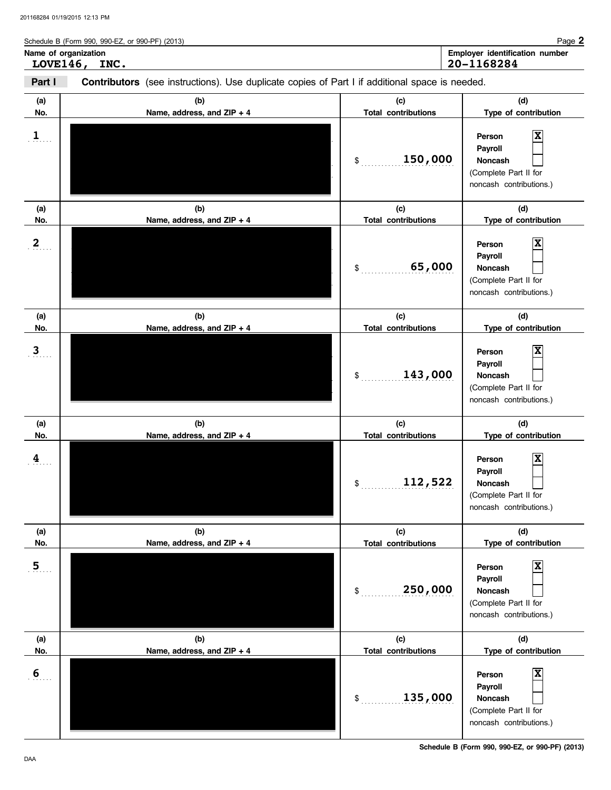Schedule B (Form 990, 990-EZ, or 990-PF) (2013) Name of organization<br> **LOVE146, INC.**<br>
20-1168284 **LOVE146, INC. 20-1168284**

| Part I                | <b>Contributors</b> (see instructions). Use duplicate copies of Part I if additional space is needed. |                                                      |                                                                                                                         |
|-----------------------|-------------------------------------------------------------------------------------------------------|------------------------------------------------------|-------------------------------------------------------------------------------------------------------------------------|
| (a)<br>No.            | (b)<br>Name, address, and ZIP + 4                                                                     | (c)<br><b>Total contributions</b>                    | (d)<br>Type of contribution                                                                                             |
| $\mathbf{1}_{\ldots}$ |                                                                                                       | 150,000<br>$\mathsf{\$}$                             | $\mathbf x$<br>Person<br>Payroll<br>Noncash<br>(Complete Part II for<br>noncash contributions.)                         |
| (a)                   | (b)                                                                                                   | (c)                                                  | (d)                                                                                                                     |
| No.<br>$\mathbf{2}$   | Name, address, and ZIP + 4                                                                            | <b>Total contributions</b><br>65,000<br>$\mathsf{S}$ | Type of contribution<br>$\mathbf x$<br>Person<br>Payroll<br>Noncash<br>(Complete Part II for<br>noncash contributions.) |
| (a)                   | (b)<br>Name, address, and ZIP + 4                                                                     | (c)<br><b>Total contributions</b>                    | (d)<br>Type of contribution                                                                                             |
| No.<br>$\mathbf{3}$   |                                                                                                       | 143,000<br>\$                                        | Person<br>Payroll<br>Noncash<br>(Complete Part II for<br>noncash contributions.)                                        |
| (a)<br>No.            | (b)<br>Name, address, and ZIP + 4                                                                     | (c)<br><b>Total contributions</b>                    | (d)<br>Type of contribution                                                                                             |
| 4                     |                                                                                                       | 112,522<br>\$                                        | x<br>Person<br>Payroll<br>Noncash<br>(Complete Part II for<br>noncash contributions.)                                   |
| (a)<br>No.            | (b)<br>Name, address, and ZIP + 4                                                                     | (c)<br><b>Total contributions</b>                    | (d)<br>Type of contribution                                                                                             |
| 5 <sub>1</sub>        |                                                                                                       | 250,000<br>$\mathsf{S}$ .                            | Χ<br>Person<br>Payroll<br>Noncash<br>(Complete Part II for<br>noncash contributions.)                                   |
| (a)<br>No.            | (b)<br>Name, address, and ZIP + 4                                                                     | (c)<br><b>Total contributions</b>                    | (d)<br>Type of contribution                                                                                             |
| 6                     |                                                                                                       | 135,000<br>$\mathsf{S}$                              | Χ<br>Person<br>Payroll<br>Noncash<br>(Complete Part II for<br>noncash contributions.)                                   |

**Schedule B (Form 990, 990-EZ, or 990-PF) (2013)**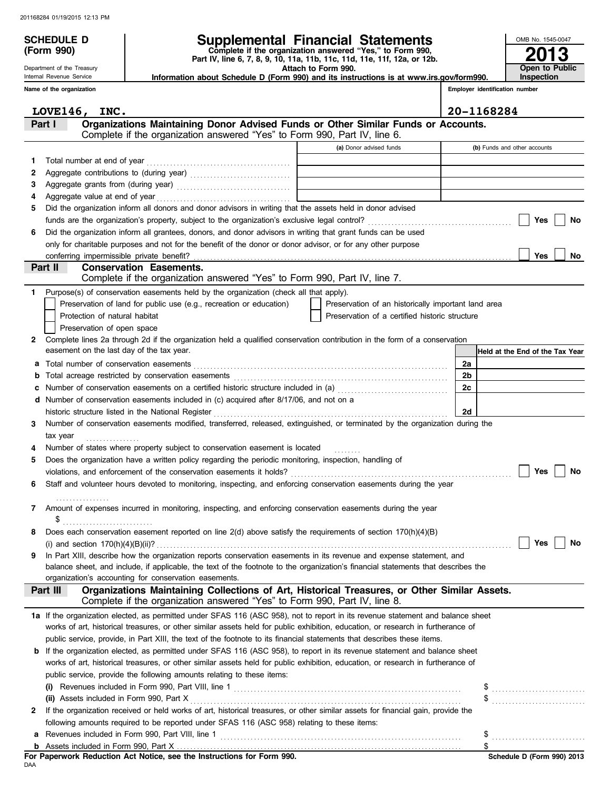**(Form 990)**

Department of the Treasury Internal Revenue Service

# **SCHEDULE D Supplemental Financial Statements**

**Part IV, line 6, 7, 8, 9, 10, 11a, 11b, 11c, 11d, 11e, 11f, 12a, or 12b. Complete if the organization answered "Yes," to Form 990,**

 **Attach to Form 990. Information about Schedule D (Form 990) and its instructions is at www.irs.gov/form990.**

**Employer identification number Inspection**

**2013**

**Open to Public**

OMB No. 1545-0047

|    | Name of the organization                                                                                                                                                              |                                                     |                | Employer identification number  |
|----|---------------------------------------------------------------------------------------------------------------------------------------------------------------------------------------|-----------------------------------------------------|----------------|---------------------------------|
|    | LOVE146, INC.                                                                                                                                                                         |                                                     |                | 20-1168284                      |
|    | Organizations Maintaining Donor Advised Funds or Other Similar Funds or Accounts.<br>Part I<br>Complete if the organization answered "Yes" to Form 990, Part IV, line 6.              |                                                     |                |                                 |
|    |                                                                                                                                                                                       | (a) Donor advised funds                             |                | (b) Funds and other accounts    |
| 1. | Total number at end of year                                                                                                                                                           |                                                     |                |                                 |
| 2  |                                                                                                                                                                                       |                                                     |                |                                 |
| 3  |                                                                                                                                                                                       |                                                     |                |                                 |
| 4  |                                                                                                                                                                                       |                                                     |                |                                 |
| 5  | Did the organization inform all donors and donor advisors in writing that the assets held in donor advised                                                                            |                                                     |                |                                 |
|    |                                                                                                                                                                                       |                                                     |                | Yes<br>No                       |
| 6  | Did the organization inform all grantees, donors, and donor advisors in writing that grant funds can be used                                                                          |                                                     |                |                                 |
|    | only for charitable purposes and not for the benefit of the donor or donor advisor, or for any other purpose                                                                          |                                                     |                |                                 |
|    |                                                                                                                                                                                       |                                                     |                | Yes<br>No                       |
|    | <b>Conservation Easements.</b><br>Part II                                                                                                                                             |                                                     |                |                                 |
|    | Complete if the organization answered "Yes" to Form 990, Part IV, line 7.                                                                                                             |                                                     |                |                                 |
| 1. | Purpose(s) of conservation easements held by the organization (check all that apply).                                                                                                 |                                                     |                |                                 |
|    | Preservation of land for public use (e.g., recreation or education)                                                                                                                   | Preservation of an historically important land area |                |                                 |
|    | Protection of natural habitat                                                                                                                                                         | Preservation of a certified historic structure      |                |                                 |
|    | Preservation of open space                                                                                                                                                            |                                                     |                |                                 |
| 2  | Complete lines 2a through 2d if the organization held a qualified conservation contribution in the form of a conservation                                                             |                                                     |                |                                 |
|    | easement on the last day of the tax year.                                                                                                                                             |                                                     |                | Held at the End of the Tax Year |
| а  | Total number of conservation easements                                                                                                                                                |                                                     | 2a             |                                 |
| b  |                                                                                                                                                                                       |                                                     | 2 <sub>b</sub> |                                 |
| с  | Number of conservation easements on a certified historic structure included in (a) [[[[[[[[[[[[[[[[[[[[[[[[[]]]]]]]                                                                   |                                                     | 2c             |                                 |
| d  | Number of conservation easements included in (c) acquired after 8/17/06, and not on a                                                                                                 |                                                     |                |                                 |
|    | historic structure listed in the National Register                                                                                                                                    |                                                     | 2d             |                                 |
| 3  | Number of conservation easements modified, transferred, released, extinguished, or terminated by the organization during the                                                          |                                                     |                |                                 |
|    | tax year                                                                                                                                                                              |                                                     |                |                                 |
| 4  | Number of states where property subject to conservation easement is located                                                                                                           |                                                     |                |                                 |
| 5  | Does the organization have a written policy regarding the periodic monitoring, inspection, handling of                                                                                |                                                     |                |                                 |
|    | violations, and enforcement of the conservation easements it holds?                                                                                                                   |                                                     |                | Yes<br>No                       |
| 6  | Staff and volunteer hours devoted to monitoring, inspecting, and enforcing conservation easements during the year                                                                     |                                                     |                |                                 |
| 7  | Amount of expenses incurred in monitoring, inspecting, and enforcing conservation easements during the year                                                                           |                                                     |                |                                 |
|    | \$                                                                                                                                                                                    |                                                     |                |                                 |
|    | Does each conservation easement reported on line 2(d) above satisfy the requirements of section 170(h)(4)(B)                                                                          |                                                     |                |                                 |
|    | (i) and section $170(h)(4)(B)(ii)?$                                                                                                                                                   |                                                     |                | Yes<br>No                       |
| 9  | In Part XIII, describe how the organization reports conservation easements in its revenue and expense statement, and                                                                  |                                                     |                |                                 |
|    | balance sheet, and include, if applicable, the text of the footnote to the organization's financial statements that describes the                                                     |                                                     |                |                                 |
|    | organization's accounting for conservation easements.                                                                                                                                 |                                                     |                |                                 |
|    | Organizations Maintaining Collections of Art, Historical Treasures, or Other Similar Assets.<br>Part III<br>Complete if the organization answered "Yes" to Form 990, Part IV, line 8. |                                                     |                |                                 |
|    | 1a If the organization elected, as permitted under SFAS 116 (ASC 958), not to report in its revenue statement and balance sheet                                                       |                                                     |                |                                 |
|    | works of art, historical treasures, or other similar assets held for public exhibition, education, or research in furtherance of                                                      |                                                     |                |                                 |
|    | public service, provide, in Part XIII, the text of the footnote to its financial statements that describes these items.                                                               |                                                     |                |                                 |
| b  | If the organization elected, as permitted under SFAS 116 (ASC 958), to report in its revenue statement and balance sheet                                                              |                                                     |                |                                 |
|    | works of art, historical treasures, or other similar assets held for public exhibition, education, or research in furtherance of                                                      |                                                     |                |                                 |
|    | public service, provide the following amounts relating to these items:                                                                                                                |                                                     |                |                                 |
|    | (i)                                                                                                                                                                                   |                                                     |                | \$                              |
|    | (ii) Assets included in Form 990, Part X                                                                                                                                              |                                                     |                |                                 |
| 2  | If the organization received or held works of art, historical treasures, or other similar assets for financial gain, provide the                                                      |                                                     |                |                                 |
|    | following amounts required to be reported under SFAS 116 (ASC 958) relating to these items:                                                                                           |                                                     |                |                                 |
| а  |                                                                                                                                                                                       |                                                     |                | \$                              |
| b  |                                                                                                                                                                                       |                                                     |                | \$                              |

|     |  |  |  | For Paperwork Reduction Act Notice, see the Instructions for Form 990. |  |  |
|-----|--|--|--|------------------------------------------------------------------------|--|--|
| DAA |  |  |  |                                                                        |  |  |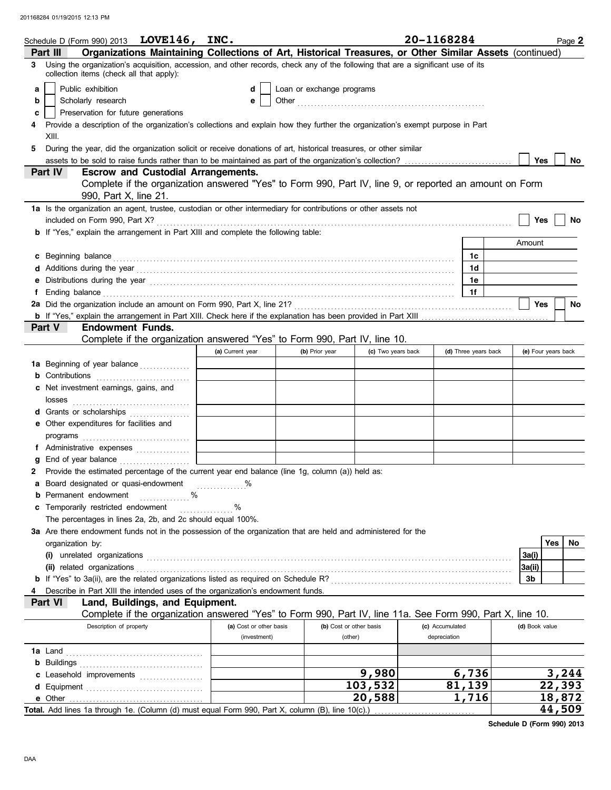|    | Schedule D (Form 990) 2013 LOVE146, INC.                                                                                                                                                                                             |                         |                           |                         | 20-1168284      |                      | Page 2              |           |
|----|--------------------------------------------------------------------------------------------------------------------------------------------------------------------------------------------------------------------------------------|-------------------------|---------------------------|-------------------------|-----------------|----------------------|---------------------|-----------|
|    | Organizations Maintaining Collections of Art, Historical Treasures, or Other Similar Assets (continued)<br>Part III                                                                                                                  |                         |                           |                         |                 |                      |                     |           |
| 3  | Using the organization's acquisition, accession, and other records, check any of the following that are a significant use of its<br>collection items (check all that apply):                                                         |                         |                           |                         |                 |                      |                     |           |
| a  | Public exhibition                                                                                                                                                                                                                    | d                       | Loan or exchange programs |                         |                 |                      |                     |           |
| b  | Scholarly research                                                                                                                                                                                                                   | е                       |                           |                         |                 |                      |                     |           |
| c  | Preservation for future generations                                                                                                                                                                                                  |                         |                           |                         |                 |                      |                     |           |
|    | Provide a description of the organization's collections and explain how they further the organization's exempt purpose in Part                                                                                                       |                         |                           |                         |                 |                      |                     |           |
|    | XIII.                                                                                                                                                                                                                                |                         |                           |                         |                 |                      |                     |           |
| 5  | During the year, did the organization solicit or receive donations of art, historical treasures, or other similar                                                                                                                    |                         |                           |                         |                 |                      |                     |           |
|    |                                                                                                                                                                                                                                      |                         |                           |                         |                 |                      | <b>Yes</b>          | No        |
|    | <b>Part IV</b><br><b>Escrow and Custodial Arrangements.</b>                                                                                                                                                                          |                         |                           |                         |                 |                      |                     |           |
|    | Complete if the organization answered "Yes" to Form 990, Part IV, line 9, or reported an amount on Form                                                                                                                              |                         |                           |                         |                 |                      |                     |           |
|    | 990, Part X, line 21.                                                                                                                                                                                                                |                         |                           |                         |                 |                      |                     |           |
|    | 1a Is the organization an agent, trustee, custodian or other intermediary for contributions or other assets not                                                                                                                      |                         |                           |                         |                 |                      |                     |           |
|    |                                                                                                                                                                                                                                      |                         |                           |                         |                 |                      | Yes                 | No        |
|    | <b>b</b> If "Yes," explain the arrangement in Part XIII and complete the following table:                                                                                                                                            |                         |                           |                         |                 |                      |                     |           |
|    |                                                                                                                                                                                                                                      |                         |                           |                         |                 |                      | Amount              |           |
|    | c Beginning balance <b>contract to the contract of the contract of the contract of the contract of the contract of the contract of the contract of the contract of the contract of the contract of the contract of the contract </b> |                         |                           |                         |                 | 1c                   |                     |           |
|    |                                                                                                                                                                                                                                      |                         |                           |                         |                 | 1 <sub>d</sub>       |                     |           |
|    | Distributions during the year <i>manufacture contained and a contained and a contained and a contained and a contained and a contained and a contained and a contained and a contained and a contained and a contained and a con</i> |                         |                           |                         |                 | 1e                   |                     |           |
|    |                                                                                                                                                                                                                                      |                         |                           |                         |                 | 1f                   | <b>Yes</b>          | <b>No</b> |
|    | 2a Did the organization include an amount on Form 990, Part X, line 21? <b>Constitution contracts</b> contained and an                                                                                                               |                         |                           |                         |                 |                      |                     |           |
|    | <b>Endowment Funds.</b><br>Part V                                                                                                                                                                                                    |                         |                           |                         |                 |                      |                     |           |
|    | Complete if the organization answered "Yes" to Form 990, Part IV, line 10.                                                                                                                                                           |                         |                           |                         |                 |                      |                     |           |
|    |                                                                                                                                                                                                                                      | (a) Current year        | (b) Prior year            | (c) Two years back      |                 | (d) Three years back | (e) Four years back |           |
|    | <b>1a</b> Beginning of year balance                                                                                                                                                                                                  |                         |                           |                         |                 |                      |                     |           |
|    |                                                                                                                                                                                                                                      |                         |                           |                         |                 |                      |                     |           |
|    | c Net investment earnings, gains, and                                                                                                                                                                                                |                         |                           |                         |                 |                      |                     |           |
|    | losses                                                                                                                                                                                                                               |                         |                           |                         |                 |                      |                     |           |
|    | d Grants or scholarships                                                                                                                                                                                                             |                         |                           |                         |                 |                      |                     |           |
|    | e Other expenditures for facilities and                                                                                                                                                                                              |                         |                           |                         |                 |                      |                     |           |
|    |                                                                                                                                                                                                                                      |                         |                           |                         |                 |                      |                     |           |
|    | f Administrative expenses                                                                                                                                                                                                            |                         |                           |                         |                 |                      |                     |           |
|    |                                                                                                                                                                                                                                      |                         |                           |                         |                 |                      |                     |           |
|    | 2 Provide the estimated percentage of the current year end balance (line 1g, column (a)) held as:                                                                                                                                    |                         |                           |                         |                 |                      |                     |           |
|    | <b>a</b> Board designated or quasi-endowment                                                                                                                                                                                         |                         |                           |                         |                 |                      |                     |           |
|    | <b>b</b> Permanent endowment                                                                                                                                                                                                         |                         |                           |                         |                 |                      |                     |           |
| c. | Temporarily restricted endowment                                                                                                                                                                                                     | %<br>.                  |                           |                         |                 |                      |                     |           |
|    | The percentages in lines 2a, 2b, and 2c should equal 100%.                                                                                                                                                                           |                         |                           |                         |                 |                      |                     |           |
|    | 3a Are there endowment funds not in the possession of the organization that are held and administered for the                                                                                                                        |                         |                           |                         |                 |                      |                     |           |
|    | organization by:                                                                                                                                                                                                                     |                         |                           |                         |                 |                      | Yes                 | No.       |
|    |                                                                                                                                                                                                                                      |                         |                           |                         |                 |                      | 3a(i)               |           |
|    |                                                                                                                                                                                                                                      |                         |                           |                         |                 |                      | 3a(ii)              |           |
|    |                                                                                                                                                                                                                                      |                         |                           |                         |                 |                      | 3b                  |           |
|    | Describe in Part XIII the intended uses of the organization's endowment funds.                                                                                                                                                       |                         |                           |                         |                 |                      |                     |           |
|    | Part VI<br>Land, Buildings, and Equipment.                                                                                                                                                                                           |                         |                           |                         |                 |                      |                     |           |
|    | Complete if the organization answered "Yes" to Form 990, Part IV, line 11a. See Form 990, Part X, line 10.                                                                                                                           |                         |                           |                         |                 |                      |                     |           |
|    | Description of property                                                                                                                                                                                                              | (a) Cost or other basis |                           | (b) Cost or other basis | (c) Accumulated |                      | (d) Book value      |           |
|    |                                                                                                                                                                                                                                      | (investment)            | (other)                   |                         | depreciation    |                      |                     |           |
|    |                                                                                                                                                                                                                                      |                         |                           |                         |                 |                      |                     |           |
|    | <b>b</b> Buildings                                                                                                                                                                                                                   |                         |                           |                         |                 |                      |                     |           |
|    | c Leasehold improvements                                                                                                                                                                                                             |                         |                           | 9,980                   |                 | 6,736                | 3,244               |           |
|    |                                                                                                                                                                                                                                      |                         |                           | 103,532                 |                 | 81,139               | 22,393              |           |
|    | e Other                                                                                                                                                                                                                              |                         |                           | 20,588                  |                 | 1,716                | 18,872              |           |
|    | Total. Add lines 1a through 1e. (Column (d) must equal Form 990, Part X, column (B), line 10(c).)                                                                                                                                    |                         |                           |                         |                 |                      | 44,509              |           |

**Schedule D (Form 990) 2013**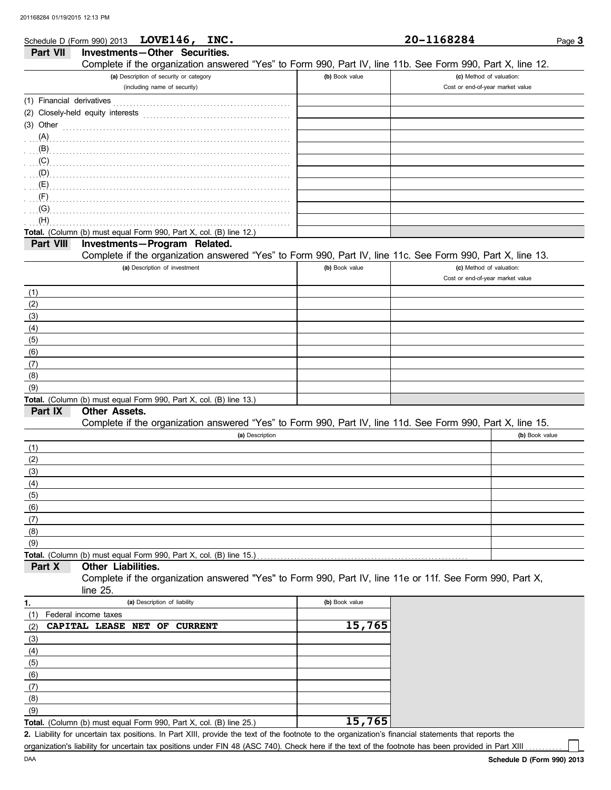|                           | Schedule D (Form 990) 2013 $LOWE146$ ,<br>INC.                                                                                                                                                                                      |                | 20-1168284                       | Page 3         |
|---------------------------|-------------------------------------------------------------------------------------------------------------------------------------------------------------------------------------------------------------------------------------|----------------|----------------------------------|----------------|
| Part VII                  | Investments-Other Securities.                                                                                                                                                                                                       |                |                                  |                |
|                           | Complete if the organization answered "Yes" to Form 990, Part IV, line 11b. See Form 990, Part X, line 12.                                                                                                                          |                |                                  |                |
|                           | (a) Description of security or category                                                                                                                                                                                             | (b) Book value | (c) Method of valuation:         |                |
|                           | (including name of security)                                                                                                                                                                                                        |                | Cost or end-of-year market value |                |
| (1) Financial derivatives |                                                                                                                                                                                                                                     |                |                                  |                |
|                           | (2) Closely-held equity interests                                                                                                                                                                                                   |                |                                  |                |
| $(3)$ Other               |                                                                                                                                                                                                                                     |                |                                  |                |
|                           |                                                                                                                                                                                                                                     |                |                                  |                |
| (A)                       |                                                                                                                                                                                                                                     |                |                                  |                |
| (B)                       |                                                                                                                                                                                                                                     |                |                                  |                |
| (C)                       |                                                                                                                                                                                                                                     |                |                                  |                |
| (D)                       |                                                                                                                                                                                                                                     |                |                                  |                |
|                           | $\overline{E}$ (E) and the contract of the contract of the contract of the contract of the contract of the contract of the contract of the contract of the contract of the contract of the contract of the contract of the contract |                |                                  |                |
| (F)                       |                                                                                                                                                                                                                                     |                |                                  |                |
| (G)                       |                                                                                                                                                                                                                                     |                |                                  |                |
| (H)                       |                                                                                                                                                                                                                                     |                |                                  |                |
|                           | Total. (Column (b) must equal Form 990, Part X, col. (B) line 12.)                                                                                                                                                                  |                |                                  |                |
| Part VIII                 | Investments-Program Related.                                                                                                                                                                                                        |                |                                  |                |
|                           | Complete if the organization answered "Yes" to Form 990, Part IV, line 11c. See Form 990, Part X, line 13.                                                                                                                          |                |                                  |                |
|                           | (a) Description of investment                                                                                                                                                                                                       | (b) Book value | (c) Method of valuation:         |                |
|                           |                                                                                                                                                                                                                                     |                | Cost or end-of-year market value |                |
| (1)                       |                                                                                                                                                                                                                                     |                |                                  |                |
| (2)                       |                                                                                                                                                                                                                                     |                |                                  |                |
| (3)                       |                                                                                                                                                                                                                                     |                |                                  |                |
| (4)                       |                                                                                                                                                                                                                                     |                |                                  |                |
| (5)                       |                                                                                                                                                                                                                                     |                |                                  |                |
| (6)                       |                                                                                                                                                                                                                                     |                |                                  |                |
|                           |                                                                                                                                                                                                                                     |                |                                  |                |
| (7)                       |                                                                                                                                                                                                                                     |                |                                  |                |
| (8)                       |                                                                                                                                                                                                                                     |                |                                  |                |
| (9)                       |                                                                                                                                                                                                                                     |                |                                  |                |
| Part IX                   | Total. (Column (b) must equal Form 990, Part X, col. (B) line 13.)<br><b>Other Assets.</b>                                                                                                                                          |                |                                  |                |
|                           |                                                                                                                                                                                                                                     |                |                                  |                |
|                           | Complete if the organization answered "Yes" to Form 990, Part IV, line 11d. See Form 990, Part X, line 15.                                                                                                                          |                |                                  |                |
|                           | (a) Description                                                                                                                                                                                                                     |                |                                  | (b) Book value |
| (1)                       |                                                                                                                                                                                                                                     |                |                                  |                |
| (2)                       |                                                                                                                                                                                                                                     |                |                                  |                |
| (3)                       |                                                                                                                                                                                                                                     |                |                                  |                |
| (4)                       |                                                                                                                                                                                                                                     |                |                                  |                |
| (5)                       |                                                                                                                                                                                                                                     |                |                                  |                |
| (6)                       |                                                                                                                                                                                                                                     |                |                                  |                |
| (7)                       |                                                                                                                                                                                                                                     |                |                                  |                |
| (8)                       |                                                                                                                                                                                                                                     |                |                                  |                |
| (9)                       |                                                                                                                                                                                                                                     |                |                                  |                |
|                           | Total. (Column (b) must equal Form 990, Part X, col. (B) line 15.)                                                                                                                                                                  |                |                                  |                |
| Part X                    | Other Liabilities.                                                                                                                                                                                                                  |                |                                  |                |
|                           | Complete if the organization answered "Yes" to Form 990, Part IV, line 11e or 11f. See Form 990, Part X,                                                                                                                            |                |                                  |                |
|                           | line 25.                                                                                                                                                                                                                            |                |                                  |                |
| 1.                        | (a) Description of liability                                                                                                                                                                                                        | (b) Book value |                                  |                |
| (1)                       | Federal income taxes                                                                                                                                                                                                                |                |                                  |                |
| (2)                       | CAPITAL LEASE NET<br><b>CURRENT</b><br>OF                                                                                                                                                                                           | 15,765         |                                  |                |
|                           |                                                                                                                                                                                                                                     |                |                                  |                |
| (3)                       |                                                                                                                                                                                                                                     |                |                                  |                |
| (4)                       |                                                                                                                                                                                                                                     |                |                                  |                |
| (5)                       |                                                                                                                                                                                                                                     |                |                                  |                |
| (6)                       |                                                                                                                                                                                                                                     |                |                                  |                |
| (7)                       |                                                                                                                                                                                                                                     |                |                                  |                |
| (8)                       |                                                                                                                                                                                                                                     |                |                                  |                |
| (9)                       |                                                                                                                                                                                                                                     |                |                                  |                |

**Total.** (Column (b) must equal Form 990, Part X, col. (B) line 25.) **15,765**

Liability for uncertain tax positions. In Part XIII, provide the text of the footnote to the organization's financial statements that reports the **2.** organization's liability for uncertain tax positions under FIN 48 (ASC 740). Check here if the text of the footnote has been provided in Part XIII .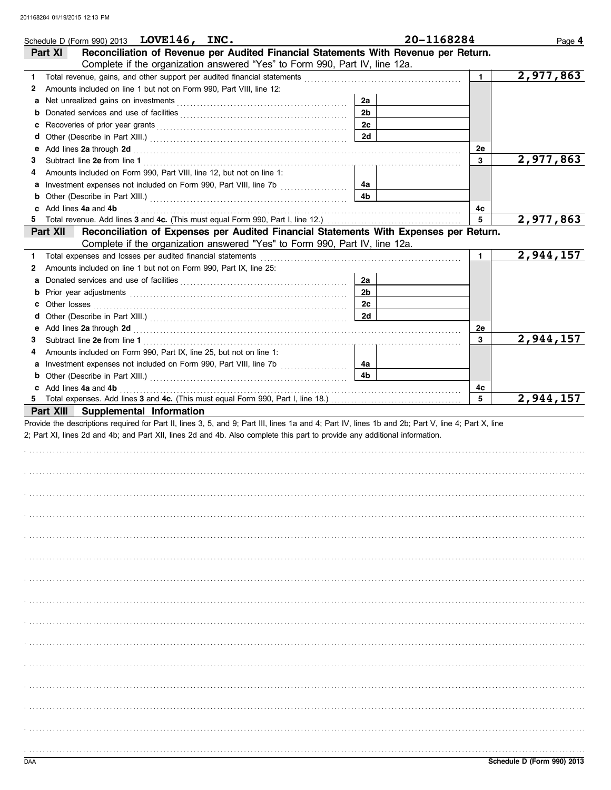|        | Schedule D (Form 990) 2013 LOVE146, INC.                                                                                                                                                                                       |                                                                                                                | 20-1168284   | Page 4    |
|--------|--------------------------------------------------------------------------------------------------------------------------------------------------------------------------------------------------------------------------------|----------------------------------------------------------------------------------------------------------------|--------------|-----------|
|        | Reconciliation of Revenue per Audited Financial Statements With Revenue per Return.<br>Part XI                                                                                                                                 |                                                                                                                |              |           |
|        | Complete if the organization answered "Yes" to Form 990, Part IV, line 12a.                                                                                                                                                    |                                                                                                                |              |           |
| 1      | Total revenue, gains, and other support per audited financial statements                                                                                                                                                       | and a complete the contract of the complete the contract of the complete the complete the complete that the co | $\mathbf{1}$ | 2,977,863 |
| 2      | Amounts included on line 1 but not on Form 990, Part VIII, line 12:                                                                                                                                                            |                                                                                                                |              |           |
| a      |                                                                                                                                                                                                                                | 2a                                                                                                             |              |           |
| b      |                                                                                                                                                                                                                                | 2 <sub>b</sub><br>2c                                                                                           |              |           |
| c      |                                                                                                                                                                                                                                | 2d                                                                                                             |              |           |
| d<br>е |                                                                                                                                                                                                                                |                                                                                                                | 2e           |           |
| 3      |                                                                                                                                                                                                                                |                                                                                                                | 3            | 2,977,863 |
| 4      | Amounts included on Form 990, Part VIII, line 12, but not on line 1:                                                                                                                                                           |                                                                                                                |              |           |
| а      |                                                                                                                                                                                                                                | 4a                                                                                                             |              |           |
| b      |                                                                                                                                                                                                                                | 4b                                                                                                             |              |           |
|        | Add lines 4a and 4b                                                                                                                                                                                                            |                                                                                                                | 4c           |           |
| 5      |                                                                                                                                                                                                                                |                                                                                                                | 5            | 2,977,863 |
|        | Reconciliation of Expenses per Audited Financial Statements With Expenses per Return.<br>Part XII                                                                                                                              |                                                                                                                |              |           |
|        | Complete if the organization answered "Yes" to Form 990, Part IV, line 12a.                                                                                                                                                    |                                                                                                                |              |           |
| 1.     | Total expenses and losses per audited financial statements                                                                                                                                                                     |                                                                                                                | 1            | 2,944,157 |
| 2      | Amounts included on line 1 but not on Form 990, Part IX, line 25:                                                                                                                                                              |                                                                                                                |              |           |
|        |                                                                                                                                                                                                                                | 2a                                                                                                             |              |           |
| b      | Prior year adjustments [11, 12] and the contract of the contract of the contract of the contract of the contract of the contract of the contract of the contract of the contract of the contract of the contract of the contra | 2 <sub>b</sub>                                                                                                 |              |           |
| c      | Other losses                                                                                                                                                                                                                   | 2c<br>2d                                                                                                       |              |           |
| d      |                                                                                                                                                                                                                                |                                                                                                                | 2e           |           |
| 3      |                                                                                                                                                                                                                                |                                                                                                                | 3            | 2,944,157 |
| 4      | Amounts included on Form 990, Part IX, line 25, but not on line 1:                                                                                                                                                             |                                                                                                                |              |           |
| а      |                                                                                                                                                                                                                                | 4a                                                                                                             |              |           |
|        |                                                                                                                                                                                                                                | 4b                                                                                                             |              |           |
|        | c Add lines 4a and 4b                                                                                                                                                                                                          |                                                                                                                | 4c           |           |
| 5.     | Total expenses. Add lines 3 and 4c. (This must equal Form 990, Part I, line 18.) [100] Total expenses. Add lines 3 and 4c. (This must equal Form 990, Part I, line 18.)                                                        |                                                                                                                | 5            | 2,944,157 |
|        | Part XIII Supplemental Information                                                                                                                                                                                             |                                                                                                                |              |           |
|        | Provide the descriptions required for Part II, lines 3, 5, and 9; Part III, lines 1a and 4; Part IV, lines 1b and 2b; Part V, line 4; Part X, line                                                                             |                                                                                                                |              |           |
|        | 2; Part XI, lines 2d and 4b; and Part XII, lines 2d and 4b. Also complete this part to provide any additional information.                                                                                                     |                                                                                                                |              |           |
|        |                                                                                                                                                                                                                                |                                                                                                                |              |           |
|        |                                                                                                                                                                                                                                |                                                                                                                |              |           |
|        |                                                                                                                                                                                                                                |                                                                                                                |              |           |
|        |                                                                                                                                                                                                                                |                                                                                                                |              |           |
|        |                                                                                                                                                                                                                                |                                                                                                                |              |           |
|        |                                                                                                                                                                                                                                |                                                                                                                |              |           |
|        |                                                                                                                                                                                                                                |                                                                                                                |              |           |
|        |                                                                                                                                                                                                                                |                                                                                                                |              |           |
|        |                                                                                                                                                                                                                                |                                                                                                                |              |           |
|        |                                                                                                                                                                                                                                |                                                                                                                |              |           |
|        |                                                                                                                                                                                                                                |                                                                                                                |              |           |
|        |                                                                                                                                                                                                                                |                                                                                                                |              |           |
|        |                                                                                                                                                                                                                                |                                                                                                                |              |           |
|        |                                                                                                                                                                                                                                |                                                                                                                |              |           |
|        |                                                                                                                                                                                                                                |                                                                                                                |              |           |
|        |                                                                                                                                                                                                                                |                                                                                                                |              |           |
|        |                                                                                                                                                                                                                                |                                                                                                                |              |           |
|        |                                                                                                                                                                                                                                |                                                                                                                |              |           |
|        |                                                                                                                                                                                                                                |                                                                                                                |              |           |
|        |                                                                                                                                                                                                                                |                                                                                                                |              |           |
|        |                                                                                                                                                                                                                                |                                                                                                                |              |           |
|        |                                                                                                                                                                                                                                |                                                                                                                |              |           |
|        |                                                                                                                                                                                                                                |                                                                                                                |              |           |
|        |                                                                                                                                                                                                                                |                                                                                                                |              |           |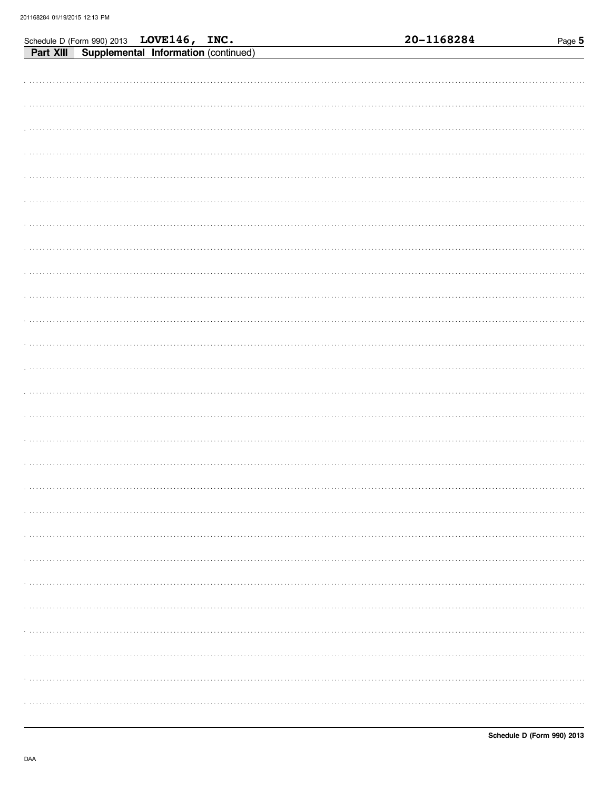|  | Schedule D (Form 990) 2013 LOVE146, INC.<br>Part XIII Supplemental Information (continued) |  | 20-1168284 | Page 5 |
|--|--------------------------------------------------------------------------------------------|--|------------|--------|
|  |                                                                                            |  |            |        |
|  |                                                                                            |  |            |        |
|  |                                                                                            |  |            |        |
|  |                                                                                            |  |            |        |
|  |                                                                                            |  |            |        |
|  |                                                                                            |  |            |        |
|  |                                                                                            |  |            |        |
|  |                                                                                            |  |            |        |
|  |                                                                                            |  |            |        |
|  |                                                                                            |  |            |        |
|  |                                                                                            |  |            |        |
|  |                                                                                            |  |            |        |
|  |                                                                                            |  |            |        |
|  |                                                                                            |  |            |        |
|  |                                                                                            |  |            |        |
|  |                                                                                            |  |            |        |
|  |                                                                                            |  |            |        |
|  |                                                                                            |  |            |        |
|  |                                                                                            |  |            |        |
|  |                                                                                            |  |            |        |
|  |                                                                                            |  |            |        |
|  |                                                                                            |  |            |        |
|  |                                                                                            |  |            |        |
|  |                                                                                            |  |            |        |
|  |                                                                                            |  |            |        |
|  |                                                                                            |  |            |        |
|  |                                                                                            |  |            |        |
|  |                                                                                            |  |            |        |
|  |                                                                                            |  |            |        |
|  |                                                                                            |  |            |        |
|  |                                                                                            |  |            |        |
|  |                                                                                            |  |            |        |
|  |                                                                                            |  |            |        |
|  |                                                                                            |  |            |        |
|  |                                                                                            |  |            |        |
|  |                                                                                            |  |            |        |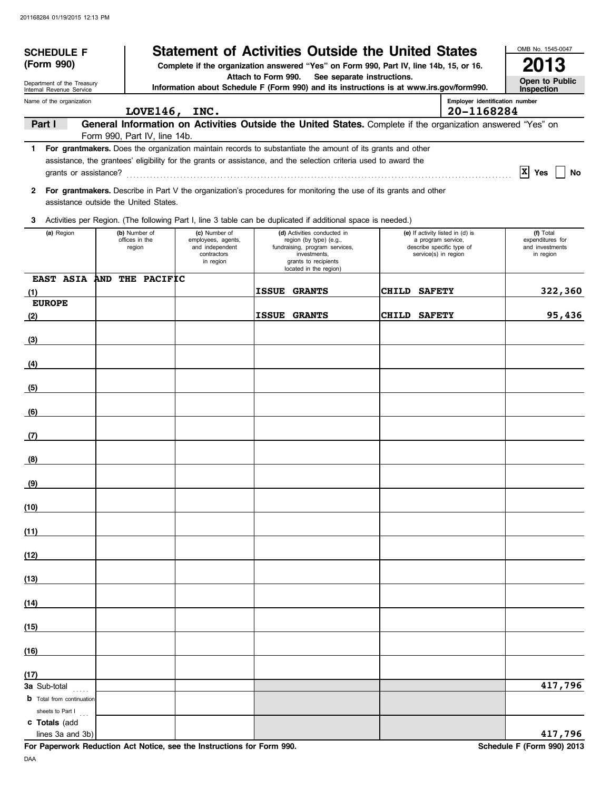| <b>SCHEDULE F</b>                                       |  | <b>Statement of Activities Outside the United States</b> |                                                                                    |                                                                                                                                                                                                                                  | OMB No. 1545-0047                                                                                           |                                |                                                               |  |  |
|---------------------------------------------------------|--|----------------------------------------------------------|------------------------------------------------------------------------------------|----------------------------------------------------------------------------------------------------------------------------------------------------------------------------------------------------------------------------------|-------------------------------------------------------------------------------------------------------------|--------------------------------|---------------------------------------------------------------|--|--|
| (Form 990)                                              |  |                                                          |                                                                                    | Complete if the organization answered "Yes" on Form 990, Part IV, line 14b, 15, or 16.                                                                                                                                           |                                                                                                             |                                | 2013                                                          |  |  |
| Department of the Treasury<br>Internal Revenue Service  |  |                                                          |                                                                                    | Attach to Form 990.<br>Information about Schedule F (Form 990) and its instructions is at www.irs.gov/form990.                                                                                                                   | See separate instructions.                                                                                  |                                | Open to Public<br>Inspection                                  |  |  |
| Name of the organization                                |  |                                                          |                                                                                    |                                                                                                                                                                                                                                  |                                                                                                             | Employer identification number |                                                               |  |  |
| Part I                                                  |  | LOVE146, INC.                                            |                                                                                    | General Information on Activities Outside the United States. Complete if the organization answered "Yes" on                                                                                                                      |                                                                                                             | 20-1168284                     |                                                               |  |  |
|                                                         |  | Form 990, Part IV, line 14b.                             |                                                                                    |                                                                                                                                                                                                                                  |                                                                                                             |                                |                                                               |  |  |
| grants or assistance?                                   |  |                                                          |                                                                                    | 1 For grantmakers. Does the organization maintain records to substantiate the amount of its grants and other<br>assistance, the grantees' eligibility for the grants or assistance, and the selection criteria used to award the |                                                                                                             |                                | $ X $ Yes<br>No                                               |  |  |
| $\mathbf{2}$                                            |  | assistance outside the United States.                    |                                                                                    | For grantmakers. Describe in Part V the organization's procedures for monitoring the use of its grants and other                                                                                                                 |                                                                                                             |                                |                                                               |  |  |
| 3                                                       |  |                                                          |                                                                                    | Activities per Region. (The following Part I, line 3 table can be duplicated if additional space is needed.)                                                                                                                     |                                                                                                             |                                |                                                               |  |  |
| (a) Region                                              |  | (b) Number of<br>offices in the<br>region                | (c) Number of<br>employees, agents,<br>and independent<br>contractors<br>in region | (d) Activities conducted in<br>region (by type) (e.g.,<br>fundraising, program services,<br>investments,<br>grants to recipients<br>located in the region)                                                                       | (e) If activity listed in (d) is<br>a program service,<br>describe specific type of<br>service(s) in region |                                | (f) Total<br>expenditures for<br>and investments<br>in region |  |  |
| EAST ASIA AND THE PACIFIC<br>(1)                        |  |                                                          |                                                                                    | <b>ISSUE GRANTS</b>                                                                                                                                                                                                              | CHILD SAFETY                                                                                                |                                | 322,360                                                       |  |  |
| <b>EUROPE</b>                                           |  |                                                          |                                                                                    |                                                                                                                                                                                                                                  |                                                                                                             |                                |                                                               |  |  |
| (2)                                                     |  |                                                          |                                                                                    | <b>ISSUE GRANTS</b>                                                                                                                                                                                                              | CHILD SAFETY                                                                                                |                                | 95,436                                                        |  |  |
| (3)                                                     |  |                                                          |                                                                                    |                                                                                                                                                                                                                                  |                                                                                                             |                                |                                                               |  |  |
| (4)                                                     |  |                                                          |                                                                                    |                                                                                                                                                                                                                                  |                                                                                                             |                                |                                                               |  |  |
| (5)                                                     |  |                                                          |                                                                                    |                                                                                                                                                                                                                                  |                                                                                                             |                                |                                                               |  |  |
| (6)                                                     |  |                                                          |                                                                                    |                                                                                                                                                                                                                                  |                                                                                                             |                                |                                                               |  |  |
| (7)                                                     |  |                                                          |                                                                                    |                                                                                                                                                                                                                                  |                                                                                                             |                                |                                                               |  |  |
|                                                         |  |                                                          |                                                                                    |                                                                                                                                                                                                                                  |                                                                                                             |                                |                                                               |  |  |
| (8)                                                     |  |                                                          |                                                                                    |                                                                                                                                                                                                                                  |                                                                                                             |                                |                                                               |  |  |
| (9)                                                     |  |                                                          |                                                                                    |                                                                                                                                                                                                                                  |                                                                                                             |                                |                                                               |  |  |
| (10)                                                    |  |                                                          |                                                                                    |                                                                                                                                                                                                                                  |                                                                                                             |                                |                                                               |  |  |
| (11)                                                    |  |                                                          |                                                                                    |                                                                                                                                                                                                                                  |                                                                                                             |                                |                                                               |  |  |
| (12)                                                    |  |                                                          |                                                                                    |                                                                                                                                                                                                                                  |                                                                                                             |                                |                                                               |  |  |
| (13)                                                    |  |                                                          |                                                                                    |                                                                                                                                                                                                                                  |                                                                                                             |                                |                                                               |  |  |
| (14)                                                    |  |                                                          |                                                                                    |                                                                                                                                                                                                                                  |                                                                                                             |                                |                                                               |  |  |
|                                                         |  |                                                          |                                                                                    |                                                                                                                                                                                                                                  |                                                                                                             |                                |                                                               |  |  |
| (15)                                                    |  |                                                          |                                                                                    |                                                                                                                                                                                                                                  |                                                                                                             |                                |                                                               |  |  |
| (16)                                                    |  |                                                          |                                                                                    |                                                                                                                                                                                                                                  |                                                                                                             |                                |                                                               |  |  |
| (17)                                                    |  |                                                          |                                                                                    |                                                                                                                                                                                                                                  |                                                                                                             |                                |                                                               |  |  |
| <b>3a</b> Sub-total<br><b>b</b> Total from continuation |  |                                                          |                                                                                    |                                                                                                                                                                                                                                  |                                                                                                             |                                | 417,796                                                       |  |  |
| sheets to Part I                                        |  |                                                          |                                                                                    |                                                                                                                                                                                                                                  |                                                                                                             |                                |                                                               |  |  |
| c Totals (add<br>lines 3a and 3b)                       |  |                                                          |                                                                                    |                                                                                                                                                                                                                                  |                                                                                                             |                                | 417,796                                                       |  |  |

**For Paperwork Reduction Act Notice, see the Instructions for Form 990.** Schedule F (Form 990) 2013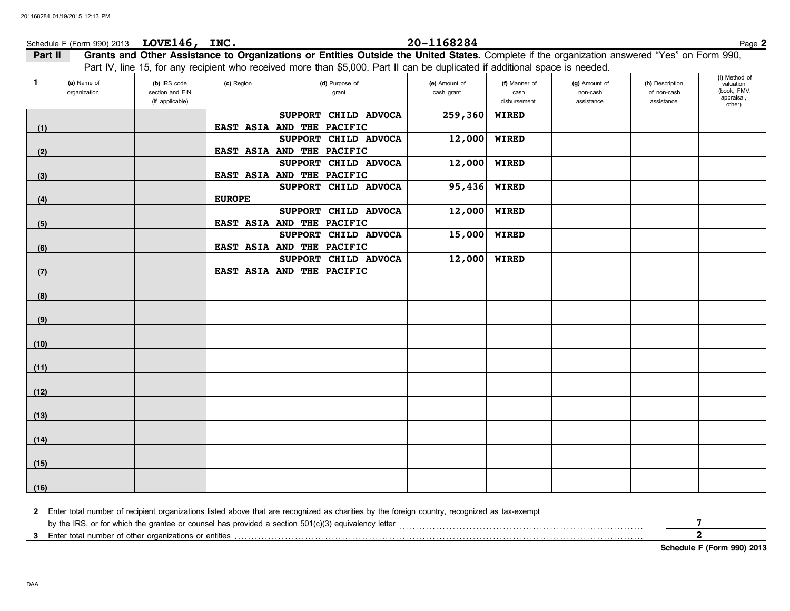# Schedule F (Form 990) 2013 Page **2 LOVE146, INC. 20-1168284**

| $\mathbf{1}$ | (a) Name of<br>organization | (b) IRS code<br>section and EIN<br>(if applicable) | (c) Region    | (d) Purpose of<br>grant                           | (e) Amount of<br>cash grant | (f) Manner of<br>cash<br>disbursement | (g) Amount of<br>non-cash<br>assistance | (h) Description<br>of non-cash<br>assistance | (i) Method of<br>valuation<br>(book, FMV,<br>appraisal,<br>other) |
|--------------|-----------------------------|----------------------------------------------------|---------------|---------------------------------------------------|-----------------------------|---------------------------------------|-----------------------------------------|----------------------------------------------|-------------------------------------------------------------------|
| (1)          |                             |                                                    |               | SUPPORT CHILD ADVOCA<br>EAST ASIA AND THE PACIFIC | 259,360                     | <b>WIRED</b>                          |                                         |                                              |                                                                   |
|              |                             |                                                    |               | SUPPORT CHILD ADVOCA                              | 12,000                      | <b>WIRED</b>                          |                                         |                                              |                                                                   |
| (2)          |                             |                                                    |               | EAST ASIA AND THE PACIFIC                         |                             |                                       |                                         |                                              |                                                                   |
|              |                             |                                                    |               | SUPPORT CHILD ADVOCA                              | 12,000                      | <b>WIRED</b>                          |                                         |                                              |                                                                   |
| (3)          |                             |                                                    | EAST ASIA     | AND THE PACIFIC                                   |                             |                                       |                                         |                                              |                                                                   |
|              |                             |                                                    |               | SUPPORT CHILD ADVOCA                              | 95,436                      | <b>WIRED</b>                          |                                         |                                              |                                                                   |
| (4)          |                             |                                                    | <b>EUROPE</b> |                                                   |                             |                                       |                                         |                                              |                                                                   |
|              |                             |                                                    |               | SUPPORT CHILD ADVOCA                              | 12,000                      | <b>WIRED</b>                          |                                         |                                              |                                                                   |
| (5)          |                             |                                                    |               | EAST ASIA AND THE PACIFIC                         |                             |                                       |                                         |                                              |                                                                   |
|              |                             |                                                    |               | SUPPORT CHILD ADVOCA                              | 15,000                      | <b>WIRED</b>                          |                                         |                                              |                                                                   |
| (6)          |                             |                                                    |               | EAST ASIA AND THE PACIFIC                         |                             |                                       |                                         |                                              |                                                                   |
|              |                             |                                                    |               | SUPPORT CHILD ADVOCA                              | 12,000                      | <b>WIRED</b>                          |                                         |                                              |                                                                   |
| (7)          |                             |                                                    |               | EAST ASIA AND THE PACIFIC                         |                             |                                       |                                         |                                              |                                                                   |
|              |                             |                                                    |               |                                                   |                             |                                       |                                         |                                              |                                                                   |
| (8)          |                             |                                                    |               |                                                   |                             |                                       |                                         |                                              |                                                                   |
|              |                             |                                                    |               |                                                   |                             |                                       |                                         |                                              |                                                                   |
| (9)          |                             |                                                    |               |                                                   |                             |                                       |                                         |                                              |                                                                   |
|              |                             |                                                    |               |                                                   |                             |                                       |                                         |                                              |                                                                   |
| (10)         |                             |                                                    |               |                                                   |                             |                                       |                                         |                                              |                                                                   |
|              |                             |                                                    |               |                                                   |                             |                                       |                                         |                                              |                                                                   |
| (11)         |                             |                                                    |               |                                                   |                             |                                       |                                         |                                              |                                                                   |
|              |                             |                                                    |               |                                                   |                             |                                       |                                         |                                              |                                                                   |
| (12)         |                             |                                                    |               |                                                   |                             |                                       |                                         |                                              |                                                                   |
|              |                             |                                                    |               |                                                   |                             |                                       |                                         |                                              |                                                                   |
| (13)         |                             |                                                    |               |                                                   |                             |                                       |                                         |                                              |                                                                   |
|              |                             |                                                    |               |                                                   |                             |                                       |                                         |                                              |                                                                   |
| (14)         |                             |                                                    |               |                                                   |                             |                                       |                                         |                                              |                                                                   |
|              |                             |                                                    |               |                                                   |                             |                                       |                                         |                                              |                                                                   |
| (15)         |                             |                                                    |               |                                                   |                             |                                       |                                         |                                              |                                                                   |
|              |                             |                                                    |               |                                                   |                             |                                       |                                         |                                              |                                                                   |
| (16)         |                             |                                                    |               |                                                   |                             |                                       |                                         |                                              |                                                                   |

| 2 Enter total number of recipient organizations listed above that are recognized as charities by the foreign country, recognized as tax-exempt |  |
|------------------------------------------------------------------------------------------------------------------------------------------------|--|
| by the IRS, or for which the grantee or counsel has provided a section $501(c)(3)$ equivalency letter                                          |  |
| 3 Enter total number of other organizations or entities                                                                                        |  |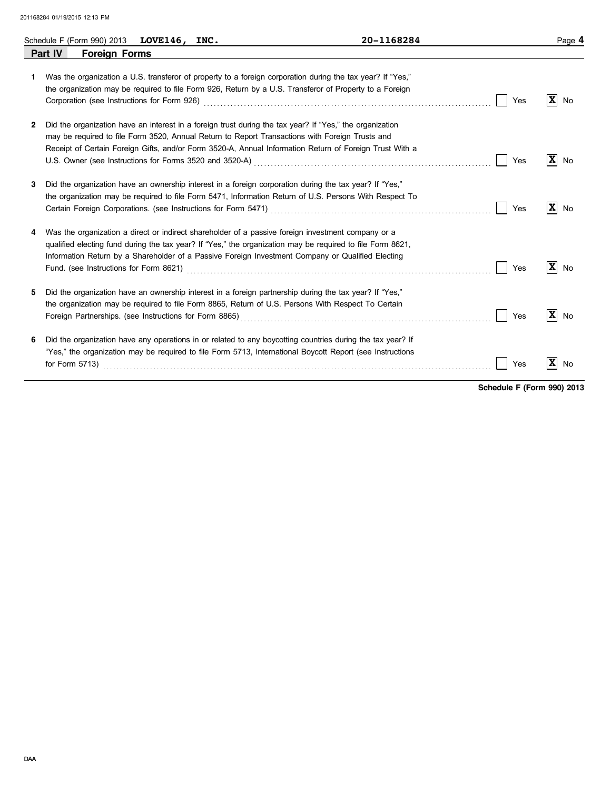|    | Schedule F (Form 990) 2013 LOVE146, INC. |  | 20-1168284                                                                                                                                                                                                                                                                                                                                                                                                                                 |     | Page 4               |
|----|------------------------------------------|--|--------------------------------------------------------------------------------------------------------------------------------------------------------------------------------------------------------------------------------------------------------------------------------------------------------------------------------------------------------------------------------------------------------------------------------------------|-----|----------------------|
|    | <b>Foreign Forms</b><br>Part IV          |  |                                                                                                                                                                                                                                                                                                                                                                                                                                            |     |                      |
| 1. |                                          |  | Was the organization a U.S. transferor of property to a foreign corporation during the tax year? If "Yes,"<br>the organization may be required to file Form 926, Return by a U.S. Transferor of Property to a Foreign                                                                                                                                                                                                                      | Yes | $ \mathbf{x} $<br>No |
| 2  |                                          |  | Did the organization have an interest in a foreign trust during the tax year? If "Yes," the organization<br>may be required to file Form 3520, Annual Return to Report Transactions with Foreign Trusts and<br>Receipt of Certain Foreign Gifts, and/or Form 3520-A, Annual Information Return of Foreign Trust With a<br>U.S. Owner (see Instructions for Forms 3520 and 3520-A) Material Construction Construction Construction Constant | Yes | $ \mathbf{x} $<br>No |
| 3  |                                          |  | Did the organization have an ownership interest in a foreign corporation during the tax year? If "Yes,"<br>the organization may be required to file Form 5471, Information Return of U.S. Persons With Respect To<br>Certain Foreign Corporations. (see Instructions for Form 5471) [11] [2010] [2010] [2010] [2010] [2010] [2010] [                                                                                                       | Yes | $ \mathbf{x} $<br>No |
| 4  |                                          |  | Was the organization a direct or indirect shareholder of a passive foreign investment company or a<br>qualified electing fund during the tax year? If "Yes," the organization may be required to file Form 8621,<br>Information Return by a Shareholder of a Passive Foreign Investment Company or Qualified Electing                                                                                                                      | Yes | $ \mathbf{x} $<br>No |
| 5. |                                          |  | Did the organization have an ownership interest in a foreign partnership during the tax year? If "Yes,"<br>the organization may be required to file Form 8865, Return of U.S. Persons With Respect To Certain                                                                                                                                                                                                                              | Yes | $ \mathbf{x} $<br>No |
| 6  | for Form $5713$ )                        |  | Did the organization have any operations in or related to any boycotting countries during the tax year? If<br>"Yes," the organization may be required to file Form 5713, International Boycott Report (see Instructions                                                                                                                                                                                                                    | Yes | $ \mathbf{X} $<br>No |

**Schedule F (Form 990) 2013**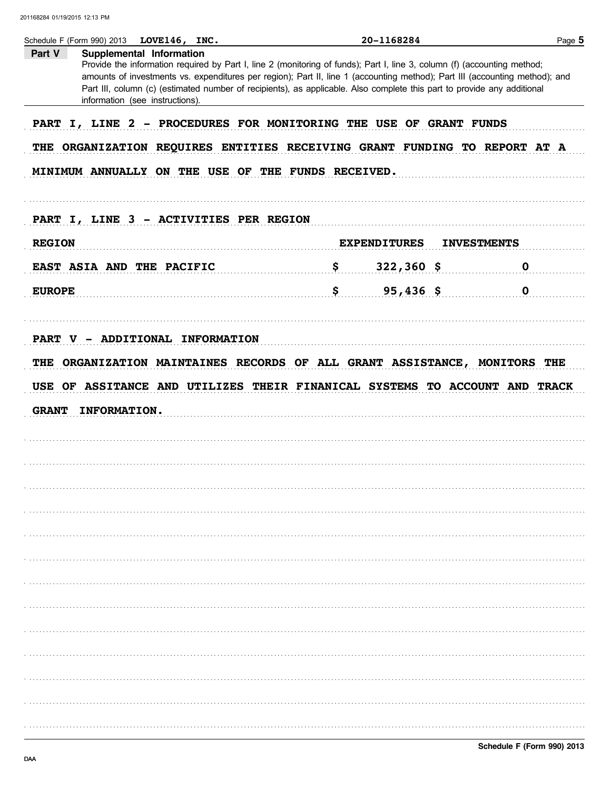| Part V                                                                                                                                                                                                                                                                                                                                                                                                                                                                                                                                                                                                                                                                                                                                                                                                                                                                                                                                                                                                                                  | Supplemental Information        |  |  |
|-----------------------------------------------------------------------------------------------------------------------------------------------------------------------------------------------------------------------------------------------------------------------------------------------------------------------------------------------------------------------------------------------------------------------------------------------------------------------------------------------------------------------------------------------------------------------------------------------------------------------------------------------------------------------------------------------------------------------------------------------------------------------------------------------------------------------------------------------------------------------------------------------------------------------------------------------------------------------------------------------------------------------------------------|---------------------------------|--|--|
|                                                                                                                                                                                                                                                                                                                                                                                                                                                                                                                                                                                                                                                                                                                                                                                                                                                                                                                                                                                                                                         |                                 |  |  |
|                                                                                                                                                                                                                                                                                                                                                                                                                                                                                                                                                                                                                                                                                                                                                                                                                                                                                                                                                                                                                                         | information (see instructions). |  |  |
| Provide the information required by Part I, line 2 (monitoring of funds); Part I, line 3, column (f) (accounting method;<br>amounts of investments vs. expenditures per region); Part II, line 1 (accounting method); Part III (accounting method); and<br>Part III, column (c) (estimated number of recipients), as applicable. Also complete this part to provide any additional<br>PART I, LINE 2 - PROCEDURES FOR MONITORING THE USE OF GRANT FUNDS<br>THE ORGANIZATION REQUIRES ENTITIES RECEIVING GRANT FUNDING TO REPORT AT A<br>MINIMUM ANNUALLY ON THE USE OF THE FUNDS RECEIVED.<br>PART I, LINE 3 - ACTIVITIES PER REGION<br><b>REGION</b><br><b>EXPENDITURES</b><br><b>INVESTMENTS</b><br>EAST ASIA AND THE PACIFIC 5 322,360 \$<br>$\mathbf 0$<br>$\frac{1}{5}$ 95,436 \$ 0<br><b>EUROPE</b><br>PART V - ADDITIONAL INFORMATION<br>THE ORGANIZATION MAINTAINES RECORDS OF ALL GRANT ASSISTANCE, MONITORS THE<br>USE OF ASSITANCE AND UTILIZES THEIR FINANICAL SYSTEMS TO ACCOUNT AND TRACK<br><b>GRANT</b><br>INFORMATION. |                                 |  |  |
|                                                                                                                                                                                                                                                                                                                                                                                                                                                                                                                                                                                                                                                                                                                                                                                                                                                                                                                                                                                                                                         |                                 |  |  |
|                                                                                                                                                                                                                                                                                                                                                                                                                                                                                                                                                                                                                                                                                                                                                                                                                                                                                                                                                                                                                                         |                                 |  |  |
|                                                                                                                                                                                                                                                                                                                                                                                                                                                                                                                                                                                                                                                                                                                                                                                                                                                                                                                                                                                                                                         |                                 |  |  |
|                                                                                                                                                                                                                                                                                                                                                                                                                                                                                                                                                                                                                                                                                                                                                                                                                                                                                                                                                                                                                                         |                                 |  |  |
|                                                                                                                                                                                                                                                                                                                                                                                                                                                                                                                                                                                                                                                                                                                                                                                                                                                                                                                                                                                                                                         |                                 |  |  |
|                                                                                                                                                                                                                                                                                                                                                                                                                                                                                                                                                                                                                                                                                                                                                                                                                                                                                                                                                                                                                                         |                                 |  |  |
|                                                                                                                                                                                                                                                                                                                                                                                                                                                                                                                                                                                                                                                                                                                                                                                                                                                                                                                                                                                                                                         |                                 |  |  |
|                                                                                                                                                                                                                                                                                                                                                                                                                                                                                                                                                                                                                                                                                                                                                                                                                                                                                                                                                                                                                                         |                                 |  |  |
|                                                                                                                                                                                                                                                                                                                                                                                                                                                                                                                                                                                                                                                                                                                                                                                                                                                                                                                                                                                                                                         |                                 |  |  |
|                                                                                                                                                                                                                                                                                                                                                                                                                                                                                                                                                                                                                                                                                                                                                                                                                                                                                                                                                                                                                                         |                                 |  |  |
|                                                                                                                                                                                                                                                                                                                                                                                                                                                                                                                                                                                                                                                                                                                                                                                                                                                                                                                                                                                                                                         |                                 |  |  |
|                                                                                                                                                                                                                                                                                                                                                                                                                                                                                                                                                                                                                                                                                                                                                                                                                                                                                                                                                                                                                                         |                                 |  |  |
|                                                                                                                                                                                                                                                                                                                                                                                                                                                                                                                                                                                                                                                                                                                                                                                                                                                                                                                                                                                                                                         |                                 |  |  |
|                                                                                                                                                                                                                                                                                                                                                                                                                                                                                                                                                                                                                                                                                                                                                                                                                                                                                                                                                                                                                                         |                                 |  |  |
|                                                                                                                                                                                                                                                                                                                                                                                                                                                                                                                                                                                                                                                                                                                                                                                                                                                                                                                                                                                                                                         |                                 |  |  |
|                                                                                                                                                                                                                                                                                                                                                                                                                                                                                                                                                                                                                                                                                                                                                                                                                                                                                                                                                                                                                                         |                                 |  |  |
|                                                                                                                                                                                                                                                                                                                                                                                                                                                                                                                                                                                                                                                                                                                                                                                                                                                                                                                                                                                                                                         |                                 |  |  |
|                                                                                                                                                                                                                                                                                                                                                                                                                                                                                                                                                                                                                                                                                                                                                                                                                                                                                                                                                                                                                                         |                                 |  |  |
|                                                                                                                                                                                                                                                                                                                                                                                                                                                                                                                                                                                                                                                                                                                                                                                                                                                                                                                                                                                                                                         |                                 |  |  |
|                                                                                                                                                                                                                                                                                                                                                                                                                                                                                                                                                                                                                                                                                                                                                                                                                                                                                                                                                                                                                                         |                                 |  |  |
|                                                                                                                                                                                                                                                                                                                                                                                                                                                                                                                                                                                                                                                                                                                                                                                                                                                                                                                                                                                                                                         |                                 |  |  |
|                                                                                                                                                                                                                                                                                                                                                                                                                                                                                                                                                                                                                                                                                                                                                                                                                                                                                                                                                                                                                                         |                                 |  |  |
|                                                                                                                                                                                                                                                                                                                                                                                                                                                                                                                                                                                                                                                                                                                                                                                                                                                                                                                                                                                                                                         |                                 |  |  |
|                                                                                                                                                                                                                                                                                                                                                                                                                                                                                                                                                                                                                                                                                                                                                                                                                                                                                                                                                                                                                                         |                                 |  |  |
|                                                                                                                                                                                                                                                                                                                                                                                                                                                                                                                                                                                                                                                                                                                                                                                                                                                                                                                                                                                                                                         |                                 |  |  |
|                                                                                                                                                                                                                                                                                                                                                                                                                                                                                                                                                                                                                                                                                                                                                                                                                                                                                                                                                                                                                                         |                                 |  |  |
|                                                                                                                                                                                                                                                                                                                                                                                                                                                                                                                                                                                                                                                                                                                                                                                                                                                                                                                                                                                                                                         |                                 |  |  |
|                                                                                                                                                                                                                                                                                                                                                                                                                                                                                                                                                                                                                                                                                                                                                                                                                                                                                                                                                                                                                                         |                                 |  |  |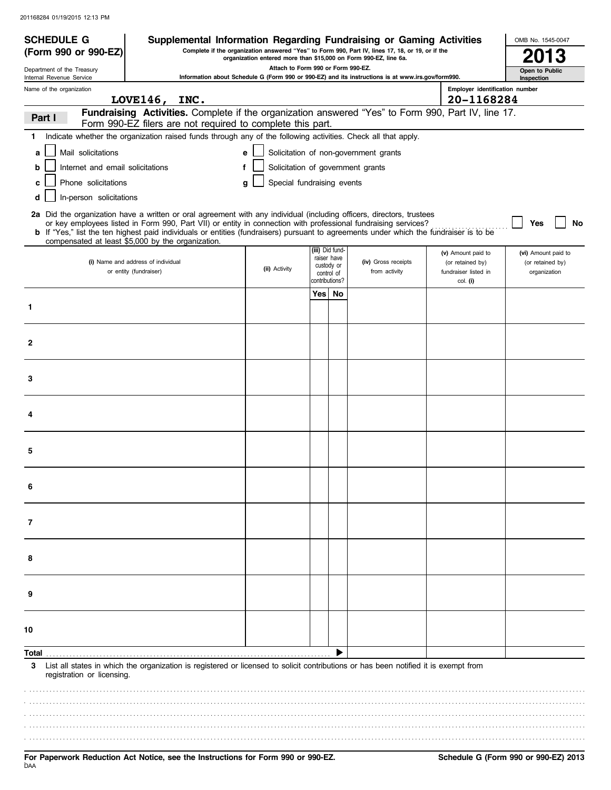| <b>SCHEDULE G</b>                                      | Supplemental Information Regarding Fundraising or Gaming Activities                                                                                                                                                                                                                                                                                                               |                                                                  |                |                                         |                                                                                                   |                                                                            | OMB No. 1545-0047                                       |
|--------------------------------------------------------|-----------------------------------------------------------------------------------------------------------------------------------------------------------------------------------------------------------------------------------------------------------------------------------------------------------------------------------------------------------------------------------|------------------------------------------------------------------|----------------|-----------------------------------------|---------------------------------------------------------------------------------------------------|----------------------------------------------------------------------------|---------------------------------------------------------|
| (Form 990 or 990-EZ)                                   |                                                                                                                                                                                                                                                                                                                                                                                   | organization entered more than \$15,000 on Form 990-EZ, line 6a. |                |                                         | Complete if the organization answered "Yes" to Form 990, Part IV, lines 17, 18, or 19, or if the  |                                                                            |                                                         |
| Department of the Treasury<br>Internal Revenue Service |                                                                                                                                                                                                                                                                                                                                                                                   | Attach to Form 990 or Form 990-EZ.                               |                |                                         | Information about Schedule G (Form 990 or 990-EZ) and its instructions is at www.irs.gov/form990. |                                                                            | Open to Public<br>Inspection                            |
| Name of the organization                               |                                                                                                                                                                                                                                                                                                                                                                                   |                                                                  |                |                                         |                                                                                                   | Employer identification number                                             |                                                         |
|                                                        | LOVE146, INC.                                                                                                                                                                                                                                                                                                                                                                     |                                                                  |                |                                         |                                                                                                   | 20-1168284                                                                 |                                                         |
| Part I                                                 | Fundraising Activities. Complete if the organization answered "Yes" to Form 990, Part IV, line 17.<br>Form 990-EZ filers are not required to complete this part.                                                                                                                                                                                                                  |                                                                  |                |                                         |                                                                                                   |                                                                            |                                                         |
| 1.                                                     | Indicate whether the organization raised funds through any of the following activities. Check all that apply.                                                                                                                                                                                                                                                                     |                                                                  |                |                                         |                                                                                                   |                                                                            |                                                         |
| Mail solicitations<br>a                                |                                                                                                                                                                                                                                                                                                                                                                                   | e                                                                |                |                                         | Solicitation of non-government grants                                                             |                                                                            |                                                         |
| Internet and email solicitations<br>b                  | f                                                                                                                                                                                                                                                                                                                                                                                 | Solicitation of government grants                                |                |                                         |                                                                                                   |                                                                            |                                                         |
| Phone solicitations<br>c                               |                                                                                                                                                                                                                                                                                                                                                                                   | Special fundraising events<br>a                                  |                |                                         |                                                                                                   |                                                                            |                                                         |
| In-person solicitations<br>d                           |                                                                                                                                                                                                                                                                                                                                                                                   |                                                                  |                |                                         |                                                                                                   |                                                                            |                                                         |
|                                                        | 2a Did the organization have a written or oral agreement with any individual (including officers, directors, trustees<br>or key employees listed in Form 990, Part VII) or entity in connection with professional fundraising services?<br>b If "Yes," list the ten highest paid individuals or entities (fundraisers) pursuant to agreements under which the fundraiser is to be |                                                                  |                |                                         |                                                                                                   |                                                                            | No<br>Yes                                               |
|                                                        | compensated at least \$5,000 by the organization.                                                                                                                                                                                                                                                                                                                                 |                                                                  |                | (iii) Did fund-                         |                                                                                                   |                                                                            |                                                         |
|                                                        | (i) Name and address of individual<br>or entity (fundraiser)                                                                                                                                                                                                                                                                                                                      | (ii) Activity                                                    | contributions? | raiser have<br>custody or<br>control of | (iv) Gross receipts<br>from activity                                                              | (v) Amount paid to<br>(or retained by)<br>fundraiser listed in<br>col. (i) | (vi) Amount paid to<br>(or retained by)<br>organization |
|                                                        |                                                                                                                                                                                                                                                                                                                                                                                   |                                                                  | Yes⊺           | No                                      |                                                                                                   |                                                                            |                                                         |
| 1                                                      |                                                                                                                                                                                                                                                                                                                                                                                   |                                                                  |                |                                         |                                                                                                   |                                                                            |                                                         |
|                                                        |                                                                                                                                                                                                                                                                                                                                                                                   |                                                                  |                |                                         |                                                                                                   |                                                                            |                                                         |
| $\mathbf{2}$                                           |                                                                                                                                                                                                                                                                                                                                                                                   |                                                                  |                |                                         |                                                                                                   |                                                                            |                                                         |
| 3                                                      |                                                                                                                                                                                                                                                                                                                                                                                   |                                                                  |                |                                         |                                                                                                   |                                                                            |                                                         |
| 4                                                      |                                                                                                                                                                                                                                                                                                                                                                                   |                                                                  |                |                                         |                                                                                                   |                                                                            |                                                         |
| 5                                                      |                                                                                                                                                                                                                                                                                                                                                                                   |                                                                  |                |                                         |                                                                                                   |                                                                            |                                                         |
|                                                        |                                                                                                                                                                                                                                                                                                                                                                                   |                                                                  |                |                                         |                                                                                                   |                                                                            |                                                         |
| 6                                                      |                                                                                                                                                                                                                                                                                                                                                                                   |                                                                  |                |                                         |                                                                                                   |                                                                            |                                                         |
| 7                                                      |                                                                                                                                                                                                                                                                                                                                                                                   |                                                                  |                |                                         |                                                                                                   |                                                                            |                                                         |
| 8                                                      |                                                                                                                                                                                                                                                                                                                                                                                   |                                                                  |                |                                         |                                                                                                   |                                                                            |                                                         |
| 9                                                      |                                                                                                                                                                                                                                                                                                                                                                                   |                                                                  |                |                                         |                                                                                                   |                                                                            |                                                         |
| 10                                                     |                                                                                                                                                                                                                                                                                                                                                                                   |                                                                  |                |                                         |                                                                                                   |                                                                            |                                                         |
| Total                                                  |                                                                                                                                                                                                                                                                                                                                                                                   |                                                                  |                |                                         |                                                                                                   |                                                                            |                                                         |
| 3<br>registration or licensing.                        | List all states in which the organization is registered or licensed to solicit contributions or has been notified it is exempt from                                                                                                                                                                                                                                               |                                                                  |                |                                         |                                                                                                   |                                                                            |                                                         |
|                                                        |                                                                                                                                                                                                                                                                                                                                                                                   |                                                                  |                |                                         |                                                                                                   |                                                                            |                                                         |
|                                                        |                                                                                                                                                                                                                                                                                                                                                                                   |                                                                  |                |                                         |                                                                                                   |                                                                            |                                                         |
|                                                        |                                                                                                                                                                                                                                                                                                                                                                                   |                                                                  |                |                                         |                                                                                                   |                                                                            |                                                         |
|                                                        |                                                                                                                                                                                                                                                                                                                                                                                   |                                                                  |                |                                         |                                                                                                   |                                                                            |                                                         |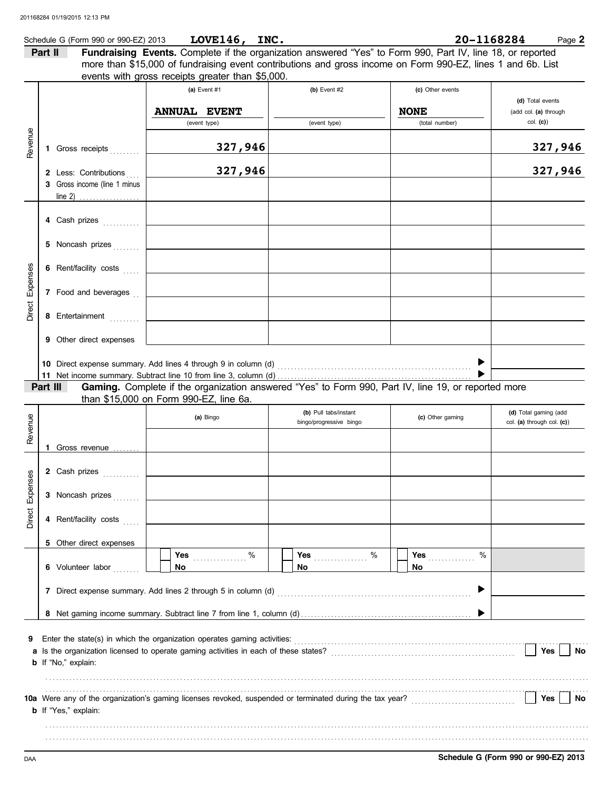|               |         | Schedule G (Form 990 or 990-EZ) 2013 | LOVE146, INC.                                                                                               |    |                                                  |                  | 20-1168284 | Page 2                                              |
|---------------|---------|--------------------------------------|-------------------------------------------------------------------------------------------------------------|----|--------------------------------------------------|------------------|------------|-----------------------------------------------------|
|               | Part II |                                      | Fundraising Events. Complete if the organization answered "Yes" to Form 990, Part IV, line 18, or reported  |    |                                                  |                  |            |                                                     |
|               |         |                                      | more than \$15,000 of fundraising event contributions and gross income on Form 990-EZ, lines 1 and 6b. List |    |                                                  |                  |            |                                                     |
|               |         |                                      | events with gross receipts greater than \$5,000.                                                            |    |                                                  |                  |            |                                                     |
|               |         |                                      | (a) Event #1                                                                                                |    | $(b)$ Event #2                                   | (c) Other events |            |                                                     |
|               |         |                                      |                                                                                                             |    |                                                  |                  |            | (d) Total events                                    |
|               |         |                                      | <b>ANNUAL EVENT</b>                                                                                         |    |                                                  | <b>NONE</b>      |            | (add col. (a) through<br>col. (c)                   |
|               |         |                                      | (event type)                                                                                                |    | (event type)                                     | (total number)   |            |                                                     |
| Revenue       |         |                                      | 327,946                                                                                                     |    |                                                  |                  |            | 327,946                                             |
|               |         | 1 Gross receipts                     |                                                                                                             |    |                                                  |                  |            |                                                     |
|               |         | 2 Less: Contributions                | 327,946                                                                                                     |    |                                                  |                  |            | 327,946                                             |
|               |         | 3 Gross income (line 1 minus         |                                                                                                             |    |                                                  |                  |            |                                                     |
|               |         |                                      |                                                                                                             |    |                                                  |                  |            |                                                     |
|               |         |                                      |                                                                                                             |    |                                                  |                  |            |                                                     |
|               |         | 4 Cash prizes                        |                                                                                                             |    |                                                  |                  |            |                                                     |
|               |         |                                      |                                                                                                             |    |                                                  |                  |            |                                                     |
|               |         | 5 Noncash prizes                     | <u> 1990 - Johann Barbara, martxa a</u>                                                                     |    |                                                  |                  |            |                                                     |
|               |         |                                      |                                                                                                             |    |                                                  |                  |            |                                                     |
|               |         | 6 Rent/facility costs                | <u> 1980 - Johann Barbara, martxa a</u>                                                                     |    |                                                  |                  |            |                                                     |
| Expenses      |         | 7 Food and beverages                 |                                                                                                             |    |                                                  |                  |            |                                                     |
| <b>Direct</b> |         |                                      |                                                                                                             |    |                                                  |                  |            |                                                     |
|               |         | 8 Entertainment                      |                                                                                                             |    |                                                  |                  |            |                                                     |
|               |         |                                      |                                                                                                             |    |                                                  |                  |            |                                                     |
|               |         | 9 Other direct expenses              |                                                                                                             |    |                                                  |                  |            |                                                     |
|               |         |                                      |                                                                                                             |    |                                                  |                  |            |                                                     |
|               |         |                                      |                                                                                                             |    |                                                  |                  |            |                                                     |
|               |         |                                      |                                                                                                             |    |                                                  |                  |            |                                                     |
|               |         | Part III                             | Gaming. Complete if the organization answered "Yes" to Form 990, Part IV, line 19, or reported more         |    |                                                  |                  |            |                                                     |
|               |         |                                      | than \$15,000 on Form 990-EZ, line 6a.                                                                      |    |                                                  |                  |            |                                                     |
|               |         |                                      | (a) Bingo                                                                                                   |    | (b) Pull tabs/instant<br>bingo/progressive bingo | (c) Other gaming |            | (d) Total gaming (add<br>col. (a) through col. (c)) |
| Revenue       |         |                                      |                                                                                                             |    |                                                  |                  |            |                                                     |
|               |         | Gross revenue                        |                                                                                                             |    |                                                  |                  |            |                                                     |
|               |         |                                      |                                                                                                             |    |                                                  |                  |            |                                                     |
| ses           |         | 2 Cash prizes<br>.                   |                                                                                                             |    |                                                  |                  |            |                                                     |
|               |         |                                      |                                                                                                             |    |                                                  |                  |            |                                                     |
| Expen         |         | 3 Noncash prizes                     |                                                                                                             |    |                                                  |                  |            |                                                     |
|               |         |                                      |                                                                                                             |    |                                                  |                  |            |                                                     |
| Direct        |         | 4 Rent/facility costs                |                                                                                                             |    |                                                  |                  |            |                                                     |
|               |         | 5 Other direct expenses              |                                                                                                             |    |                                                  |                  |            |                                                     |
|               |         |                                      | $\%$<br><b>Yes <i>CONSTRUCT</i></b>                                                                         |    | $\%$<br><b>Yes</b>                               | Yes              | $\%$       |                                                     |
|               |         | 6 Volunteer labor                    | No                                                                                                          | No |                                                  | No.              |            |                                                     |
|               |         |                                      |                                                                                                             |    |                                                  |                  |            |                                                     |
|               |         |                                      |                                                                                                             |    |                                                  |                  |            |                                                     |
|               |         |                                      |                                                                                                             |    |                                                  |                  |            |                                                     |
|               |         |                                      |                                                                                                             |    |                                                  |                  |            |                                                     |
|               |         |                                      |                                                                                                             |    |                                                  |                  |            |                                                     |
| 9             |         |                                      |                                                                                                             |    |                                                  |                  |            |                                                     |
|               |         |                                      |                                                                                                             |    |                                                  |                  |            | $ $ Yes<br>No                                       |
|               |         | <b>b</b> If "No," explain:           |                                                                                                             |    |                                                  |                  |            |                                                     |
|               |         |                                      |                                                                                                             |    |                                                  |                  |            |                                                     |
|               |         |                                      |                                                                                                             |    |                                                  |                  |            | Yes<br>No                                           |
|               |         | <b>b</b> If "Yes," explain:          |                                                                                                             |    |                                                  |                  |            |                                                     |
|               |         |                                      |                                                                                                             |    |                                                  |                  |            |                                                     |
|               |         |                                      |                                                                                                             |    |                                                  |                  |            |                                                     |
|               |         |                                      |                                                                                                             |    |                                                  |                  |            |                                                     |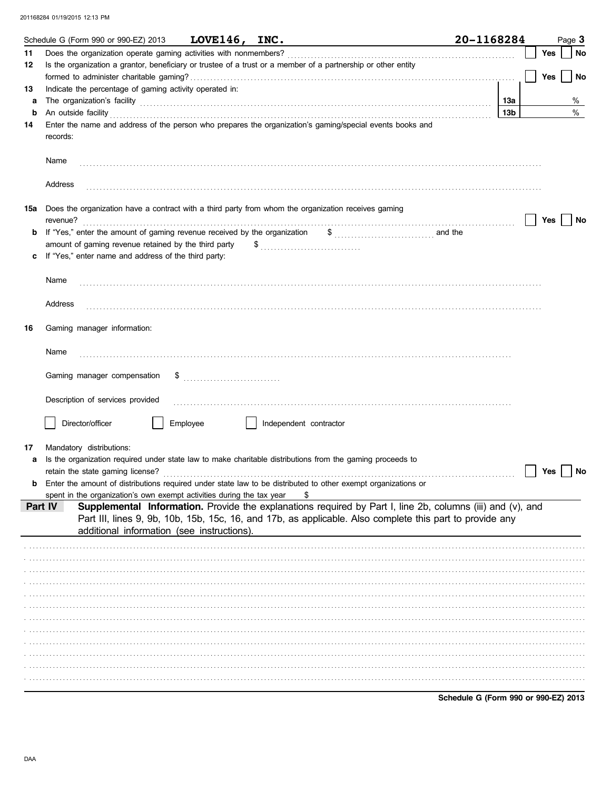|         | Schedule G (Form 990 or 990-EZ) 2013                                      | LOVE146, INC. |                                                                                                                                                                                                                                                                                                                                                  | 20-1168284             |     | Page 3 |      |
|---------|---------------------------------------------------------------------------|---------------|--------------------------------------------------------------------------------------------------------------------------------------------------------------------------------------------------------------------------------------------------------------------------------------------------------------------------------------------------|------------------------|-----|--------|------|
| 11      | Does the organization operate gaming activities with nonmembers?          |               |                                                                                                                                                                                                                                                                                                                                                  |                        | Yes |        | No   |
| 12      |                                                                           |               | Is the organization a grantor, beneficiary or trustee of a trust or a member of a partnership or other entity                                                                                                                                                                                                                                    |                        |     |        |      |
|         |                                                                           |               |                                                                                                                                                                                                                                                                                                                                                  |                        | Yes |        | No   |
| 13      | Indicate the percentage of gaming activity operated in:                   |               |                                                                                                                                                                                                                                                                                                                                                  |                        |     |        | $\%$ |
| a<br>b  |                                                                           |               | The organization's facility encouragement and an architecture of the organization's facility encouragement and the organization's facility                                                                                                                                                                                                       | 13а<br>13 <sub>b</sub> |     |        | $\%$ |
| 14      |                                                                           |               | An outside facility <b>contract and the contract of a contract of a contract of a contract of a contract of a contract of a contract of a contract of a contract of a contract of a contract of a contract of a contract of a co</b><br>Enter the name and address of the person who prepares the organization's gaming/special events books and |                        |     |        |      |
|         | records:                                                                  |               |                                                                                                                                                                                                                                                                                                                                                  |                        |     |        |      |
|         | Name                                                                      |               |                                                                                                                                                                                                                                                                                                                                                  |                        |     |        |      |
|         | Address                                                                   |               |                                                                                                                                                                                                                                                                                                                                                  |                        |     |        |      |
| 15a     | revenue?                                                                  |               | Does the organization have a contract with a third party from whom the organization receives gaming                                                                                                                                                                                                                                              |                        | Yes |        | No   |
|         | If "Yes," enter the amount of gaming revenue received by the organization |               | $\frac{1}{2}$ and the                                                                                                                                                                                                                                                                                                                            |                        |     |        |      |
|         | amount of gaming revenue retained by the third party                      |               | $\$\ldots\ldots\ldots\ldots\ldots\ldots\ldots\ldots\ldots\ldots$                                                                                                                                                                                                                                                                                 |                        |     |        |      |
|         | If "Yes," enter name and address of the third party:                      |               |                                                                                                                                                                                                                                                                                                                                                  |                        |     |        |      |
|         |                                                                           |               |                                                                                                                                                                                                                                                                                                                                                  |                        |     |        |      |
|         | Name                                                                      |               |                                                                                                                                                                                                                                                                                                                                                  |                        |     |        |      |
|         | Address                                                                   |               |                                                                                                                                                                                                                                                                                                                                                  |                        |     |        |      |
| 16      | Gaming manager information:                                               |               |                                                                                                                                                                                                                                                                                                                                                  |                        |     |        |      |
|         | Name                                                                      |               |                                                                                                                                                                                                                                                                                                                                                  |                        |     |        |      |
|         | Gaming manager compensation                                               |               |                                                                                                                                                                                                                                                                                                                                                  |                        |     |        |      |
|         | Description of services provided                                          |               |                                                                                                                                                                                                                                                                                                                                                  |                        |     |        |      |
|         | Director/officer                                                          | Employee      | Independent contractor                                                                                                                                                                                                                                                                                                                           |                        |     |        |      |
|         |                                                                           |               |                                                                                                                                                                                                                                                                                                                                                  |                        |     |        |      |
| 17      | Mandatory distributions:                                                  |               |                                                                                                                                                                                                                                                                                                                                                  |                        |     |        |      |
|         | retain the state gaming license?                                          |               | Is the organization required under state law to make charitable distributions from the gaming proceeds to                                                                                                                                                                                                                                        |                        | Yes |        | No   |
|         |                                                                           |               | Enter the amount of distributions required under state law to be distributed to other exempt organizations or                                                                                                                                                                                                                                    |                        |     |        |      |
|         | spent in the organization's own exempt activities during the tax year     |               |                                                                                                                                                                                                                                                                                                                                                  |                        |     |        |      |
| Part IV | additional information (see instructions).                                |               | Supplemental Information. Provide the explanations required by Part I, line 2b, columns (iii) and (v), and<br>Part III, lines 9, 9b, 10b, 15b, 15c, 16, and 17b, as applicable. Also complete this part to provide any                                                                                                                           |                        |     |        |      |
|         |                                                                           |               |                                                                                                                                                                                                                                                                                                                                                  |                        |     |        |      |
|         |                                                                           |               |                                                                                                                                                                                                                                                                                                                                                  |                        |     |        |      |
|         |                                                                           |               |                                                                                                                                                                                                                                                                                                                                                  |                        |     |        |      |
|         |                                                                           |               |                                                                                                                                                                                                                                                                                                                                                  |                        |     |        |      |
|         |                                                                           |               |                                                                                                                                                                                                                                                                                                                                                  |                        |     |        |      |
|         |                                                                           |               |                                                                                                                                                                                                                                                                                                                                                  |                        |     |        |      |
|         |                                                                           |               |                                                                                                                                                                                                                                                                                                                                                  |                        |     |        |      |
|         |                                                                           |               |                                                                                                                                                                                                                                                                                                                                                  |                        |     |        |      |
|         |                                                                           |               |                                                                                                                                                                                                                                                                                                                                                  |                        |     |        |      |
|         |                                                                           |               |                                                                                                                                                                                                                                                                                                                                                  |                        |     |        |      |
|         |                                                                           |               |                                                                                                                                                                                                                                                                                                                                                  |                        |     |        |      |
|         |                                                                           |               |                                                                                                                                                                                                                                                                                                                                                  |                        |     |        |      |

Schedule G (Form 990 or 990-EZ) 2013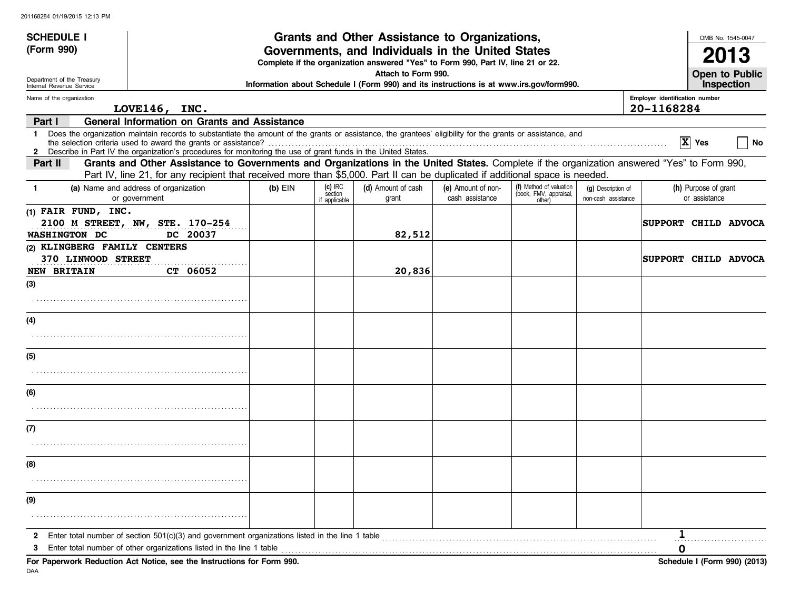| <b>SCHEDULE I</b>                                      |                                                                                                                                                                                                                                                                               |           |                                    | Grants and Other Assistance to Organizations,                                                                                         |                                       |                                                             |                                           |                                              |                                       | OMB No. 1545-0047            |
|--------------------------------------------------------|-------------------------------------------------------------------------------------------------------------------------------------------------------------------------------------------------------------------------------------------------------------------------------|-----------|------------------------------------|---------------------------------------------------------------------------------------------------------------------------------------|---------------------------------------|-------------------------------------------------------------|-------------------------------------------|----------------------------------------------|---------------------------------------|------------------------------|
| (Form 990)                                             |                                                                                                                                                                                                                                                                               |           |                                    | Governments, and Individuals in the United States<br>Complete if the organization answered "Yes" to Form 990, Part IV, line 21 or 22. |                                       |                                                             |                                           |                                              |                                       |                              |
| Department of the Treasury<br>Internal Revenue Service |                                                                                                                                                                                                                                                                               |           |                                    | Attach to Form 990.<br>Information about Schedule I (Form 990) and its instructions is at www.irs.gov/form990.                        |                                       |                                                             |                                           |                                              |                                       | Open to Public<br>Inspection |
| Name of the organization                               | LOVE146, INC.                                                                                                                                                                                                                                                                 |           |                                    |                                                                                                                                       |                                       |                                                             |                                           | Employer identification number<br>20-1168284 |                                       |                              |
| Part I                                                 | <b>General Information on Grants and Assistance</b>                                                                                                                                                                                                                           |           |                                    |                                                                                                                                       |                                       |                                                             |                                           |                                              |                                       |                              |
| 1.                                                     | Does the organization maintain records to substantiate the amount of the grants or assistance, the grantees' eligibility for the grants or assistance, and<br>2 Describe in Part IV the organization's procedures for monitoring the use of grant funds in the United States. |           |                                    |                                                                                                                                       |                                       |                                                             |                                           |                                              | $ X $ Yes                             | No                           |
| Part II                                                | Grants and Other Assistance to Governments and Organizations in the United States. Complete if the organization answered "Yes" to Form 990,<br>Part IV, line 21, for any recipient that received more than \$5,000. Part II can be duplicated if additional space is needed.  |           |                                    |                                                                                                                                       |                                       |                                                             |                                           |                                              |                                       |                              |
| -1                                                     | (a) Name and address of organization<br>or government                                                                                                                                                                                                                         | $(b)$ EIN | $(c)$ IRC<br>section<br>applicable | (d) Amount of cash<br>grant                                                                                                           | (e) Amount of non-<br>cash assistance | (f) Method of valuation<br>(book, FMV, appraisal,<br>other) | (g) Description of<br>non-cash assistance |                                              | (h) Purpose of grant<br>or assistance |                              |
| (1) FAIR FUND, INC.<br><b>WASHINGTON DC</b>            | 2100 M STREET, NW, STE. 170-254<br>DC 20037                                                                                                                                                                                                                                   |           |                                    | 82,512                                                                                                                                |                                       |                                                             |                                           | <b>SUPPORT CHILD ADVOCA</b>                  |                                       |                              |
| (2) KLINGBERG FAMILY CENTERS<br>370 LINWOOD STREET     |                                                                                                                                                                                                                                                                               |           |                                    |                                                                                                                                       |                                       |                                                             |                                           | <b>SUPPORT CHILD ADVOCA</b>                  |                                       |                              |
| <b>NEW BRITAIN</b>                                     | CT 06052                                                                                                                                                                                                                                                                      |           |                                    | 20,836                                                                                                                                |                                       |                                                             |                                           |                                              |                                       |                              |
| (3)                                                    |                                                                                                                                                                                                                                                                               |           |                                    |                                                                                                                                       |                                       |                                                             |                                           |                                              |                                       |                              |
|                                                        |                                                                                                                                                                                                                                                                               |           |                                    |                                                                                                                                       |                                       |                                                             |                                           |                                              |                                       |                              |
| (4)                                                    |                                                                                                                                                                                                                                                                               |           |                                    |                                                                                                                                       |                                       |                                                             |                                           |                                              |                                       |                              |
|                                                        |                                                                                                                                                                                                                                                                               |           |                                    |                                                                                                                                       |                                       |                                                             |                                           |                                              |                                       |                              |
| (5)                                                    |                                                                                                                                                                                                                                                                               |           |                                    |                                                                                                                                       |                                       |                                                             |                                           |                                              |                                       |                              |
|                                                        |                                                                                                                                                                                                                                                                               |           |                                    |                                                                                                                                       |                                       |                                                             |                                           |                                              |                                       |                              |
| (6)                                                    |                                                                                                                                                                                                                                                                               |           |                                    |                                                                                                                                       |                                       |                                                             |                                           |                                              |                                       |                              |
|                                                        |                                                                                                                                                                                                                                                                               |           |                                    |                                                                                                                                       |                                       |                                                             |                                           |                                              |                                       |                              |
| (7)                                                    |                                                                                                                                                                                                                                                                               |           |                                    |                                                                                                                                       |                                       |                                                             |                                           |                                              |                                       |                              |
|                                                        |                                                                                                                                                                                                                                                                               |           |                                    |                                                                                                                                       |                                       |                                                             |                                           |                                              |                                       |                              |
| (8)                                                    |                                                                                                                                                                                                                                                                               |           |                                    |                                                                                                                                       |                                       |                                                             |                                           |                                              |                                       |                              |
|                                                        |                                                                                                                                                                                                                                                                               |           |                                    |                                                                                                                                       |                                       |                                                             |                                           |                                              |                                       |                              |
| (9)                                                    |                                                                                                                                                                                                                                                                               |           |                                    |                                                                                                                                       |                                       |                                                             |                                           |                                              |                                       |                              |
|                                                        |                                                                                                                                                                                                                                                                               |           |                                    |                                                                                                                                       |                                       |                                                             |                                           |                                              |                                       |                              |
| 2                                                      | Enter total number of section 501(c)(3) and government organizations listed in the line 1 table                                                                                                                                                                               |           |                                    |                                                                                                                                       |                                       |                                                             |                                           |                                              |                                       |                              |
|                                                        | Enter total number of other organizations listed in the line 1 table<br>For Paperwork Reduction Act Notice, see the Instructions for Form 990.                                                                                                                                |           |                                    |                                                                                                                                       |                                       |                                                             |                                           | 0                                            |                                       |                              |
|                                                        |                                                                                                                                                                                                                                                                               |           |                                    |                                                                                                                                       |                                       |                                                             |                                           |                                              |                                       | Schedule I (Form 990) (2013) |

DAA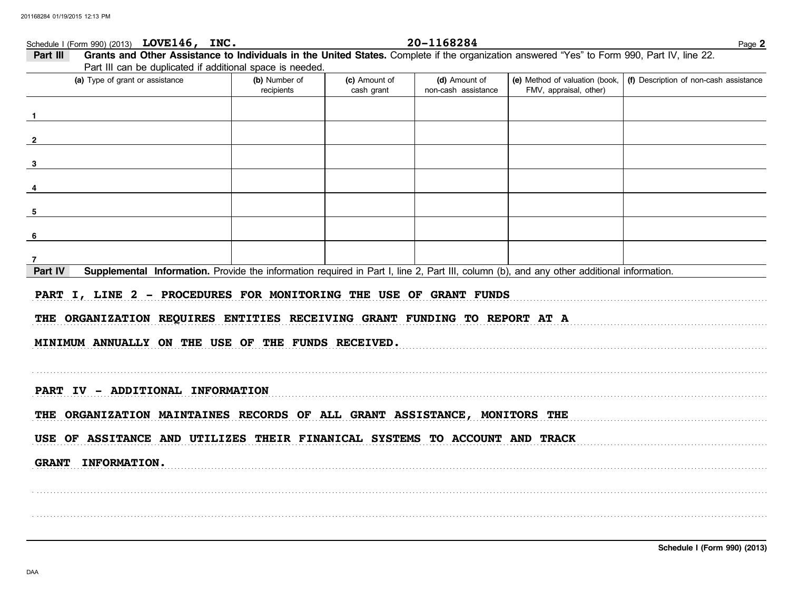# Schedule I (Form 990) (2013) LOVE146, INC.

20-1168284

| (a) Type of grant or assistance                                                                                                                                                                                                                                                                                                                                                                                                      | (b) Number of<br>recipients | (c) Amount of<br>cash grant | (d) Amount of<br>non-cash assistance | (e) Method of valuation (book,<br>FMV, appraisal, other) | (f) Description of non-cash assistance |
|--------------------------------------------------------------------------------------------------------------------------------------------------------------------------------------------------------------------------------------------------------------------------------------------------------------------------------------------------------------------------------------------------------------------------------------|-----------------------------|-----------------------------|--------------------------------------|----------------------------------------------------------|----------------------------------------|
|                                                                                                                                                                                                                                                                                                                                                                                                                                      |                             |                             |                                      |                                                          |                                        |
|                                                                                                                                                                                                                                                                                                                                                                                                                                      |                             |                             |                                      |                                                          |                                        |
|                                                                                                                                                                                                                                                                                                                                                                                                                                      |                             |                             |                                      |                                                          |                                        |
|                                                                                                                                                                                                                                                                                                                                                                                                                                      |                             |                             |                                      |                                                          |                                        |
|                                                                                                                                                                                                                                                                                                                                                                                                                                      |                             |                             |                                      |                                                          |                                        |
|                                                                                                                                                                                                                                                                                                                                                                                                                                      |                             |                             |                                      |                                                          |                                        |
|                                                                                                                                                                                                                                                                                                                                                                                                                                      |                             |                             |                                      |                                                          |                                        |
|                                                                                                                                                                                                                                                                                                                                                                                                                                      |                             |                             |                                      |                                                          |                                        |
|                                                                                                                                                                                                                                                                                                                                                                                                                                      |                             |                             |                                      |                                                          |                                        |
| Supplemental Information. Provide the information required in Part I, line 2, Part III, column (b), and any other additional information.                                                                                                                                                                                                                                                                                            |                             |                             |                                      |                                                          |                                        |
|                                                                                                                                                                                                                                                                                                                                                                                                                                      |                             |                             |                                      |                                                          |                                        |
|                                                                                                                                                                                                                                                                                                                                                                                                                                      |                             |                             |                                      |                                                          |                                        |
|                                                                                                                                                                                                                                                                                                                                                                                                                                      |                             |                             |                                      |                                                          |                                        |
|                                                                                                                                                                                                                                                                                                                                                                                                                                      |                             |                             |                                      |                                                          |                                        |
|                                                                                                                                                                                                                                                                                                                                                                                                                                      |                             |                             |                                      |                                                          |                                        |
|                                                                                                                                                                                                                                                                                                                                                                                                                                      |                             |                             |                                      |                                                          |                                        |
| Part IV<br>PART I, LINE 2 - PROCEDURES FOR MONITORING THE USE OF GRANT FUNDS<br>THE ORGANIZATION REQUIRES ENTITIES RECEIVING GRANT FUNDING TO REPORT AT A<br>MINIMUM ANNUALLY ON THE USE OF THE FUNDS RECEIVED.<br>PART IV - ADDITIONAL INFORMATION<br>THE ORGANIZATION MAINTAINES RECORDS OF ALL GRANT ASSISTANCE, MONITORS THE<br>USE OF ASSITANCE AND UTILIZES THEIR FINANICAL SYSTEMS TO ACCOUNT AND TRACK<br>GRANT INFORMATION. |                             |                             |                                      |                                                          |                                        |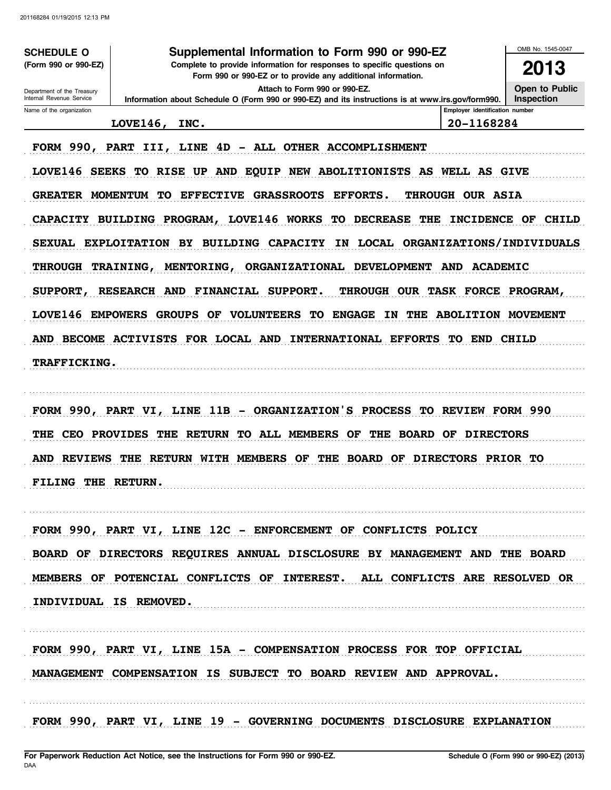**SCHEDULE O** (Form 990 or 990-EZ)

## Supplemental Information to Form 990 or 990-EZ

Complete to provide information for responses to specific questions on Form 990 or 990-EZ or to provide any additional information.

Information about Schedule O (Form 990 or 990-EZ) and its instructions is at www.irs.gov/form990.

2013 **Open to Public** 

Inspection

OMB No. 1545-0047

Attach to Form 990 or 990-EZ.

Department of the Treasury Internal Revenue Service Name of the organization

Employer identification number

LOVE146, INC.

20-1168284

FORM 990, PART III, LINE 4D - ALL OTHER ACCOMPLISHMENT

LOVE146 SEEKS TO RISE UP AND EQUIP NEW ABOLITIONISTS AS WELL AS GIVE GREATER MOMENTUM TO EFFECTIVE GRASSROOTS EFFORTS. THROUGH OUR ASIA CAPACITY BUILDING PROGRAM, LOVE146 WORKS TO DECREASE THE INCIDENCE OF CHILD SEXUAL EXPLOITATION BY BUILDING CAPACITY IN LOCAL ORGANIZATIONS/INDIVIDUALS THROUGH TRAINING, MENTORING, ORGANIZATIONAL DEVELOPMENT AND ACADEMIC SUPPORT, RESEARCH AND FINANCIAL SUPPORT. THROUGH OUR TASK FORCE PROGRAM, LOVE146 EMPOWERS GROUPS OF VOLUNTEERS TO ENGAGE IN THE ABOLITION MOVEMENT AND BECOME ACTIVISTS FOR LOCAL AND INTERNATIONAL EFFORTS TO END CHILD TRAFFICKING.

FORM 990, PART VI, LINE 11B - ORGANIZATION'S PROCESS TO REVIEW FORM 990 THE CEO PROVIDES THE RETURN TO ALL MEMBERS OF THE BOARD OF DIRECTORS AND REVIEWS THE RETURN WITH MEMBERS OF THE BOARD OF DIRECTORS PRIOR TO FILING THE RETURN.

FORM 990, PART VI, LINE 12C - ENFORCEMENT OF CONFLICTS POLICY BOARD OF DIRECTORS REQUIRES ANNUAL DISCLOSURE BY MANAGEMENT AND THE BOARD MEMBERS OF POTENCIAL CONFLICTS OF INTEREST. ALL CONFLICTS ARE RESOLVED OR INDIVIDUAL IS REMOVED.

FORM 990, PART VI, LINE 15A - COMPENSATION PROCESS FOR TOP OFFICIAL MANAGEMENT COMPENSATION IS SUBJECT TO BOARD REVIEW AND APPROVAL.

FORM 990, PART VI, LINE 19 - GOVERNING DOCUMENTS DISCLOSURE EXPLANATION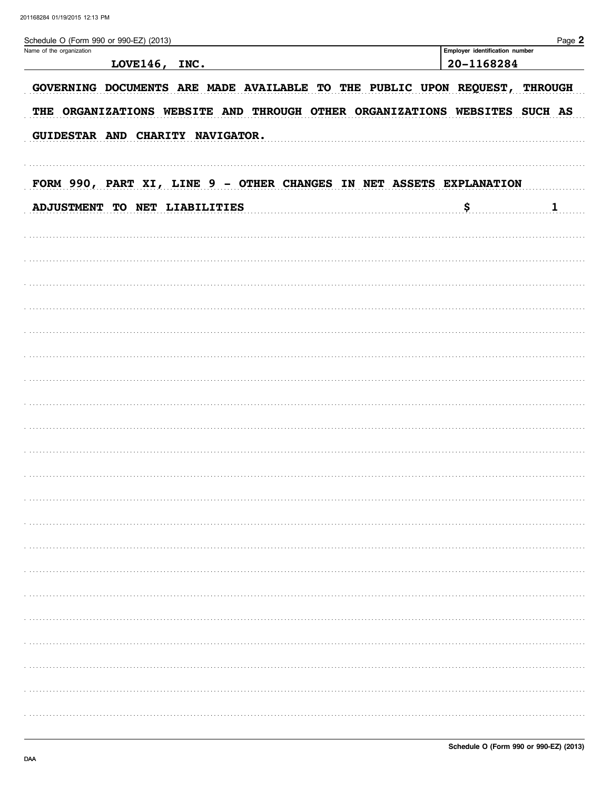| Schedule O (Form 990 or 990-EZ) (2013)                                     |                                              | Page 2       |
|----------------------------------------------------------------------------|----------------------------------------------|--------------|
| Name of the organization<br>LOVE146,<br>INC.                               | Employer identification number<br>20-1168284 |              |
|                                                                            |                                              |              |
| GOVERNING DOCUMENTS ARE MADE AVAILABLE TO THE PUBLIC UPON REQUEST,         | <b>THROUGH</b>                               |              |
| THE ORGANIZATIONS WEBSITE AND THROUGH OTHER ORGANIZATIONS WEBSITES SUCH AS |                                              |              |
|                                                                            |                                              |              |
| GUIDESTAR AND CHARITY NAVIGATOR.                                           |                                              |              |
|                                                                            |                                              |              |
| FORM 990, PART XI, LINE 9 - OTHER CHANGES IN NET ASSETS EXPLANATION        |                                              |              |
|                                                                            |                                              |              |
| ADJUSTMENT TO NET LIABILITIES                                              | \$                                           | $\mathbf{1}$ |
|                                                                            |                                              |              |
|                                                                            |                                              |              |
|                                                                            |                                              |              |
|                                                                            |                                              |              |
|                                                                            |                                              |              |
|                                                                            |                                              |              |
|                                                                            |                                              |              |
|                                                                            |                                              |              |
|                                                                            |                                              |              |
|                                                                            |                                              |              |
|                                                                            |                                              |              |
|                                                                            |                                              |              |
|                                                                            |                                              |              |
|                                                                            |                                              |              |
|                                                                            |                                              |              |
|                                                                            |                                              |              |
|                                                                            |                                              |              |
|                                                                            |                                              |              |
|                                                                            |                                              |              |
|                                                                            |                                              |              |
|                                                                            |                                              |              |
|                                                                            |                                              |              |
|                                                                            |                                              |              |
|                                                                            |                                              |              |
|                                                                            |                                              |              |
|                                                                            |                                              |              |
|                                                                            |                                              |              |
|                                                                            |                                              |              |
|                                                                            |                                              |              |